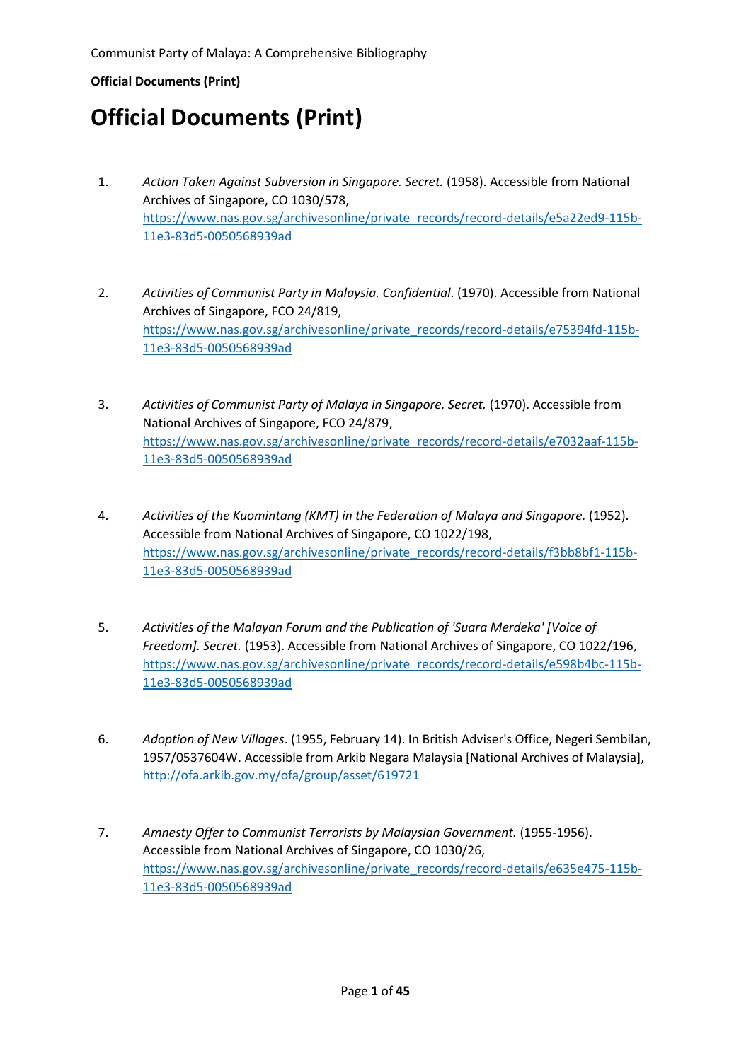- 1. *Action Taken Against Subversion in Singapore. Secret.* (1958). Accessible from National Archives of Singapore, CO 1030/578, [https://www.nas.gov.sg/archivesonline/private\\_records/record-details/e5a22ed9-115b-](https://www.nas.gov.sg/archivesonline/private_records/record-details/e5a22ed9-115b-11e3-83d5-0050568939ad)[11e3-83d5-0050568939ad](https://www.nas.gov.sg/archivesonline/private_records/record-details/e5a22ed9-115b-11e3-83d5-0050568939ad)
- 2. *Activities of Communist Party in Malaysia. Confidential*. (1970). Accessible from National Archives of Singapore, FCO 24/819, [https://www.nas.gov.sg/archivesonline/private\\_records/record-details/e75394fd-115b-](https://www.nas.gov.sg/archivesonline/private_records/record-details/e75394fd-115b-11e3-83d5-0050568939ad)[11e3-83d5-0050568939ad](https://www.nas.gov.sg/archivesonline/private_records/record-details/e75394fd-115b-11e3-83d5-0050568939ad)
- 3. *Activities of Communist Party of Malaya in Singapore. Secret.* (1970). Accessible from National Archives of Singapore, FCO 24/879, [https://www.nas.gov.sg/archivesonline/private\\_records/record-details/e7032aaf-115b-](https://www.nas.gov.sg/archivesonline/private_records/record-details/e7032aaf-115b-11e3-83d5-0050568939ad)[11e3-83d5-0050568939ad](https://www.nas.gov.sg/archivesonline/private_records/record-details/e7032aaf-115b-11e3-83d5-0050568939ad)
- 4. *Activities of the Kuomintang (KMT) in the Federation of Malaya and Singapore.* (1952). Accessible from National Archives of Singapore, CO 1022/198, [https://www.nas.gov.sg/archivesonline/private\\_records/record-details/f3bb8bf1-115b-](https://www.nas.gov.sg/archivesonline/private_records/record-details/f3bb8bf1-115b-11e3-83d5-0050568939ad)[11e3-83d5-0050568939ad](https://www.nas.gov.sg/archivesonline/private_records/record-details/f3bb8bf1-115b-11e3-83d5-0050568939ad)
- 5. *Activities of the Malayan Forum and the Publication of 'Suara Merdeka' [Voice of Freedom]. Secret.* (1953). Accessible from National Archives of Singapore, CO 1022/196, [https://www.nas.gov.sg/archivesonline/private\\_records/record-details/e598b4bc-115b-](https://www.nas.gov.sg/archivesonline/private_records/record-details/e598b4bc-115b-11e3-83d5-0050568939ad)[11e3-83d5-0050568939ad](https://www.nas.gov.sg/archivesonline/private_records/record-details/e598b4bc-115b-11e3-83d5-0050568939ad)
- 6. *Adoption of New Villages*. (1955, February 14). In British Adviser's Office, Negeri Sembilan, 1957/0537604W. Accessible from Arkib Negara Malaysia [National Archives of Malaysia], <http://ofa.arkib.gov.my/ofa/group/asset/619721>
- 7. *Amnesty Offer to Communist Terrorists by Malaysian Government.* (1955-1956). Accessible from National Archives of Singapore, CO 1030/26, [https://www.nas.gov.sg/archivesonline/private\\_records/record-details/e635e475-115b-](https://www.nas.gov.sg/archivesonline/private_records/record-details/e635e475-115b-11e3-83d5-0050568939ad)[11e3-83d5-0050568939ad](https://www.nas.gov.sg/archivesonline/private_records/record-details/e635e475-115b-11e3-83d5-0050568939ad)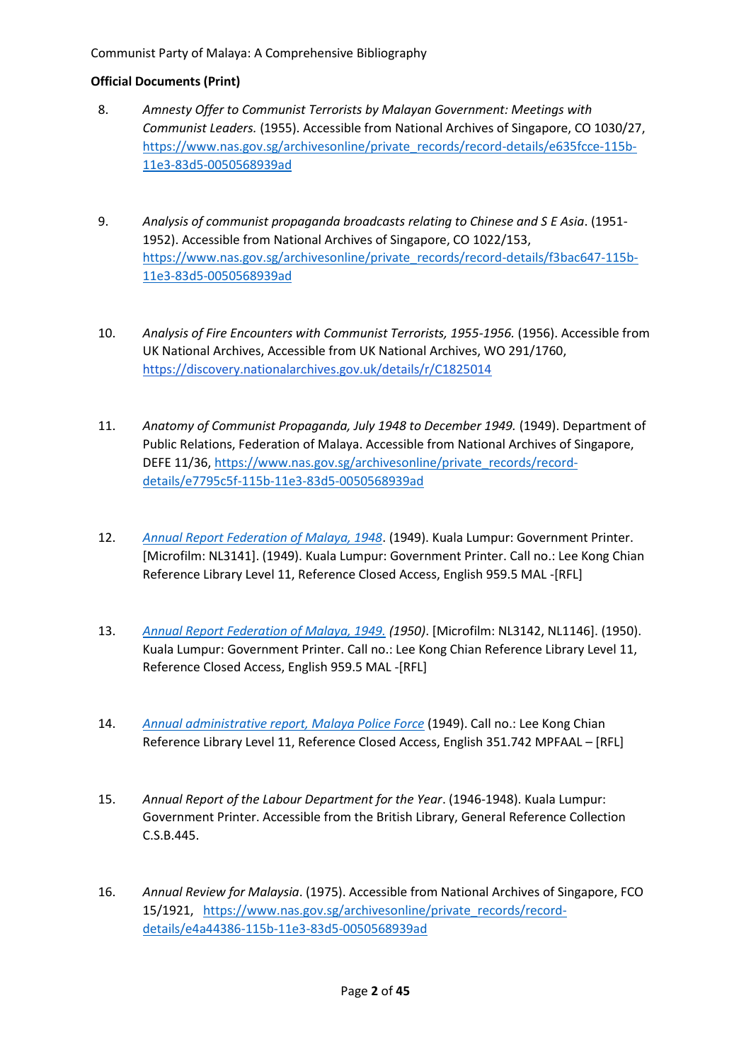- 8. *Amnesty Offer to Communist Terrorists by Malayan Government: Meetings with Communist Leaders.* (1955). Accessible from National Archives of Singapore, CO 1030/27, [https://www.nas.gov.sg/archivesonline/private\\_records/record-details/e635fcce-115b-](https://www.nas.gov.sg/archivesonline/private_records/record-details/e635fcce-115b-11e3-83d5-0050568939ad)[11e3-83d5-0050568939ad](https://www.nas.gov.sg/archivesonline/private_records/record-details/e635fcce-115b-11e3-83d5-0050568939ad)
- 9. *Analysis of communist propaganda broadcasts relating to Chinese and S E Asia*. (1951- 1952). Accessible from National Archives of Singapore, CO 1022/153, [https://www.nas.gov.sg/archivesonline/private\\_records/record-details/f3bac647-115b-](https://www.nas.gov.sg/archivesonline/private_records/record-details/f3bac647-115b-11e3-83d5-0050568939ad)[11e3-83d5-0050568939ad](https://www.nas.gov.sg/archivesonline/private_records/record-details/f3bac647-115b-11e3-83d5-0050568939ad)
- 10. *Analysis of Fire Encounters with Communist Terrorists, 1955-1956.* (1956). Accessible from UK National Archives, Accessible from UK National Archives, WO 291/1760, <https://discovery.nationalarchives.gov.uk/details/r/C1825014>
- 11. *Anatomy of Communist Propaganda, July 1948 to December 1949.* (1949). Department of Public Relations, Federation of Malaya. Accessible from National Archives of Singapore, DEFE 11/36, [https://www.nas.gov.sg/archivesonline/private\\_records/record](https://www.nas.gov.sg/archivesonline/private_records/record-details/e7795c5f-115b-11e3-83d5-0050568939ad)[details/e7795c5f-115b-11e3-83d5-0050568939ad](https://www.nas.gov.sg/archivesonline/private_records/record-details/e7795c5f-115b-11e3-83d5-0050568939ad)
- 12. *[Annual Report Federation of Malaya, 1948](https://eservices.nlb.gov.sg/item_holding.aspx?bid=5057482)*. (1949). Kuala Lumpur: Government Printer. [Microfilm: NL3141]. (1949). Kuala Lumpur: Government Printer. Call no.: Lee Kong Chian Reference Library Level 11, Reference Closed Access, English 959.5 MAL -[RFL]
- 13. *[Annual Report Federation of Malaya, 1949.](https://eservices.nlb.gov.sg/item_holding.aspx?bid=5057482) (1950)*. [Microfilm: NL3142, NL1146]. (1950). Kuala Lumpur: Government Printer. Call no.: Lee Kong Chian Reference Library Level 11, Reference Closed Access, English 959.5 MAL -[RFL]
- 14. *[Annual administrative report, Malaya Police Force](https://eservices.nlb.gov.sg/item_holding.aspx?bid=5055375)* (1949). Call no.: Lee Kong Chian Reference Library Level 11, Reference Closed Access, English 351.742 MPFAAL – [RFL]
- 15. *Annual Report of the Labour Department for the Year*. (1946-1948). Kuala Lumpur: Government Printer. Accessible from the British Library, General Reference Collection C.S.B.445.
- 16. *Annual Review for Malaysia*. (1975). Accessible from National Archives of Singapore, FCO 15/1921, [https://www.nas.gov.sg/archivesonline/private\\_records/record](https://www.nas.gov.sg/archivesonline/private_records/record-details/e4a44386-115b-11e3-83d5-0050568939ad)[details/e4a44386-115b-11e3-83d5-0050568939ad](https://www.nas.gov.sg/archivesonline/private_records/record-details/e4a44386-115b-11e3-83d5-0050568939ad)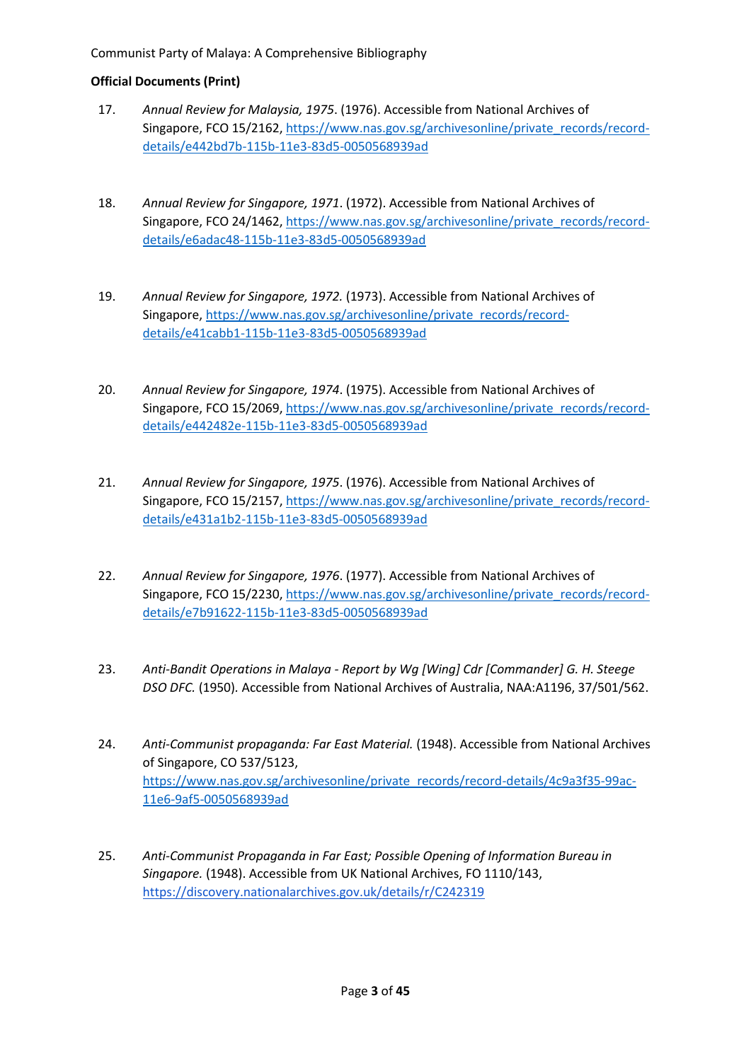- 17. *Annual Review for Malaysia, 1975*. (1976). Accessible from National Archives of Singapore, FCO 15/2162, [https://www.nas.gov.sg/archivesonline/private\\_records/record](https://www.nas.gov.sg/archivesonline/private_records/record-details/e442bd7b-115b-11e3-83d5-0050568939ad)[details/e442bd7b-115b-11e3-83d5-0050568939ad](https://www.nas.gov.sg/archivesonline/private_records/record-details/e442bd7b-115b-11e3-83d5-0050568939ad)
- 18. *Annual Review for Singapore, 1971*. (1972). Accessible from National Archives of Singapore, FCO 24/1462, [https://www.nas.gov.sg/archivesonline/private\\_records/record](https://www.nas.gov.sg/archivesonline/private_records/record-details/e6adac48-115b-11e3-83d5-0050568939ad)[details/e6adac48-115b-11e3-83d5-0050568939ad](https://www.nas.gov.sg/archivesonline/private_records/record-details/e6adac48-115b-11e3-83d5-0050568939ad)
- 19. *Annual Review for Singapore, 1972.* (1973). Accessible from National Archives of Singapore, [https://www.nas.gov.sg/archivesonline/private\\_records/record](https://www.nas.gov.sg/archivesonline/private_records/record-details/e41cabb1-115b-11e3-83d5-0050568939ad)[details/e41cabb1-115b-11e3-83d5-0050568939ad](https://www.nas.gov.sg/archivesonline/private_records/record-details/e41cabb1-115b-11e3-83d5-0050568939ad)
- 20. *Annual Review for Singapore, 1974*. (1975). Accessible from National Archives of Singapore, FCO 15/2069, [https://www.nas.gov.sg/archivesonline/private\\_records/record](https://www.nas.gov.sg/archivesonline/private_records/record-details/e442482e-115b-11e3-83d5-0050568939ad)[details/e442482e-115b-11e3-83d5-0050568939ad](https://www.nas.gov.sg/archivesonline/private_records/record-details/e442482e-115b-11e3-83d5-0050568939ad)
- 21. *Annual Review for Singapore, 1975*. (1976). Accessible from National Archives of Singapore, FCO 15/2157, [https://www.nas.gov.sg/archivesonline/private\\_records/record](https://www.nas.gov.sg/archivesonline/private_records/record-details/e431a1b2-115b-11e3-83d5-0050568939ad)[details/e431a1b2-115b-11e3-83d5-0050568939ad](https://www.nas.gov.sg/archivesonline/private_records/record-details/e431a1b2-115b-11e3-83d5-0050568939ad)
- 22. *Annual Review for Singapore, 1976*. (1977). Accessible from National Archives of Singapore, FCO 15/2230, [https://www.nas.gov.sg/archivesonline/private\\_records/record](https://www.nas.gov.sg/archivesonline/private_records/record-details/e7b91622-115b-11e3-83d5-0050568939ad)[details/e7b91622-115b-11e3-83d5-0050568939ad](https://www.nas.gov.sg/archivesonline/private_records/record-details/e7b91622-115b-11e3-83d5-0050568939ad)
- 23. *Anti-Bandit Operations in Malaya - Report by Wg [Wing] Cdr [Commander] G. H. Steege DSO DFC.* (1950)*.* Accessible from National Archives of Australia, NAA:A1196, 37/501/562.
- 24. *Anti-Communist propaganda: Far East Material.* (1948). Accessible from National Archives of Singapore, CO 537/5123, [https://www.nas.gov.sg/archivesonline/private\\_records/record-details/4c9a3f35-99ac-](https://www.nas.gov.sg/archivesonline/private_records/record-details/4c9a3f35-99ac-11e6-9af5-0050568939ad)[11e6-9af5-0050568939ad](https://www.nas.gov.sg/archivesonline/private_records/record-details/4c9a3f35-99ac-11e6-9af5-0050568939ad)
- 25. *Anti-Communist Propaganda in Far East; Possible Opening of Information Bureau in Singapore.* (1948). Accessible from UK National Archives, FO 1110/143, <https://discovery.nationalarchives.gov.uk/details/r/C242319>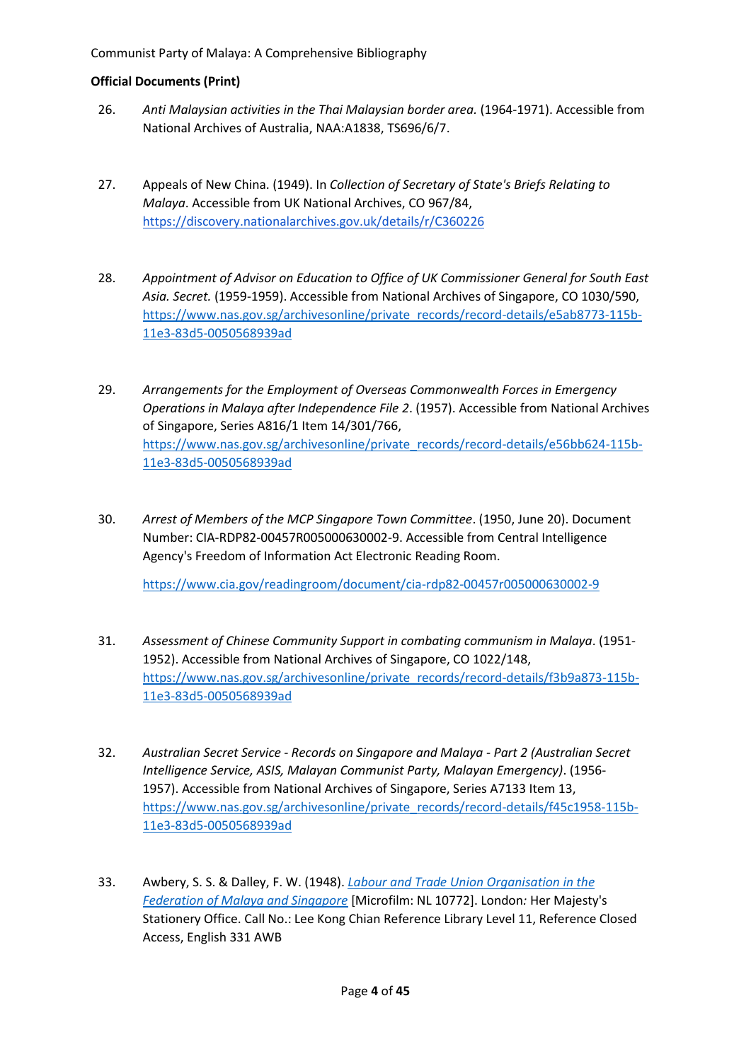- 26. *Anti Malaysian activities in the Thai Malaysian border area.* (1964-1971). Accessible from National Archives of Australia, NAA:A1838, TS696/6/7.
- 27. Appeals of New China. (1949). In *Collection of Secretary of State's Briefs Relating to Malaya*. Accessible from UK National Archives, CO 967/84, <https://discovery.nationalarchives.gov.uk/details/r/C360226>
- 28. *Appointment of Advisor on Education to Office of UK Commissioner General for South East Asia. Secret.* (1959-1959). Accessible from National Archives of Singapore, CO 1030/590, [https://www.nas.gov.sg/archivesonline/private\\_records/record-details/e5ab8773-115b-](https://www.nas.gov.sg/archivesonline/private_records/record-details/e5ab8773-115b-11e3-83d5-0050568939ad)[11e3-83d5-0050568939ad](https://www.nas.gov.sg/archivesonline/private_records/record-details/e5ab8773-115b-11e3-83d5-0050568939ad)
- 29. *Arrangements for the Employment of Overseas Commonwealth Forces in Emergency Operations in Malaya after Independence File 2*. (1957). Accessible from National Archives of Singapore, Series A816/1 Item 14/301/766, [https://www.nas.gov.sg/archivesonline/private\\_records/record-details/e56bb624-115b-](https://www.nas.gov.sg/archivesonline/private_records/record-details/e56bb624-115b-11e3-83d5-0050568939ad)[11e3-83d5-0050568939ad](https://www.nas.gov.sg/archivesonline/private_records/record-details/e56bb624-115b-11e3-83d5-0050568939ad)
- 30. *Arrest of Members of the MCP Singapore Town Committee*. (1950, June 20). Document Number: CIA-RDP82-00457R005000630002-9. Accessible from Central Intelligence Agency's Freedom of Information Act Electronic Reading Room.

<https://www.cia.gov/readingroom/document/cia-rdp82-00457r005000630002-9>

- 31. *Assessment of Chinese Community Support in combating communism in Malaya*. (1951- 1952). Accessible from National Archives of Singapore, CO 1022/148, [https://www.nas.gov.sg/archivesonline/private\\_records/record-details/f3b9a873-115b-](https://www.nas.gov.sg/archivesonline/private_records/record-details/f3b9a873-115b-11e3-83d5-0050568939ad)[11e3-83d5-0050568939ad](https://www.nas.gov.sg/archivesonline/private_records/record-details/f3b9a873-115b-11e3-83d5-0050568939ad)
- 32. *Australian Secret Service - Records on Singapore and Malaya - Part 2 (Australian Secret Intelligence Service, ASIS, Malayan Communist Party, Malayan Emergency)*. (1956- 1957). Accessible from National Archives of Singapore, Series A7133 Item 13, [https://www.nas.gov.sg/archivesonline/private\\_records/record-details/f45c1958-115b-](https://www.nas.gov.sg/archivesonline/private_records/record-details/f45c1958-115b-11e3-83d5-0050568939ad)[11e3-83d5-0050568939ad](https://www.nas.gov.sg/archivesonline/private_records/record-details/f45c1958-115b-11e3-83d5-0050568939ad)
- 33. Awbery, S. S. & Dalley, F. W. (1948). *[Labour and Trade Union](https://catalogue.nlb.gov.sg/cgi-bin/spydus.exe/FULL/WPAC/BIBENQ/210495730/3604670,1) Organisation in the [Federation of Malaya and Singapore](https://catalogue.nlb.gov.sg/cgi-bin/spydus.exe/FULL/WPAC/BIBENQ/210495730/3604670,1)* [Microfilm: NL 10772]. London*:* Her Majesty's Stationery Office. Call No.: Lee Kong Chian Reference Library Level 11, Reference Closed Access, English 331 AWB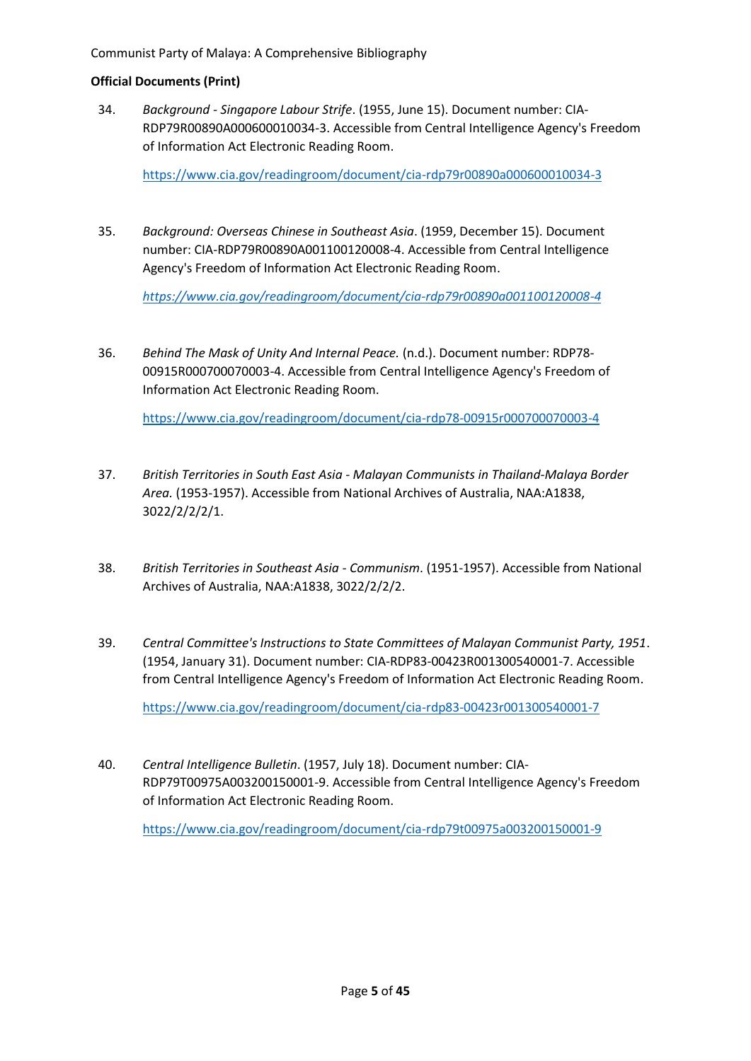34. *Background - Singapore Labour Strife*. (1955, June 15). Document number: CIA-RDP79R00890A000600010034-3. Accessible from Central Intelligence Agency's Freedom of Information Act Electronic Reading Room.

<https://www.cia.gov/readingroom/document/cia-rdp79r00890a000600010034-3>

35. *Background: Overseas Chinese in Southeast Asia*. (1959, December 15). Document number: CIA-RDP79R00890A001100120008-4. Accessible from Central Intelligence Agency's Freedom of Information Act Electronic Reading Room.

*<https://www.cia.gov/readingroom/document/cia-rdp79r00890a001100120008-4>*

36. *Behind The Mask of Unity And Internal Peace.* (n.d.). Document number: RDP78- 00915R000700070003-4. Accessible from Central Intelligence Agency's Freedom of Information Act Electronic Reading Room.

<https://www.cia.gov/readingroom/document/cia-rdp78-00915r000700070003-4>

- 37. *British Territories in South East Asia - Malayan Communists in Thailand-Malaya Border Area.* (1953-1957). Accessible from National Archives of Australia, NAA:A1838, 3022/2/2/2/1.
- 38. *British Territories in Southeast Asia - Communism*. (1951-1957). Accessible from National Archives of Australia, NAA:A1838, 3022/2/2/2.
- 39. *Central Committee's Instructions to State Committees of Malayan Communist Party, 1951*. (1954, January 31). Document number: CIA-RDP83-00423R001300540001-7. Accessible from Central Intelligence Agency's Freedom of Information Act Electronic Reading Room.

<https://www.cia.gov/readingroom/document/cia-rdp83-00423r001300540001-7>

40. *Central Intelligence Bulletin*. (1957, July 18). Document number: CIA-RDP79T00975A003200150001-9. Accessible from Central Intelligence Agency's Freedom of Information Act Electronic Reading Room.

<https://www.cia.gov/readingroom/document/cia-rdp79t00975a003200150001-9>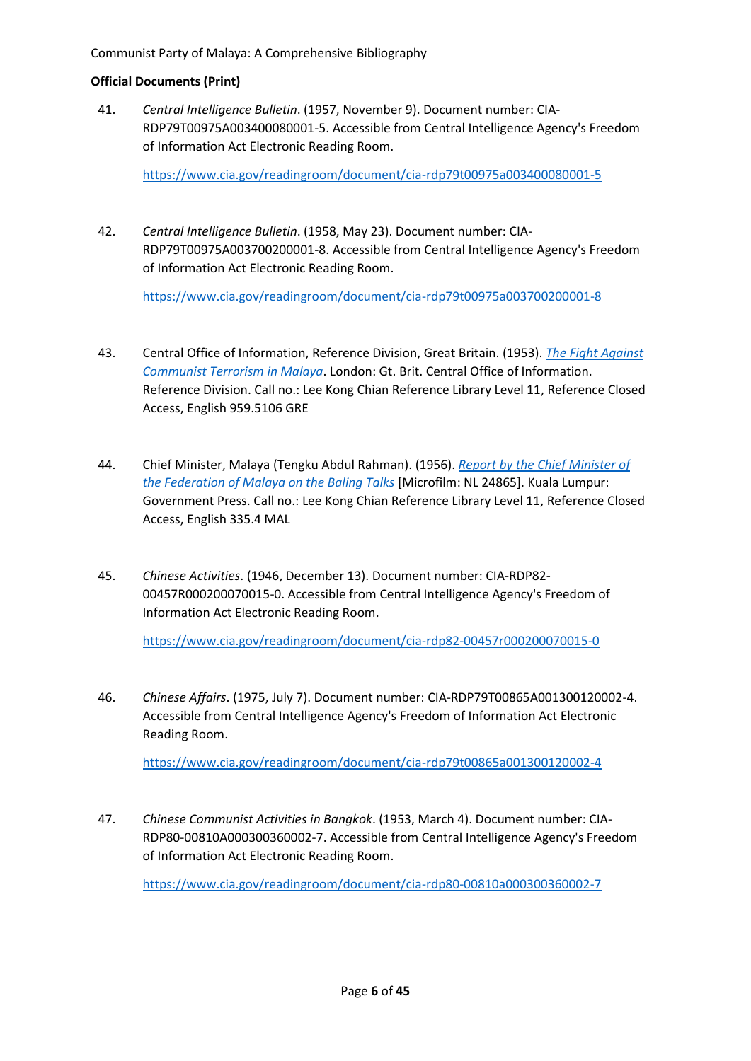41. *Central Intelligence Bulletin*. (1957, November 9). Document number: CIA-RDP79T00975A003400080001-5. Accessible from Central Intelligence Agency's Freedom of Information Act Electronic Reading Room.

<https://www.cia.gov/readingroom/document/cia-rdp79t00975a003400080001-5>

42. *Central Intelligence Bulletin*. (1958, May 23). Document number: CIA-RDP79T00975A003700200001-8. Accessible from Central Intelligence Agency's Freedom of Information Act Electronic Reading Room.

<https://www.cia.gov/readingroom/document/cia-rdp79t00975a003700200001-8>

- 43. Central Office of Information, Reference Division, Great Britain. (1953). *[The Fight Against](https://catalogue.nlb.gov.sg/cgi-bin/spydus.exe/FULL/WPAC/BIBENQ/210500417/2369920,1)  [Communist Terrorism in Malaya](https://catalogue.nlb.gov.sg/cgi-bin/spydus.exe/FULL/WPAC/BIBENQ/210500417/2369920,1)*. London: Gt. Brit. Central Office of Information. Reference Division. Call no.: Lee Kong Chian Reference Library Level 11, Reference Closed Access, English 959.5106 GRE
- 44. Chief Minister, Malaya (Tengku Abdul Rahman). (1956). *[Report by the Chief Minister of](https://catalogue.nlb.gov.sg/cgi-bin/spydus.exe/FULL/WPAC/BIBENQ/210500760/3312736,1)  [the Federation of Malaya on the Baling Talks](https://catalogue.nlb.gov.sg/cgi-bin/spydus.exe/FULL/WPAC/BIBENQ/210500760/3312736,1)* [Microfilm: NL 24865]. Kuala Lumpur: Government Press. Call no.: Lee Kong Chian Reference Library Level 11, Reference Closed Access, English 335.4 MAL
- 45. *Chinese Activities*. (1946, December 13). Document number: CIA-RDP82- 00457R000200070015-0. Accessible from Central Intelligence Agency's Freedom of Information Act Electronic Reading Room.

<https://www.cia.gov/readingroom/document/cia-rdp82-00457r000200070015-0>

46. *Chinese Affairs*. (1975, July 7). Document number: CIA-RDP79T00865A001300120002-4. Accessible from Central Intelligence Agency's Freedom of Information Act Electronic Reading Room.

<https://www.cia.gov/readingroom/document/cia-rdp79t00865a001300120002-4>

47. *Chinese Communist Activities in Bangkok*. (1953, March 4). Document number: CIA-RDP80-00810A000300360002-7. Accessible from Central Intelligence Agency's Freedom of Information Act Electronic Reading Room.

<https://www.cia.gov/readingroom/document/cia-rdp80-00810a000300360002-7>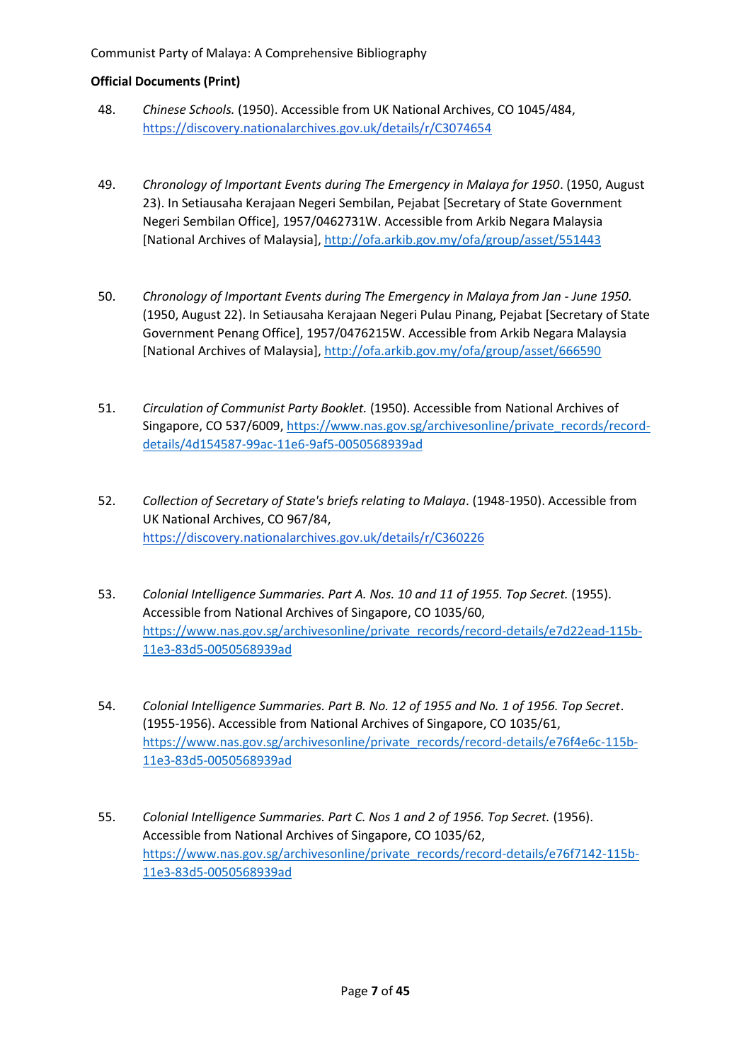- 48. *Chinese Schools.* (1950). Accessible from UK National Archives, CO 1045/484, <https://discovery.nationalarchives.gov.uk/details/r/C3074654>
- 49. *Chronology of Important Events during The Emergency in Malaya for 1950*. (1950, August 23). In Setiausaha Kerajaan Negeri Sembilan, Pejabat [Secretary of State Government Negeri Sembilan Office], 1957/0462731W. Accessible from Arkib Negara Malaysia [National Archives of Malaysia],<http://ofa.arkib.gov.my/ofa/group/asset/551443>
- 50. *Chronology of Important Events during The Emergency in Malaya from Jan - June 1950.* (1950, August 22). In Setiausaha Kerajaan Negeri Pulau Pinang, Pejabat [Secretary of State Government Penang Office], 1957/0476215W. Accessible from Arkib Negara Malaysia [National Archives of Malaysia],<http://ofa.arkib.gov.my/ofa/group/asset/666590>
- 51. *Circulation of Communist Party Booklet.* (1950). Accessible from National Archives of Singapore, CO 537/6009, [https://www.nas.gov.sg/archivesonline/private\\_records/record](https://www.nas.gov.sg/archivesonline/private_records/record-details/4d154587-99ac-11e6-9af5-0050568939ad)[details/4d154587-99ac-11e6-9af5-0050568939ad](https://www.nas.gov.sg/archivesonline/private_records/record-details/4d154587-99ac-11e6-9af5-0050568939ad)
- 52. *Collection of Secretary of State's briefs relating to Malaya*. (1948-1950). Accessible from UK National Archives, CO 967/84, <https://discovery.nationalarchives.gov.uk/details/r/C360226>
- 53. *Colonial Intelligence Summaries. Part A. Nos. 10 and 11 of 1955. Top Secret.* (1955). Accessible from National Archives of Singapore, CO 1035/60, [https://www.nas.gov.sg/archivesonline/private\\_records/record-details/e7d22ead-115b-](https://www.nas.gov.sg/archivesonline/private_records/record-details/e7d22ead-115b-11e3-83d5-0050568939ad)[11e3-83d5-0050568939ad](https://www.nas.gov.sg/archivesonline/private_records/record-details/e7d22ead-115b-11e3-83d5-0050568939ad)
- 54. *Colonial Intelligence Summaries. Part B. No. 12 of 1955 and No. 1 of 1956. Top Secret*. (1955-1956). Accessible from National Archives of Singapore, CO 1035/61, [https://www.nas.gov.sg/archivesonline/private\\_records/record-details/e76f4e6c-115b-](https://www.nas.gov.sg/archivesonline/private_records/record-details/e76f4e6c-115b-11e3-83d5-0050568939ad)[11e3-83d5-0050568939ad](https://www.nas.gov.sg/archivesonline/private_records/record-details/e76f4e6c-115b-11e3-83d5-0050568939ad)
- 55. *Colonial Intelligence Summaries. Part C. Nos 1 and 2 of 1956. Top Secret.* (1956). Accessible from National Archives of Singapore, CO 1035/62, [https://www.nas.gov.sg/archivesonline/private\\_records/record-details/e76f7142-115b-](https://www.nas.gov.sg/archivesonline/private_records/record-details/e76f7142-115b-11e3-83d5-0050568939ad)[11e3-83d5-0050568939ad](https://www.nas.gov.sg/archivesonline/private_records/record-details/e76f7142-115b-11e3-83d5-0050568939ad)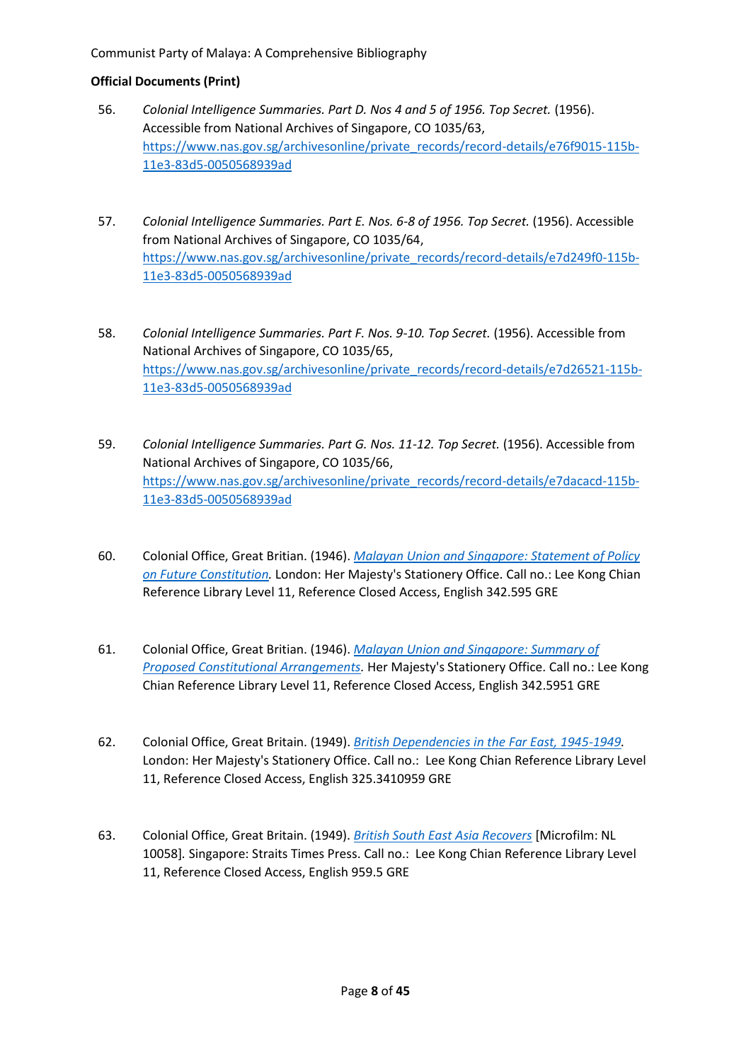- 56. *Colonial Intelligence Summaries. Part D. Nos 4 and 5 of 1956. Top Secret.* (1956). Accessible from National Archives of Singapore, CO 1035/63, [https://www.nas.gov.sg/archivesonline/private\\_records/record-details/e76f9015-115b-](https://www.nas.gov.sg/archivesonline/private_records/record-details/e76f9015-115b-11e3-83d5-0050568939ad)[11e3-83d5-0050568939ad](https://www.nas.gov.sg/archivesonline/private_records/record-details/e76f9015-115b-11e3-83d5-0050568939ad)
- 57. *Colonial Intelligence Summaries. Part E. Nos. 6-8 of 1956. Top Secret.* (1956). Accessible from National Archives of Singapore, CO 1035/64, [https://www.nas.gov.sg/archivesonline/private\\_records/record-details/e7d249f0-115b-](https://www.nas.gov.sg/archivesonline/private_records/record-details/e7d249f0-115b-11e3-83d5-0050568939ad)[11e3-83d5-0050568939ad](https://www.nas.gov.sg/archivesonline/private_records/record-details/e7d249f0-115b-11e3-83d5-0050568939ad)
- 58. *Colonial Intelligence Summaries. Part F. Nos. 9-10. Top Secret.* (1956). Accessible from National Archives of Singapore, CO 1035/65, [https://www.nas.gov.sg/archivesonline/private\\_records/record-details/e7d26521-115b-](https://www.nas.gov.sg/archivesonline/private_records/record-details/e7d26521-115b-11e3-83d5-0050568939ad)[11e3-83d5-0050568939ad](https://www.nas.gov.sg/archivesonline/private_records/record-details/e7d26521-115b-11e3-83d5-0050568939ad)
- 59. *Colonial Intelligence Summaries. Part G. Nos. 11-12. Top Secret.* (1956). Accessible from National Archives of Singapore, CO 1035/66, [https://www.nas.gov.sg/archivesonline/private\\_records/record-details/e7dacacd-115b-](https://www.nas.gov.sg/archivesonline/private_records/record-details/e7dacacd-115b-11e3-83d5-0050568939ad)[11e3-83d5-0050568939ad](https://www.nas.gov.sg/archivesonline/private_records/record-details/e7dacacd-115b-11e3-83d5-0050568939ad)
- 60. Colonial Office, Great Britian. (1946). *[Malayan Union and Singapore: Statement of Policy](https://eservice.nlb.gov.sg/item_holding.aspx?bid=4407212)  [on Future Constitution.](https://eservice.nlb.gov.sg/item_holding.aspx?bid=4407212)* London: Her Majesty's Stationery Office. Call no.: Lee Kong Chian Reference Library Level 11, Reference Closed Access, English 342.595 GRE
- 61. Colonial Office, Great Britian. (1946). *[Malayan Union and Singapore: Summary of](https://eservice.nlb.gov.sg/item_holding.aspx?bid=13220880)  [Proposed Constitutional Arrangements.](https://eservice.nlb.gov.sg/item_holding.aspx?bid=13220880)* Her Majesty's Stationery Office. Call no.: Lee Kong Chian Reference Library Level 11, Reference Closed Access, English 342.5951 GRE
- 62. Colonial Office, Great Britain. (1949). *[British Dependencies in the Far East, 1945-1949.](https://eservice.nlb.gov.sg/item_holding.aspx?bid=5826761)* London: Her Majesty's Stationery Office. Call no.: Lee Kong Chian Reference Library Level 11, Reference Closed Access, English 325.3410959 GRE
- 63. Colonial Office, Great Britain. (1949). *[British South East Asia Recovers](https://eservice.nlb.gov.sg/item_holding.aspx?bid=4412255)* [Microfilm: NL 10058]*.* Singapore: Straits Times Press. Call no.: Lee Kong Chian Reference Library Level 11, Reference Closed Access, English 959.5 GRE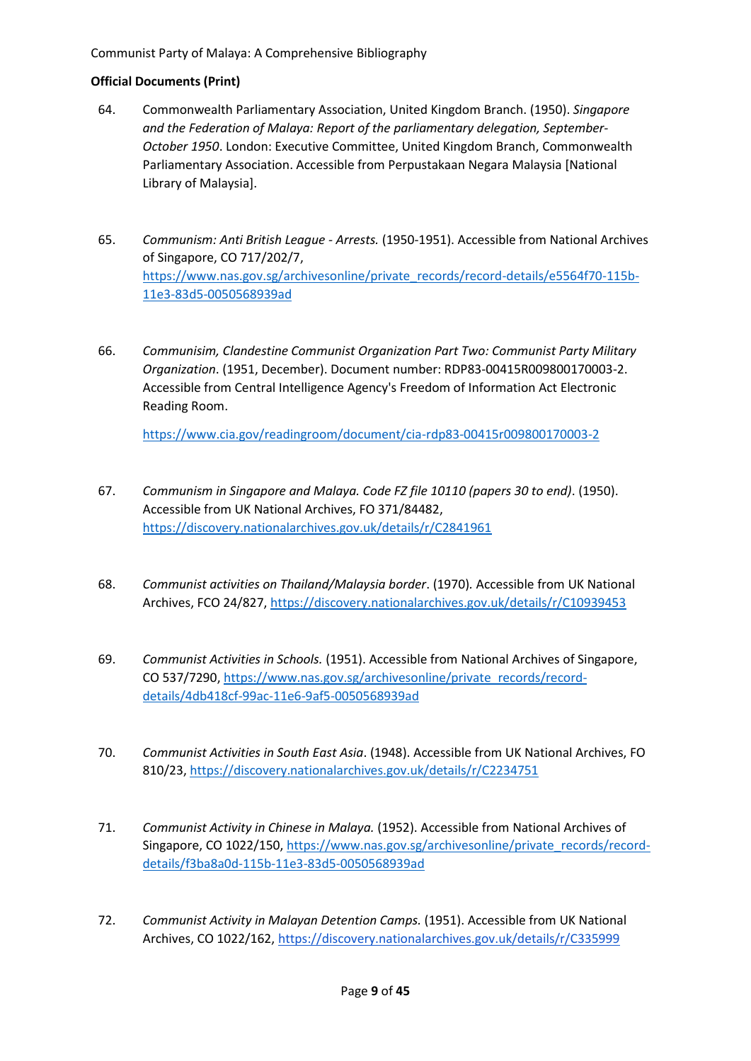- 64. Commonwealth Parliamentary Association, United Kingdom Branch. (1950). *Singapore and the Federation of Malaya: Report of the parliamentary delegation, September-October 1950*. London: Executive Committee, United Kingdom Branch, Commonwealth Parliamentary Association. Accessible from Perpustakaan Negara Malaysia [National Library of Malaysia].
- 65. *Communism: Anti British League - Arrests.* (1950-1951). Accessible from National Archives of Singapore, CO 717/202/7, [https://www.nas.gov.sg/archivesonline/private\\_records/record-details/e5564f70-115b-](https://www.nas.gov.sg/archivesonline/private_records/record-details/e5564f70-115b-11e3-83d5-0050568939ad)[11e3-83d5-0050568939ad](https://www.nas.gov.sg/archivesonline/private_records/record-details/e5564f70-115b-11e3-83d5-0050568939ad)
- 66. *Communisim, Clandestine Communist Organization Part Two: Communist Party Military Organization*. (1951, December). Document number: RDP83-00415R009800170003-2. Accessible from Central Intelligence Agency's Freedom of Information Act Electronic Reading Room.

<https://www.cia.gov/readingroom/document/cia-rdp83-00415r009800170003-2>

- 67. *Communism in Singapore and Malaya. Code FZ file 10110 (papers 30 to end)*. (1950). Accessible from UK National Archives, FO 371/84482, <https://discovery.nationalarchives.gov.uk/details/r/C2841961>
- 68. *Communist activities on Thailand/Malaysia border*. (1970)*.* Accessible from UK National Archives, FCO 24/827, <https://discovery.nationalarchives.gov.uk/details/r/C10939453>
- 69. *Communist Activities in Schools.* (1951). Accessible from National Archives of Singapore, CO 537/7290, [https://www.nas.gov.sg/archivesonline/private\\_records/record](https://www.nas.gov.sg/archivesonline/private_records/record-details/4db418cf-99ac-11e6-9af5-0050568939ad)[details/4db418cf-99ac-11e6-9af5-0050568939ad](https://www.nas.gov.sg/archivesonline/private_records/record-details/4db418cf-99ac-11e6-9af5-0050568939ad)
- 70. *Communist Activities in South East Asia*. (1948). Accessible from UK National Archives, FO 810/23, <https://discovery.nationalarchives.gov.uk/details/r/C2234751>
- 71. *Communist Activity in Chinese in Malaya.* (1952). Accessible from National Archives of Singapore, CO 1022/150, [https://www.nas.gov.sg/archivesonline/private\\_records/record](https://www.nas.gov.sg/archivesonline/private_records/record-details/f3ba8a0d-115b-11e3-83d5-0050568939ad)[details/f3ba8a0d-115b-11e3-83d5-0050568939ad](https://www.nas.gov.sg/archivesonline/private_records/record-details/f3ba8a0d-115b-11e3-83d5-0050568939ad)
- 72. *Communist Activity in Malayan Detention Camps.* (1951). Accessible from UK National Archives, CO 1022/162[, https://discovery.nationalarchives.gov.uk/details/r/C335999](https://discovery.nationalarchives.gov.uk/details/r/C335999)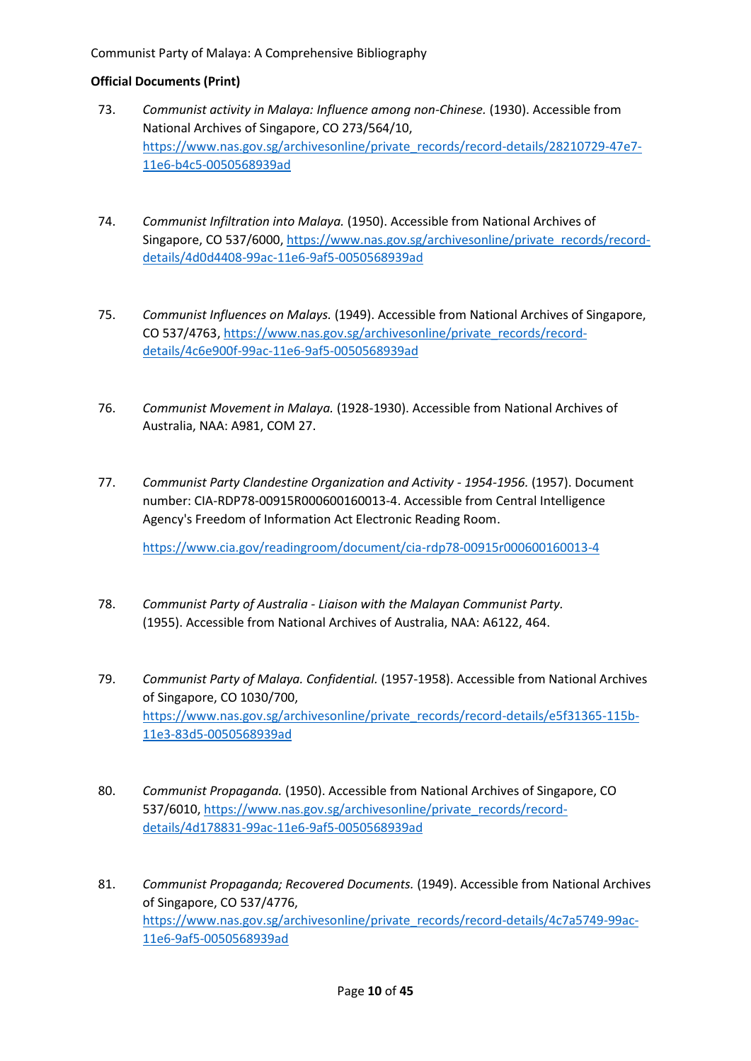## **Official Documents (Print)**

- 73. *Communist activity in Malaya: Influence among non-Chinese.* (1930). Accessible from National Archives of Singapore, CO 273/564/10, [https://www.nas.gov.sg/archivesonline/private\\_records/record-details/28210729-47e7-](https://www.nas.gov.sg/archivesonline/private_records/record-details/28210729-47e7-11e6-b4c5-0050568939ad) [11e6-b4c5-0050568939ad](https://www.nas.gov.sg/archivesonline/private_records/record-details/28210729-47e7-11e6-b4c5-0050568939ad)
- 74. *Communist Infiltration into Malaya.* (1950). Accessible from National Archives of Singapore, CO 537/6000, [https://www.nas.gov.sg/archivesonline/private\\_records/record](https://www.nas.gov.sg/archivesonline/private_records/record-details/4d0d4408-99ac-11e6-9af5-0050568939ad)[details/4d0d4408-99ac-11e6-9af5-0050568939ad](https://www.nas.gov.sg/archivesonline/private_records/record-details/4d0d4408-99ac-11e6-9af5-0050568939ad)
- 75. *Communist Influences on Malays.* (1949). Accessible from National Archives of Singapore, CO 537/4763, [https://www.nas.gov.sg/archivesonline/private\\_records/record](https://www.nas.gov.sg/archivesonline/private_records/record-details/4c6e900f-99ac-11e6-9af5-0050568939ad)[details/4c6e900f-99ac-11e6-9af5-0050568939ad](https://www.nas.gov.sg/archivesonline/private_records/record-details/4c6e900f-99ac-11e6-9af5-0050568939ad)
- 76. *Communist Movement in Malaya.* (1928-1930). Accessible from National Archives of Australia, NAA: A981, COM 27.
- 77. *Communist Party Clandestine Organization and Activity - 1954-1956.* (1957). Document number: CIA-RDP78-00915R000600160013-4. Accessible from Central Intelligence Agency's Freedom of Information Act Electronic Reading Room.

<https://www.cia.gov/readingroom/document/cia-rdp78-00915r000600160013-4>

- 78. *Communist Party of Australia - Liaison with the Malayan Communist Party.*  (1955). Accessible from National Archives of Australia, NAA: A6122, 464.
- 79. *Communist Party of Malaya. Confidential.* (1957-1958). Accessible from National Archives of Singapore, CO 1030/700, [https://www.nas.gov.sg/archivesonline/private\\_records/record-details/e5f31365-115b-](https://www.nas.gov.sg/archivesonline/private_records/record-details/e5f31365-115b-11e3-83d5-0050568939ad)[11e3-83d5-0050568939ad](https://www.nas.gov.sg/archivesonline/private_records/record-details/e5f31365-115b-11e3-83d5-0050568939ad)
- 80. *Communist Propaganda.* (1950). Accessible from National Archives of Singapore, CO 537/6010, [https://www.nas.gov.sg/archivesonline/private\\_records/record](https://www.nas.gov.sg/archivesonline/private_records/record-details/4d178831-99ac-11e6-9af5-0050568939ad)[details/4d178831-99ac-11e6-9af5-0050568939ad](https://www.nas.gov.sg/archivesonline/private_records/record-details/4d178831-99ac-11e6-9af5-0050568939ad)
- 81. *Communist Propaganda; Recovered Documents.* (1949). Accessible from National Archives of Singapore, CO 537/4776, [https://www.nas.gov.sg/archivesonline/private\\_records/record-details/4c7a5749-99ac-](https://www.nas.gov.sg/archivesonline/private_records/record-details/4c7a5749-99ac-11e6-9af5-0050568939ad)[11e6-9af5-0050568939ad](https://www.nas.gov.sg/archivesonline/private_records/record-details/4c7a5749-99ac-11e6-9af5-0050568939ad)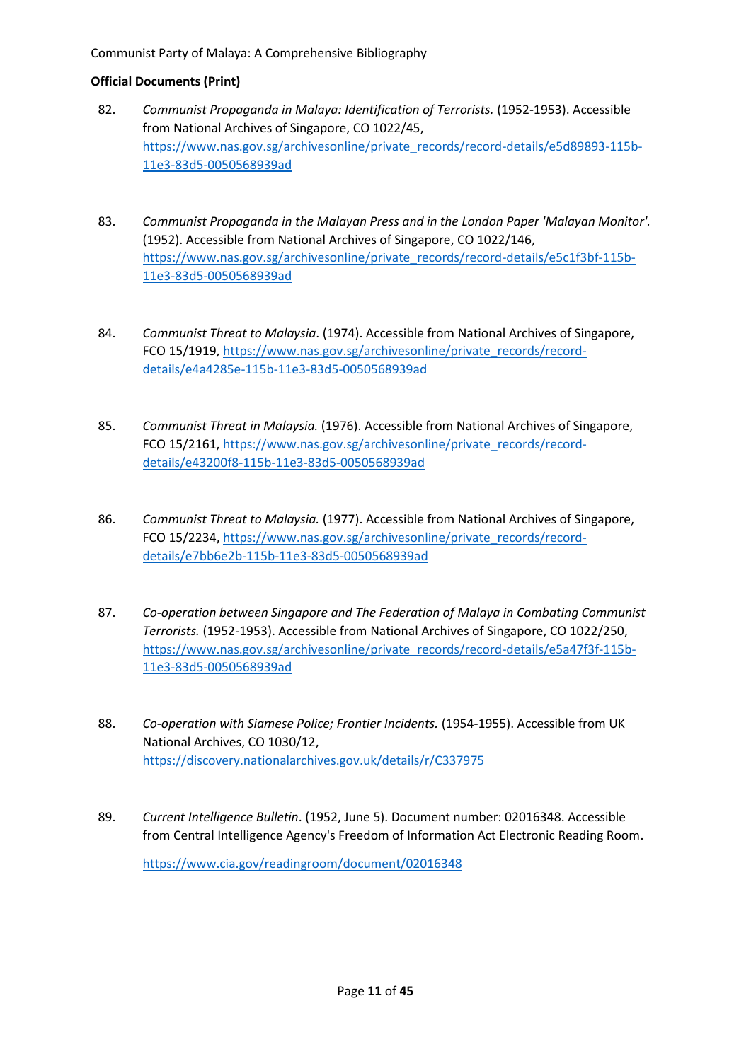## **Official Documents (Print)**

- 82. *Communist Propaganda in Malaya: Identification of Terrorists.* (1952-1953). Accessible from National Archives of Singapore, CO 1022/45, [https://www.nas.gov.sg/archivesonline/private\\_records/record-details/e5d89893-115b-](https://www.nas.gov.sg/archivesonline/private_records/record-details/e5d89893-115b-11e3-83d5-0050568939ad)[11e3-83d5-0050568939ad](https://www.nas.gov.sg/archivesonline/private_records/record-details/e5d89893-115b-11e3-83d5-0050568939ad)
- 83. *Communist Propaganda in the Malayan Press and in the London Paper 'Malayan Monitor'.* (1952). Accessible from National Archives of Singapore, CO 1022/146, [https://www.nas.gov.sg/archivesonline/private\\_records/record-details/e5c1f3bf-115b-](https://www.nas.gov.sg/archivesonline/private_records/record-details/e5c1f3bf-115b-11e3-83d5-0050568939ad)[11e3-83d5-0050568939ad](https://www.nas.gov.sg/archivesonline/private_records/record-details/e5c1f3bf-115b-11e3-83d5-0050568939ad)
- 84. *Communist Threat to Malaysia*. (1974). Accessible from National Archives of Singapore, FCO 15/1919, [https://www.nas.gov.sg/archivesonline/private\\_records/record](https://www.nas.gov.sg/archivesonline/private_records/record-details/e4a4285e-115b-11e3-83d5-0050568939ad)[details/e4a4285e-115b-11e3-83d5-0050568939ad](https://www.nas.gov.sg/archivesonline/private_records/record-details/e4a4285e-115b-11e3-83d5-0050568939ad)
- 85. *Communist Threat in Malaysia.* (1976). Accessible from National Archives of Singapore, FCO 15/2161, [https://www.nas.gov.sg/archivesonline/private\\_records/record](https://www.nas.gov.sg/archivesonline/private_records/record-details/e43200f8-115b-11e3-83d5-0050568939ad)[details/e43200f8-115b-11e3-83d5-0050568939ad](https://www.nas.gov.sg/archivesonline/private_records/record-details/e43200f8-115b-11e3-83d5-0050568939ad)
- 86. *Communist Threat to Malaysia.* (1977). Accessible from National Archives of Singapore, FCO 15/2234, [https://www.nas.gov.sg/archivesonline/private\\_records/record](https://www.nas.gov.sg/archivesonline/private_records/record-details/e7bb6e2b-115b-11e3-83d5-0050568939ad)[details/e7bb6e2b-115b-11e3-83d5-0050568939ad](https://www.nas.gov.sg/archivesonline/private_records/record-details/e7bb6e2b-115b-11e3-83d5-0050568939ad)
- 87. *Co-operation between Singapore and The Federation of Malaya in Combating Communist Terrorists.* (1952-1953). Accessible from National Archives of Singapore, CO 1022/250, [https://www.nas.gov.sg/archivesonline/private\\_records/record-details/e5a47f3f-115b-](https://www.nas.gov.sg/archivesonline/private_records/record-details/e5a47f3f-115b-11e3-83d5-0050568939ad)[11e3-83d5-0050568939ad](https://www.nas.gov.sg/archivesonline/private_records/record-details/e5a47f3f-115b-11e3-83d5-0050568939ad)
- 88. *Co-operation with Siamese Police; Frontier Incidents.* (1954-1955). Accessible from UK National Archives, CO 1030/12, <https://discovery.nationalarchives.gov.uk/details/r/C337975>
- 89. *Current Intelligence Bulletin*. (1952, June 5). Document number: 02016348. Accessible from Central Intelligence Agency's Freedom of Information Act Electronic Reading Room.

<https://www.cia.gov/readingroom/document/02016348>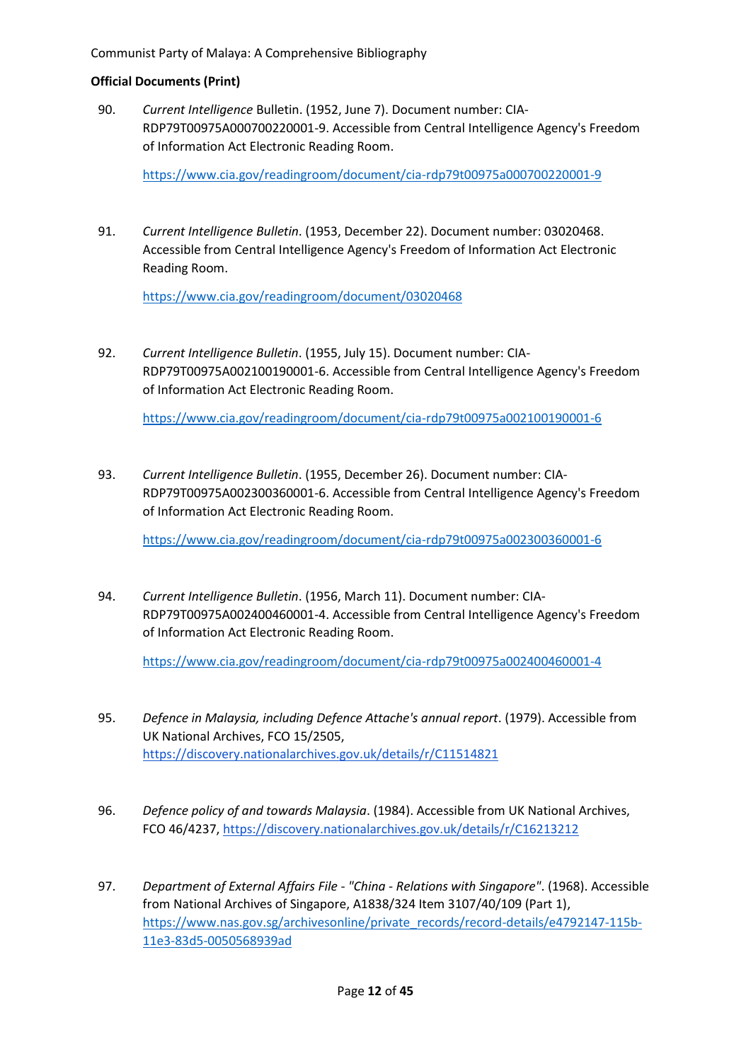90. *Current Intelligence* Bulletin. (1952, June 7). Document number: CIA-RDP79T00975A000700220001-9. Accessible from Central Intelligence Agency's Freedom of Information Act Electronic Reading Room.

<https://www.cia.gov/readingroom/document/cia-rdp79t00975a000700220001-9>

91. *Current Intelligence Bulletin*. (1953, December 22). Document number: 03020468. Accessible from Central Intelligence Agency's Freedom of Information Act Electronic Reading Room.

<https://www.cia.gov/readingroom/document/03020468>

92. *Current Intelligence Bulletin*. (1955, July 15). Document number: CIA-RDP79T00975A002100190001-6. Accessible from Central Intelligence Agency's Freedom of Information Act Electronic Reading Room.

<https://www.cia.gov/readingroom/document/cia-rdp79t00975a002100190001-6>

93. *Current Intelligence Bulletin*. (1955, December 26). Document number: CIA-RDP79T00975A002300360001-6. Accessible from Central Intelligence Agency's Freedom of Information Act Electronic Reading Room.

<https://www.cia.gov/readingroom/document/cia-rdp79t00975a002300360001-6>

94. *Current Intelligence Bulletin*. (1956, March 11). Document number: CIA-RDP79T00975A002400460001-4. Accessible from Central Intelligence Agency's Freedom of Information Act Electronic Reading Room.

<https://www.cia.gov/readingroom/document/cia-rdp79t00975a002400460001-4>

- 95. *Defence in Malaysia, including Defence Attache's annual report*. (1979). Accessible from UK National Archives, FCO 15/2505, <https://discovery.nationalarchives.gov.uk/details/r/C11514821>
- 96. *Defence policy of and towards Malaysia*. (1984). Accessible from UK National Archives, FCO 46/4237,<https://discovery.nationalarchives.gov.uk/details/r/C16213212>
- 97. *Department of External Affairs File - "China - Relations with Singapore"*. (1968). Accessible from National Archives of Singapore, A1838/324 Item 3107/40/109 (Part 1), [https://www.nas.gov.sg/archivesonline/private\\_records/record-details/e4792147-115b-](https://www.nas.gov.sg/archivesonline/private_records/record-details/e4792147-115b-11e3-83d5-0050568939ad)[11e3-83d5-0050568939ad](https://www.nas.gov.sg/archivesonline/private_records/record-details/e4792147-115b-11e3-83d5-0050568939ad)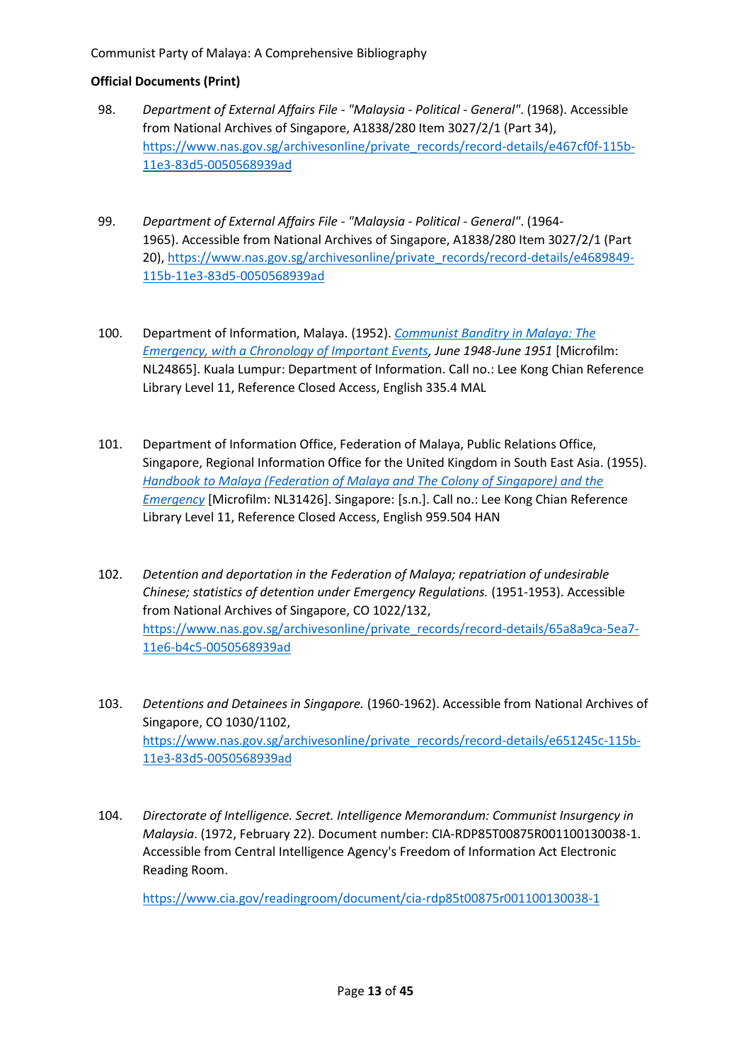## **Official Documents (Print)**

- 98. *Department of External Affairs File - "Malaysia - Political - General"*. (1968). Accessible from National Archives of Singapore, A1838/280 Item 3027/2/1 (Part 34), [https://www.nas.gov.sg/archivesonline/private\\_records/record-details/e467cf0f-115b-](https://www.nas.gov.sg/archivesonline/private_records/record-details/e467cf0f-115b-11e3-83d5-0050568939ad)[11e3-83d5-0050568939ad](https://www.nas.gov.sg/archivesonline/private_records/record-details/e467cf0f-115b-11e3-83d5-0050568939ad)
- 99. *Department of External Affairs File - "Malaysia - Political - General"*. (1964- 1965). Accessible from National Archives of Singapore, A1838/280 Item 3027/2/1 (Part 20), [https://www.nas.gov.sg/archivesonline/private\\_records/record-details/e4689849-](https://www.nas.gov.sg/archivesonline/private_records/record-details/e4689849-115b-11e3-83d5-0050568939ad) [115b-11e3-83d5-0050568939ad](https://www.nas.gov.sg/archivesonline/private_records/record-details/e4689849-115b-11e3-83d5-0050568939ad)
- 100. Department of Information, Malaya. (1952). *[Communist Banditry in Malaya: The](https://eservice.nlb.gov.sg/item_holding.aspx?bid=4316038)  [Emergency, with a Chronology of Important Events,](https://eservice.nlb.gov.sg/item_holding.aspx?bid=4316038) June 1948-June 1951* [Microfilm: NL24865]. Kuala Lumpur: Department of Information. Call no.: Lee Kong Chian Reference Library Level 11, Reference Closed Access, English 335.4 MAL
- 101. Department of Information Office, Federation of Malaya, Public Relations Office, Singapore, Regional Information Office for the United Kingdom in South East Asia. (1955). *[Handbook to Malaya \(Federation of Malaya and The Colony of Singapore\) and the](https://eservice.nlb.gov.sg/item_holding.aspx?bid=4413011)  [Emergency](https://eservice.nlb.gov.sg/item_holding.aspx?bid=4413011)* [Microfilm: NL31426]. Singapore: [s.n.]. Call no.: Lee Kong Chian Reference Library Level 11, Reference Closed Access, English 959.504 HAN
- 102. *Detention and deportation in the Federation of Malaya; repatriation of undesirable Chinese; statistics of detention under Emergency Regulations.* (1951-1953). Accessible from National Archives of Singapore, CO 1022/132, [https://www.nas.gov.sg/archivesonline/private\\_records/record-details/65a8a9ca-5ea7-](https://www.nas.gov.sg/archivesonline/private_records/record-details/65a8a9ca-5ea7-11e6-b4c5-0050568939ad) [11e6-b4c5-0050568939ad](https://www.nas.gov.sg/archivesonline/private_records/record-details/65a8a9ca-5ea7-11e6-b4c5-0050568939ad)
- 103. *Detentions and Detainees in Singapore.* (1960-1962). Accessible from National Archives of Singapore, CO 1030/1102, [https://www.nas.gov.sg/archivesonline/private\\_records/record-details/e651245c-115b-](https://www.nas.gov.sg/archivesonline/private_records/record-details/e651245c-115b-11e3-83d5-0050568939ad)[11e3-83d5-0050568939ad](https://www.nas.gov.sg/archivesonline/private_records/record-details/e651245c-115b-11e3-83d5-0050568939ad)
- 104. *Directorate of Intelligence. Secret. Intelligence Memorandum: Communist Insurgency in Malaysia*. (1972, February 22). Document number: CIA-RDP85T00875R001100130038-1. Accessible from Central Intelligence Agency's Freedom of Information Act Electronic Reading Room.

<https://www.cia.gov/readingroom/document/cia-rdp85t00875r001100130038-1>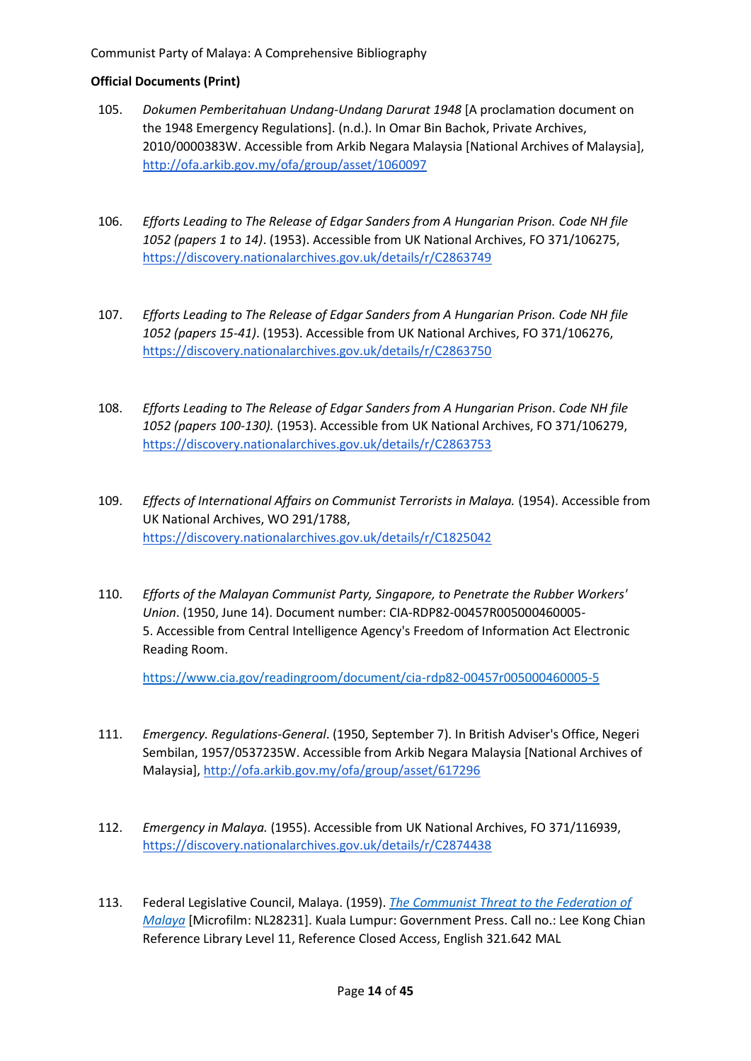## **Official Documents (Print)**

- 105. *Dokumen Pemberitahuan Undang-Undang Darurat 1948* [A proclamation document on the 1948 Emergency Regulations]. (n.d.). In Omar Bin Bachok, Private Archives, 2010/0000383W. Accessible from Arkib Negara Malaysia [National Archives of Malaysia], <http://ofa.arkib.gov.my/ofa/group/asset/1060097>
- 106. *Efforts Leading to The Release of Edgar Sanders from A Hungarian Prison. Code NH file 1052 (papers 1 to 14)*. (1953). Accessible from UK National Archives, FO 371/106275, <https://discovery.nationalarchives.gov.uk/details/r/C2863749>
- 107. *Efforts Leading to The Release of Edgar Sanders from A Hungarian Prison. Code NH file 1052 (papers 15-41)*. (1953). Accessible from UK National Archives, FO 371/106276, <https://discovery.nationalarchives.gov.uk/details/r/C2863750>
- 108. *Efforts Leading to The Release of Edgar Sanders from A Hungarian Prison*. *Code NH file 1052 (papers 100-130).* (1953). Accessible from UK National Archives, FO 371/106279, <https://discovery.nationalarchives.gov.uk/details/r/C2863753>
- 109. *Effects of International Affairs on Communist Terrorists in Malaya.* (1954). Accessible from UK National Archives, WO 291/1788, <https://discovery.nationalarchives.gov.uk/details/r/C1825042>
- 110. *Efforts of the Malayan Communist Party, Singapore, to Penetrate the Rubber Workers' Union*. (1950, June 14). Document number: CIA-RDP82-00457R005000460005- 5. Accessible from Central Intelligence Agency's Freedom of Information Act Electronic Reading Room.

<https://www.cia.gov/readingroom/document/cia-rdp82-00457r005000460005-5>

- 111. *Emergency. Regulations-General*. (1950, September 7). In British Adviser's Office, Negeri Sembilan, 1957/0537235W. Accessible from Arkib Negara Malaysia [National Archives of Malaysia][, http://ofa.arkib.gov.my/ofa/group/asset/617296](http://ofa.arkib.gov.my/ofa/group/asset/617296)
- 112. *Emergency in Malaya.* (1955). Accessible from UK National Archives, FO 371/116939, <https://discovery.nationalarchives.gov.uk/details/r/C2874438>
- 113. Federal Legislative Council, Malaya. (1959). *[The Communist Threat to the Federation of](https://eservice.nlb.gov.sg/item_holding.aspx?bid=4316150)  [Malaya](https://eservice.nlb.gov.sg/item_holding.aspx?bid=4316150)* [Microfilm: NL28231]. Kuala Lumpur: Government Press. Call no.: Lee Kong Chian Reference Library Level 11, Reference Closed Access, English 321.642 MAL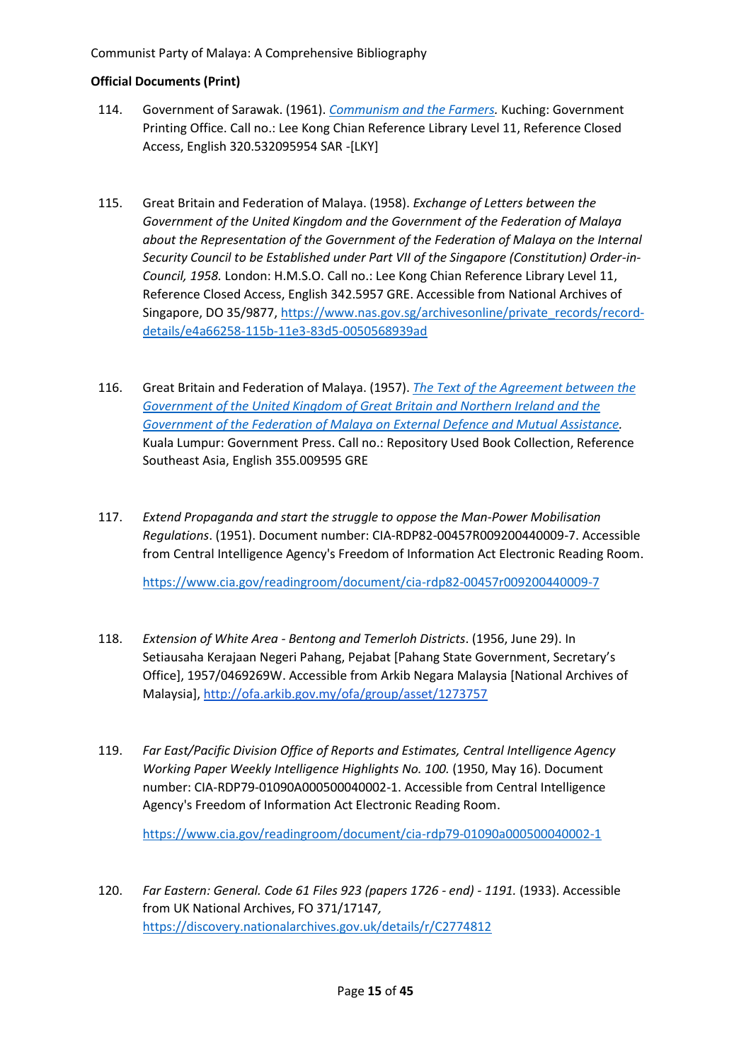## **Official Documents (Print)**

- 114. Government of Sarawak. (1961). *[Communism and the Farmers.](https://eservice.nlb.gov.sg/item_holding.aspx?bid=202341801)* Kuching: Government Printing Office. Call no.: Lee Kong Chian Reference Library Level 11, Reference Closed Access, English 320.532095954 SAR -[LKY]
- 115. Great Britain and Federation of Malaya. (1958). *Exchange of Letters between the Government of the United Kingdom and the Government of the Federation of Malaya about the Representation of the Government of the Federation of Malaya on the Internal Security Council to be Established under Part VII of the Singapore (Constitution) Order-in-Council, 1958.* London: H.M.S.O. Call no.: Lee Kong Chian Reference Library Level 11, Reference Closed Access, English 342.5957 GRE. Accessible from National Archives of Singapore, DO 35/9877[, https://www.nas.gov.sg/archivesonline/private\\_records/record](https://www.nas.gov.sg/archivesonline/private_records/record-details/e4a66258-115b-11e3-83d5-0050568939ad)[details/e4a66258-115b-11e3-83d5-0050568939ad](https://www.nas.gov.sg/archivesonline/private_records/record-details/e4a66258-115b-11e3-83d5-0050568939ad)
- 116. Great Britain and Federation of Malaya. (1957). *[The Text of the Agreement between the](https://catalogue.nlb.gov.sg/cgi-bin/spydus.exe/FULL/WPAC/BIBENQ/210510142/272259,1)  [Government of the United Kingdom of Great Britain and Northern Ireland and the](https://catalogue.nlb.gov.sg/cgi-bin/spydus.exe/FULL/WPAC/BIBENQ/210510142/272259,1)  [Government of the Federation of Malaya on](https://catalogue.nlb.gov.sg/cgi-bin/spydus.exe/FULL/WPAC/BIBENQ/210510142/272259,1) External Defence and Mutual Assistance.* Kuala Lumpur: Government Press. Call no.: Repository Used Book Collection, Reference Southeast Asia, English 355.009595 GRE
- 117. *Extend Propaganda and start the struggle to oppose the Man-Power Mobilisation Regulations*. (1951). Document number: CIA-RDP82-00457R009200440009-7. Accessible from Central Intelligence Agency's Freedom of Information Act Electronic Reading Room.

<https://www.cia.gov/readingroom/document/cia-rdp82-00457r009200440009-7>

- 118. *Extension of White Area - Bentong and Temerloh Districts*. (1956, June 29). In Setiausaha Kerajaan Negeri Pahang, Pejabat [Pahang State Government, Secretary's Office], 1957/0469269W. Accessible from Arkib Negara Malaysia [National Archives of Malaysia][, http://ofa.arkib.gov.my/ofa/group/asset/1273757](http://ofa.arkib.gov.my/ofa/group/asset/1273757)
- 119. *Far East/Pacific Division Office of Reports and Estimates, Central Intelligence Agency Working Paper Weekly Intelligence Highlights No. 100.* (1950, May 16). Document number: CIA-RDP79-01090A000500040002-1. Accessible from Central Intelligence Agency's Freedom of Information Act Electronic Reading Room.

<https://www.cia.gov/readingroom/document/cia-rdp79-01090a000500040002-1>

120. *Far Eastern: General. Code 61 Files 923 (papers 1726 - end) - 1191.* (1933). Accessible from UK National Archives, FO 371/17147*,* <https://discovery.nationalarchives.gov.uk/details/r/C2774812>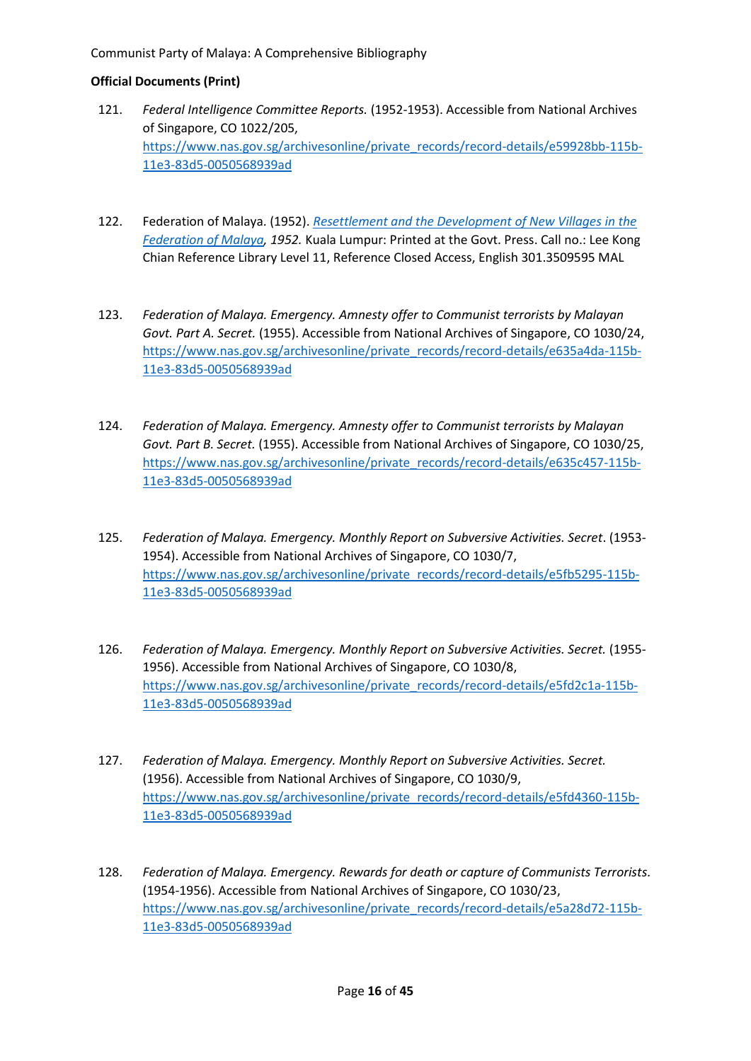- 121. *Federal Intelligence Committee Reports.* (1952-1953). Accessible from National Archives of Singapore, CO 1022/205, [https://www.nas.gov.sg/archivesonline/private\\_records/record-details/e59928bb-115b-](https://www.nas.gov.sg/archivesonline/private_records/record-details/e59928bb-115b-11e3-83d5-0050568939ad)[11e3-83d5-0050568939ad](https://www.nas.gov.sg/archivesonline/private_records/record-details/e59928bb-115b-11e3-83d5-0050568939ad)
- 122. Federation of Malaya. (1952). *[Resettlement and the Development of New Villages in the](https://eservice.nlb.gov.sg/item_holding.aspx?bid=4315906)  [Federation of Malaya,](https://eservice.nlb.gov.sg/item_holding.aspx?bid=4315906) 1952.* Kuala Lumpur: Printed at the Govt. Press. Call no.: Lee Kong Chian Reference Library Level 11, Reference Closed Access, English 301.3509595 MAL
- 123. *Federation of Malaya. Emergency. Amnesty offer to Communist terrorists by Malayan Govt. Part A. Secret.* (1955). Accessible from National Archives of Singapore, CO 1030/24, [https://www.nas.gov.sg/archivesonline/private\\_records/record-details/e635a4da-115b-](https://www.nas.gov.sg/archivesonline/private_records/record-details/e635a4da-115b-11e3-83d5-0050568939ad)[11e3-83d5-0050568939ad](https://www.nas.gov.sg/archivesonline/private_records/record-details/e635a4da-115b-11e3-83d5-0050568939ad)
- 124. *Federation of Malaya. Emergency. Amnesty offer to Communist terrorists by Malayan Govt. Part B. Secret.* (1955). Accessible from National Archives of Singapore, CO 1030/25, [https://www.nas.gov.sg/archivesonline/private\\_records/record-details/e635c457-115b-](https://www.nas.gov.sg/archivesonline/private_records/record-details/e635c457-115b-11e3-83d5-0050568939ad)[11e3-83d5-0050568939ad](https://www.nas.gov.sg/archivesonline/private_records/record-details/e635c457-115b-11e3-83d5-0050568939ad)
- 125. *Federation of Malaya. Emergency. Monthly Report on Subversive Activities. Secret*. (1953- 1954). Accessible from National Archives of Singapore, CO 1030/7, [https://www.nas.gov.sg/archivesonline/private\\_records/record-details/e5fb5295-115b-](https://www.nas.gov.sg/archivesonline/private_records/record-details/e5fb5295-115b-11e3-83d5-0050568939ad)[11e3-83d5-0050568939ad](https://www.nas.gov.sg/archivesonline/private_records/record-details/e5fb5295-115b-11e3-83d5-0050568939ad)
- 126. *Federation of Malaya. Emergency. Monthly Report on Subversive Activities. Secret.* (1955- 1956). Accessible from National Archives of Singapore, CO 1030/8, [https://www.nas.gov.sg/archivesonline/private\\_records/record-details/e5fd2c1a-115b-](https://www.nas.gov.sg/archivesonline/private_records/record-details/e5fd2c1a-115b-11e3-83d5-0050568939ad)[11e3-83d5-0050568939ad](https://www.nas.gov.sg/archivesonline/private_records/record-details/e5fd2c1a-115b-11e3-83d5-0050568939ad)
- 127. *Federation of Malaya. Emergency. Monthly Report on Subversive Activities. Secret.* (1956). Accessible from National Archives of Singapore, CO 1030/9, [https://www.nas.gov.sg/archivesonline/private\\_records/record-details/e5fd4360-115b-](https://www.nas.gov.sg/archivesonline/private_records/record-details/e5fd4360-115b-11e3-83d5-0050568939ad)[11e3-83d5-0050568939ad](https://www.nas.gov.sg/archivesonline/private_records/record-details/e5fd4360-115b-11e3-83d5-0050568939ad)
- 128. *Federation of Malaya. Emergency. Rewards for death or capture of Communists Terrorists.* (1954-1956). Accessible from National Archives of Singapore, CO 1030/23, [https://www.nas.gov.sg/archivesonline/private\\_records/record-details/e5a28d72-115b-](https://www.nas.gov.sg/archivesonline/private_records/record-details/e5a28d72-115b-11e3-83d5-0050568939ad)[11e3-83d5-0050568939ad](https://www.nas.gov.sg/archivesonline/private_records/record-details/e5a28d72-115b-11e3-83d5-0050568939ad)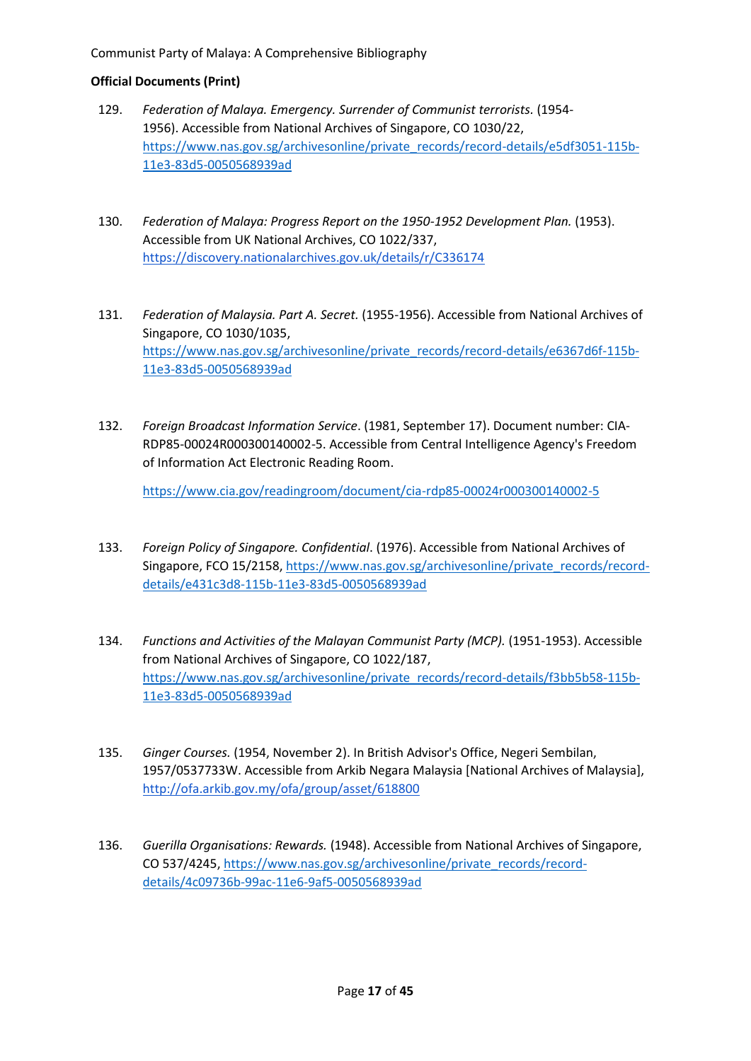## **Official Documents (Print)**

- 129. *Federation of Malaya. Emergency. Surrender of Communist terrorists.* (1954- 1956). Accessible from National Archives of Singapore, CO 1030/22, [https://www.nas.gov.sg/archivesonline/private\\_records/record-details/e5df3051-115b-](https://www.nas.gov.sg/archivesonline/private_records/record-details/e5df3051-115b-11e3-83d5-0050568939ad)[11e3-83d5-0050568939ad](https://www.nas.gov.sg/archivesonline/private_records/record-details/e5df3051-115b-11e3-83d5-0050568939ad)
- 130. *Federation of Malaya: Progress Report on the 1950-1952 Development Plan.* (1953). Accessible from UK National Archives, CO 1022/337, <https://discovery.nationalarchives.gov.uk/details/r/C336174>
- 131. *Federation of Malaysia. Part A. Secret.* (1955-1956). Accessible from National Archives of Singapore, CO 1030/1035, [https://www.nas.gov.sg/archivesonline/private\\_records/record-details/e6367d6f-115b-](https://www.nas.gov.sg/archivesonline/private_records/record-details/e6367d6f-115b-11e3-83d5-0050568939ad)[11e3-83d5-0050568939ad](https://www.nas.gov.sg/archivesonline/private_records/record-details/e6367d6f-115b-11e3-83d5-0050568939ad)
- 132. *Foreign Broadcast Information Service*. (1981, September 17). Document number: CIA-RDP85-00024R000300140002-5. Accessible from Central Intelligence Agency's Freedom of Information Act Electronic Reading Room.

<https://www.cia.gov/readingroom/document/cia-rdp85-00024r000300140002-5>

- 133. *Foreign Policy of Singapore. Confidential*. (1976). Accessible from National Archives of Singapore, FCO 15/2158, [https://www.nas.gov.sg/archivesonline/private\\_records/record](https://www.nas.gov.sg/archivesonline/private_records/record-details/e431c3d8-115b-11e3-83d5-0050568939ad)[details/e431c3d8-115b-11e3-83d5-0050568939ad](https://www.nas.gov.sg/archivesonline/private_records/record-details/e431c3d8-115b-11e3-83d5-0050568939ad)
- 134. *Functions and Activities of the Malayan Communist Party (MCP).* (1951-1953). Accessible from National Archives of Singapore, CO 1022/187, [https://www.nas.gov.sg/archivesonline/private\\_records/record-details/f3bb5b58-115b-](https://www.nas.gov.sg/archivesonline/private_records/record-details/f3bb5b58-115b-11e3-83d5-0050568939ad)[11e3-83d5-0050568939ad](https://www.nas.gov.sg/archivesonline/private_records/record-details/f3bb5b58-115b-11e3-83d5-0050568939ad)
- 135. *Ginger Courses.* (1954, November 2). In British Advisor's Office, Negeri Sembilan, 1957/0537733W. Accessible from Arkib Negara Malaysia [National Archives of Malaysia], <http://ofa.arkib.gov.my/ofa/group/asset/618800>
- 136. *Guerilla Organisations: Rewards.* (1948). Accessible from National Archives of Singapore, CO 537/4245, [https://www.nas.gov.sg/archivesonline/private\\_records/record](https://www.nas.gov.sg/archivesonline/private_records/record-details/4c09736b-99ac-11e6-9af5-0050568939ad)[details/4c09736b-99ac-11e6-9af5-0050568939ad](https://www.nas.gov.sg/archivesonline/private_records/record-details/4c09736b-99ac-11e6-9af5-0050568939ad)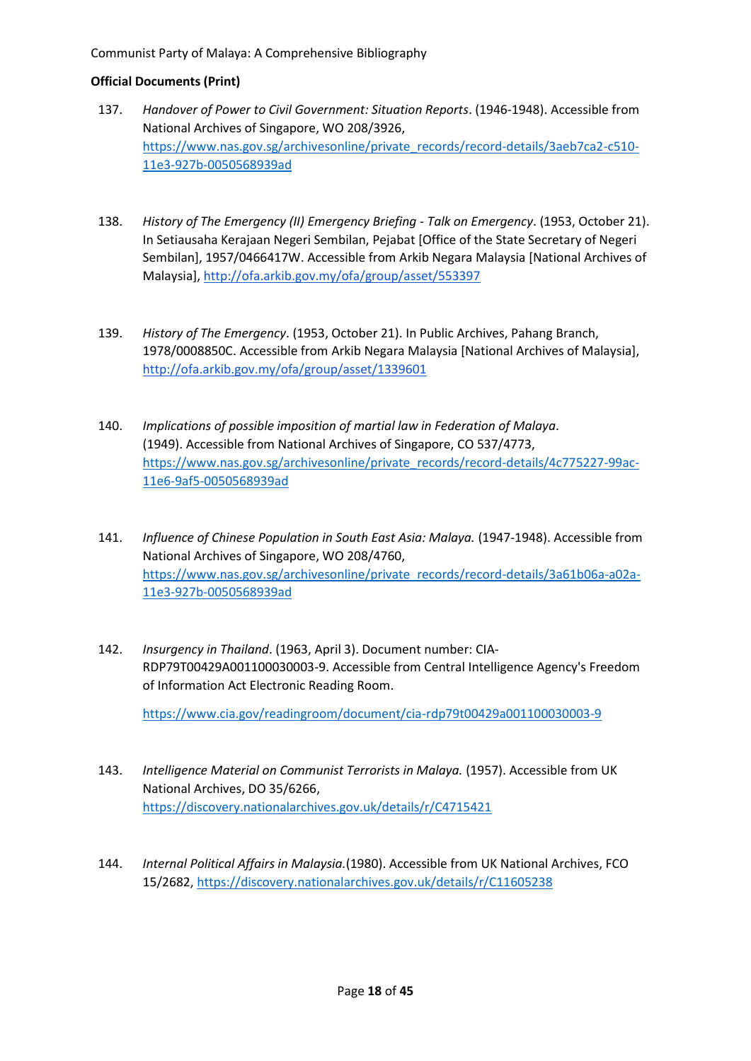## **Official Documents (Print)**

- 137. *Handover of Power to Civil Government: Situation Reports*. (1946-1948). Accessible from National Archives of Singapore, WO 208/3926, [https://www.nas.gov.sg/archivesonline/private\\_records/record-details/3aeb7ca2-c510-](https://www.nas.gov.sg/archivesonline/private_records/record-details/3aeb7ca2-c510-11e3-927b-0050568939ad) [11e3-927b-0050568939ad](https://www.nas.gov.sg/archivesonline/private_records/record-details/3aeb7ca2-c510-11e3-927b-0050568939ad)
- 138. *History of The Emergency (II) Emergency Briefing - Talk on Emergency*. (1953, October 21). In Setiausaha Kerajaan Negeri Sembilan, Pejabat [Office of the State Secretary of Negeri Sembilan], 1957/0466417W. Accessible from Arkib Negara Malaysia [National Archives of Malaysia][, http://ofa.arkib.gov.my/ofa/group/asset/553397](http://ofa.arkib.gov.my/ofa/group/asset/553397)
- 139. *History of The Emergency*. (1953, October 21). In Public Archives, Pahang Branch, 1978/0008850C. Accessible from Arkib Negara Malaysia [National Archives of Malaysia], <http://ofa.arkib.gov.my/ofa/group/asset/1339601>
- 140. *Implications of possible imposition of martial law in Federation of Malaya*. (1949). Accessible from National Archives of Singapore, CO 537/4773, [https://www.nas.gov.sg/archivesonline/private\\_records/record-details/4c775227-99ac-](https://www.nas.gov.sg/archivesonline/private_records/record-details/4c775227-99ac-11e6-9af5-0050568939ad)[11e6-9af5-0050568939ad](https://www.nas.gov.sg/archivesonline/private_records/record-details/4c775227-99ac-11e6-9af5-0050568939ad)
- 141. *Influence of Chinese Population in South East Asia: Malaya.* (1947-1948). Accessible from National Archives of Singapore, WO 208/4760, [https://www.nas.gov.sg/archivesonline/private\\_records/record-details/3a61b06a-a02a-](https://www.nas.gov.sg/archivesonline/private_records/record-details/3a61b06a-a02a-11e3-927b-0050568939ad)[11e3-927b-0050568939ad](https://www.nas.gov.sg/archivesonline/private_records/record-details/3a61b06a-a02a-11e3-927b-0050568939ad)
- 142. *Insurgency in Thailand*. (1963, April 3). Document number: CIA-RDP79T00429A001100030003-9. Accessible from Central Intelligence Agency's Freedom of Information Act Electronic Reading Room.

<https://www.cia.gov/readingroom/document/cia-rdp79t00429a001100030003-9>

- 143. *Intelligence Material on Communist Terrorists in Malaya.* (1957). Accessible from UK National Archives, DO 35/6266, <https://discovery.nationalarchives.gov.uk/details/r/C4715421>
- 144. *Internal Political Affairs in Malaysia.*(1980). Accessible from UK National Archives, FCO 15/2682, <https://discovery.nationalarchives.gov.uk/details/r/C11605238>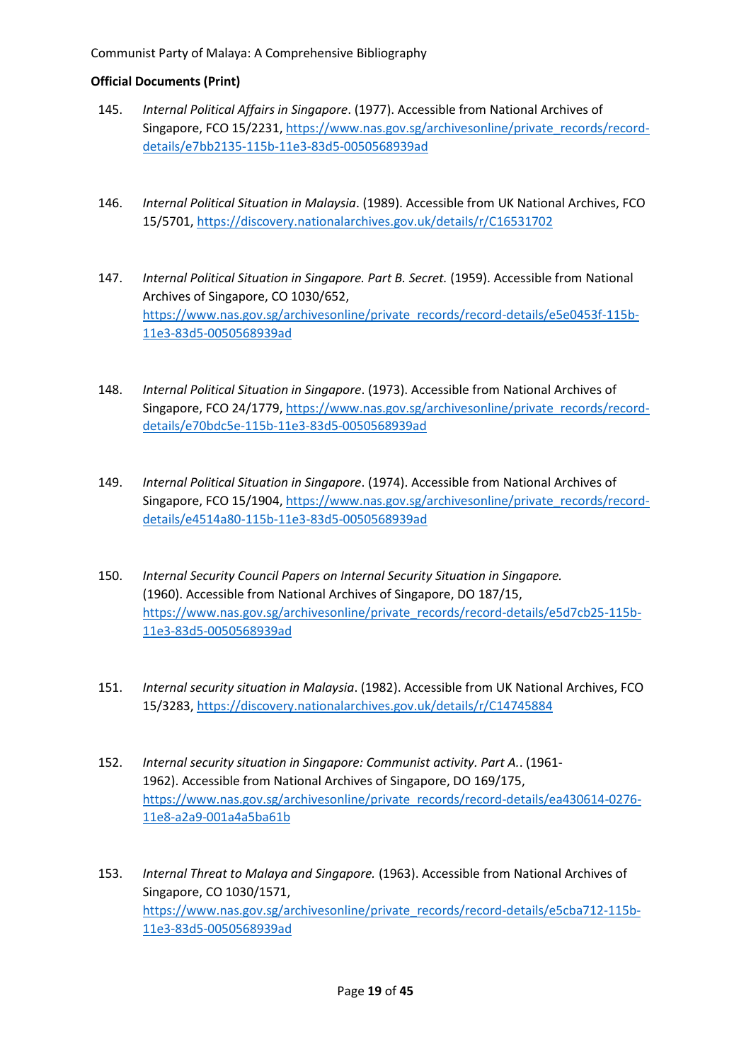- 145. *Internal Political Affairs in Singapore*. (1977). Accessible from National Archives of Singapore, FCO 15/2231[, https://www.nas.gov.sg/archivesonline/private\\_records/record](https://www.nas.gov.sg/archivesonline/private_records/record-details/e7bb2135-115b-11e3-83d5-0050568939ad)[details/e7bb2135-115b-11e3-83d5-0050568939ad](https://www.nas.gov.sg/archivesonline/private_records/record-details/e7bb2135-115b-11e3-83d5-0050568939ad)
- 146. *Internal Political Situation in Malaysia* \ . (1989). Accessible from UK National Archives, FCO 15/5701, <https://discovery.nationalarchives.gov.uk/details/r/C16531702>
- 147. *Internal Political Situation in Singapore. Part B. Secret.* (1959). Accessible from National Archives of Singapore, CO 1030/652, [https://www.nas.gov.sg/archivesonline/private\\_records/record-details/e5e0453f-115b-](https://www.nas.gov.sg/archivesonline/private_records/record-details/e5e0453f-115b-11e3-83d5-0050568939ad)[11e3-83d5-0050568939ad](https://www.nas.gov.sg/archivesonline/private_records/record-details/e5e0453f-115b-11e3-83d5-0050568939ad)
- 148. *Internal Political Situation in Singapore*. (1973). Accessible from National Archives of Singapore, FCO 24/1779, [https://www.nas.gov.sg/archivesonline/private\\_records/record](https://www.nas.gov.sg/archivesonline/private_records/record-details/e70bdc5e-115b-11e3-83d5-0050568939ad)[details/e70bdc5e-115b-11e3-83d5-0050568939ad](https://www.nas.gov.sg/archivesonline/private_records/record-details/e70bdc5e-115b-11e3-83d5-0050568939ad)
- 149. *Internal Political Situation in Singapore*. (1974). Accessible from National Archives of Singapore, FCO 15/1904[, https://www.nas.gov.sg/archivesonline/private\\_records/record](https://www.nas.gov.sg/archivesonline/private_records/record-details/e4514a80-115b-11e3-83d5-0050568939ad)[details/e4514a80-115b-11e3-83d5-0050568939ad](https://www.nas.gov.sg/archivesonline/private_records/record-details/e4514a80-115b-11e3-83d5-0050568939ad)
- 150. *Internal Security Council Papers on Internal Security Situation in Singapore.* (1960). Accessible from National Archives of Singapore, DO 187/15, [https://www.nas.gov.sg/archivesonline/private\\_records/record-details/e5d7cb25-115b-](https://www.nas.gov.sg/archivesonline/private_records/record-details/e5d7cb25-115b-11e3-83d5-0050568939ad)[11e3-83d5-0050568939ad](https://www.nas.gov.sg/archivesonline/private_records/record-details/e5d7cb25-115b-11e3-83d5-0050568939ad)
- 151. *Internal security situation in Malaysia*. (1982). Accessible from UK National Archives, FCO 15/3283,<https://discovery.nationalarchives.gov.uk/details/r/C14745884>
- 152. *Internal security situation in Singapore: Communist activity. Part A.*. (1961- 1962). Accessible from National Archives of Singapore, DO 169/175, [https://www.nas.gov.sg/archivesonline/private\\_records/record-details/ea430614-0276-](https://www.nas.gov.sg/archivesonline/private_records/record-details/ea430614-0276-11e8-a2a9-001a4a5ba61b) [11e8-a2a9-001a4a5ba61b](https://www.nas.gov.sg/archivesonline/private_records/record-details/ea430614-0276-11e8-a2a9-001a4a5ba61b)
- 153. *Internal Threat to Malaya and Singapore.* (1963). Accessible from National Archives of Singapore, CO 1030/1571, [https://www.nas.gov.sg/archivesonline/private\\_records/record-details/e5cba712-115b-](https://www.nas.gov.sg/archivesonline/private_records/record-details/e5cba712-115b-11e3-83d5-0050568939ad)[11e3-83d5-0050568939ad](https://www.nas.gov.sg/archivesonline/private_records/record-details/e5cba712-115b-11e3-83d5-0050568939ad)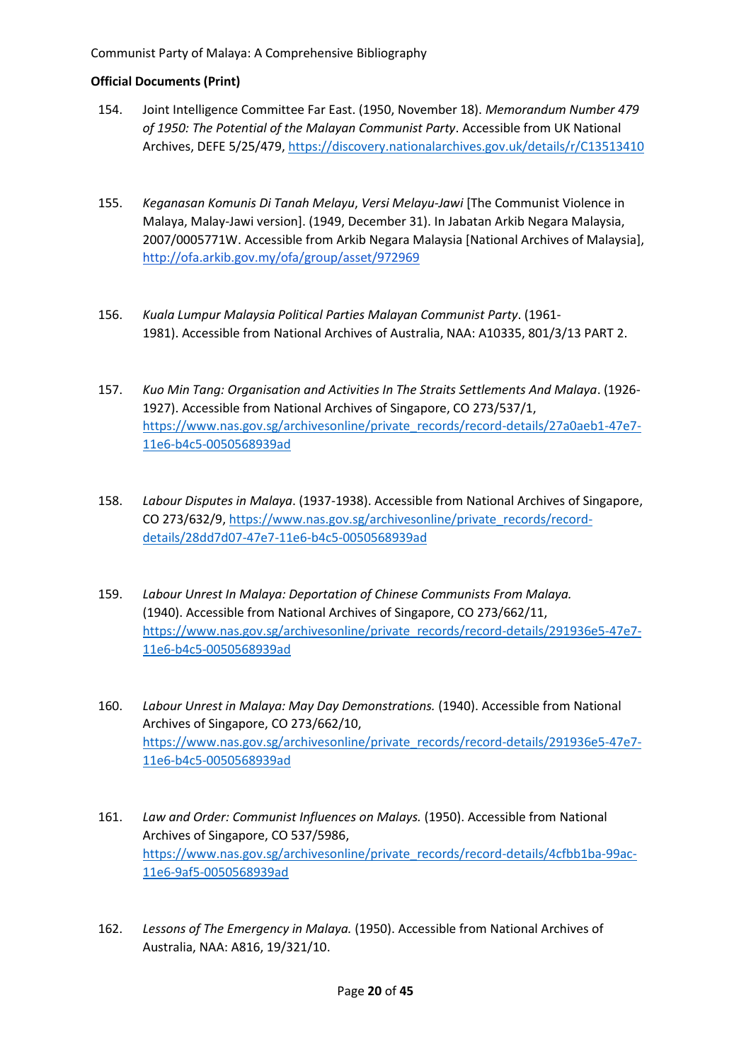- 154. Joint Intelligence Committee Far East. (1950, November 18). *Memorandum Number 479 of 1950: The Potential of the Malayan Communist Party*. Accessible from UK National Archives, DEFE 5/25/479[, https://discovery.nationalarchives.gov.uk/details/r/C13513410](https://discovery.nationalarchives.gov.uk/details/r/C13513410)
- 155. *Keganasan Komunis Di Tanah Melayu*, *Versi Melayu-Jawi* [The Communist Violence in Malaya, Malay-Jawi version]. (1949, December 31). In Jabatan Arkib Negara Malaysia, 2007/0005771W. Accessible from Arkib Negara Malaysia [National Archives of Malaysia], <http://ofa.arkib.gov.my/ofa/group/asset/972969>
- 156. *Kuala Lumpur Malaysia Political Parties Malayan Communist Party*. (1961- 1981). Accessible from National Archives of Australia, NAA: A10335, 801/3/13 PART 2.
- 157. *Kuo Min Tang: Organisation and Activities In The Straits Settlements And Malaya*. (1926- 1927). Accessible from National Archives of Singapore, CO 273/537/1, [https://www.nas.gov.sg/archivesonline/private\\_records/record-details/27a0aeb1-47e7-](https://www.nas.gov.sg/archivesonline/private_records/record-details/27a0aeb1-47e7-11e6-b4c5-0050568939ad) [11e6-b4c5-0050568939ad](https://www.nas.gov.sg/archivesonline/private_records/record-details/27a0aeb1-47e7-11e6-b4c5-0050568939ad)
- 158. *Labour Disputes in Malaya*. (1937-1938). Accessible from National Archives of Singapore, CO 273/632/9, [https://www.nas.gov.sg/archivesonline/private\\_records/record](https://www.nas.gov.sg/archivesonline/private_records/record-details/28dd7d07-47e7-11e6-b4c5-0050568939ad)[details/28dd7d07-47e7-11e6-b4c5-0050568939ad](https://www.nas.gov.sg/archivesonline/private_records/record-details/28dd7d07-47e7-11e6-b4c5-0050568939ad)
- 159. *Labour Unrest In Malaya: Deportation of Chinese Communists From Malaya.*  (1940). Accessible from National Archives of Singapore, CO 273/662/11, [https://www.nas.gov.sg/archivesonline/private\\_records/record-details/291936e5-47e7-](https://www.nas.gov.sg/archivesonline/private_records/record-details/291936e5-47e7-11e6-b4c5-0050568939ad) [11e6-b4c5-0050568939ad](https://www.nas.gov.sg/archivesonline/private_records/record-details/291936e5-47e7-11e6-b4c5-0050568939ad)
- 160. *Labour Unrest in Malaya: May Day Demonstrations.* (1940). Accessible from National Archives of Singapore, CO 273/662/10, [https://www.nas.gov.sg/archivesonline/private\\_records/record-details/291936e5-47e7-](https://www.nas.gov.sg/archivesonline/private_records/record-details/291936e5-47e7-11e6-b4c5-0050568939ad) [11e6-b4c5-0050568939ad](https://www.nas.gov.sg/archivesonline/private_records/record-details/291936e5-47e7-11e6-b4c5-0050568939ad)
- 161. *Law and Order: Communist Influences on Malays.* (1950). Accessible from National Archives of Singapore, CO 537/5986, [https://www.nas.gov.sg/archivesonline/private\\_records/record-details/4cfbb1ba-99ac-](https://www.nas.gov.sg/archivesonline/private_records/record-details/4cfbb1ba-99ac-11e6-9af5-0050568939ad)[11e6-9af5-0050568939ad](https://www.nas.gov.sg/archivesonline/private_records/record-details/4cfbb1ba-99ac-11e6-9af5-0050568939ad)
- 162. *Lessons of The Emergency in Malaya.* (1950). Accessible from National Archives of Australia, NAA: A816, 19/321/10.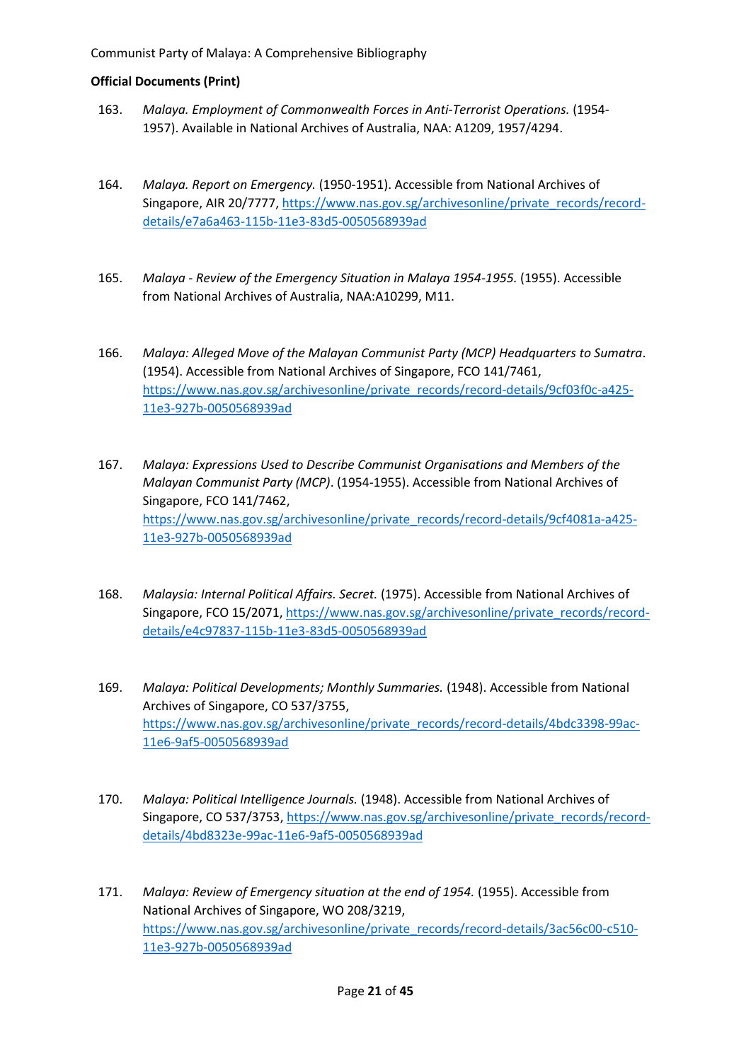- 163. *Malaya. Employment of Commonwealth Forces in Anti-Terrorist Operations.* (1954- 1957). Available in National Archives of Australia, NAA: A1209, 1957/4294.
- 164. *Malaya. Report on Emergency.* (1950-1951). Accessible from National Archives of Singapore, AIR 20/7777, [https://www.nas.gov.sg/archivesonline/private\\_records/record](https://www.nas.gov.sg/archivesonline/private_records/record-details/e7a6a463-115b-11e3-83d5-0050568939ad)[details/e7a6a463-115b-11e3-83d5-0050568939ad](https://www.nas.gov.sg/archivesonline/private_records/record-details/e7a6a463-115b-11e3-83d5-0050568939ad)
- 165. *Malaya - Review of the Emergency Situation in Malaya 1954-1955.* (1955). Accessible from National Archives of Australia, NAA:A10299, M11.
- 166. *Malaya: Alleged Move of the Malayan Communist Party (MCP) Headquarters to Sumatra*. (1954). Accessible from National Archives of Singapore, FCO 141/7461, [https://www.nas.gov.sg/archivesonline/private\\_records/record-details/9cf03f0c-a425-](https://www.nas.gov.sg/archivesonline/private_records/record-details/9cf03f0c-a425-11e3-927b-0050568939ad) [11e3-927b-0050568939ad](https://www.nas.gov.sg/archivesonline/private_records/record-details/9cf03f0c-a425-11e3-927b-0050568939ad)
- 167. *Malaya: Expressions Used to Describe Communist Organisations and Members of the Malayan Communist Party (MCP)*. (1954-1955). Accessible from National Archives of Singapore, FCO 141/7462, [https://www.nas.gov.sg/archivesonline/private\\_records/record-details/9cf4081a-a425-](https://www.nas.gov.sg/archivesonline/private_records/record-details/9cf4081a-a425-11e3-927b-0050568939ad) [11e3-927b-0050568939ad](https://www.nas.gov.sg/archivesonline/private_records/record-details/9cf4081a-a425-11e3-927b-0050568939ad)
- 168. *Malaysia: Internal Political Affairs. Secret.* (1975). Accessible from National Archives of Singapore, FCO 15/2071, [https://www.nas.gov.sg/archivesonline/private\\_records/record](https://www.nas.gov.sg/archivesonline/private_records/record-details/e4c97837-115b-11e3-83d5-0050568939ad)[details/e4c97837-115b-11e3-83d5-0050568939ad](https://www.nas.gov.sg/archivesonline/private_records/record-details/e4c97837-115b-11e3-83d5-0050568939ad)
- 169. *Malaya: Political Developments; Monthly Summaries.* (1948). Accessible from National Archives of Singapore, CO 537/3755, [https://www.nas.gov.sg/archivesonline/private\\_records/record-details/4bdc3398-99ac-](https://www.nas.gov.sg/archivesonline/private_records/record-details/4bdc3398-99ac-11e6-9af5-0050568939ad)[11e6-9af5-0050568939ad](https://www.nas.gov.sg/archivesonline/private_records/record-details/4bdc3398-99ac-11e6-9af5-0050568939ad)
- 170. *Malaya: Political Intelligence Journals.* (1948). Accessible from National Archives of Singapore, CO 537/3753, [https://www.nas.gov.sg/archivesonline/private\\_records/record](https://www.nas.gov.sg/archivesonline/private_records/record-details/4bd8323e-99ac-11e6-9af5-0050568939ad)[details/4bd8323e-99ac-11e6-9af5-0050568939ad](https://www.nas.gov.sg/archivesonline/private_records/record-details/4bd8323e-99ac-11e6-9af5-0050568939ad)
- 171. *Malaya: Review of Emergency situation at the end of 1954.* (1955). Accessible from National Archives of Singapore, WO 208/3219, [https://www.nas.gov.sg/archivesonline/private\\_records/record-details/3ac56c00-c510-](https://www.nas.gov.sg/archivesonline/private_records/record-details/3ac56c00-c510-11e3-927b-0050568939ad) [11e3-927b-0050568939ad](https://www.nas.gov.sg/archivesonline/private_records/record-details/3ac56c00-c510-11e3-927b-0050568939ad)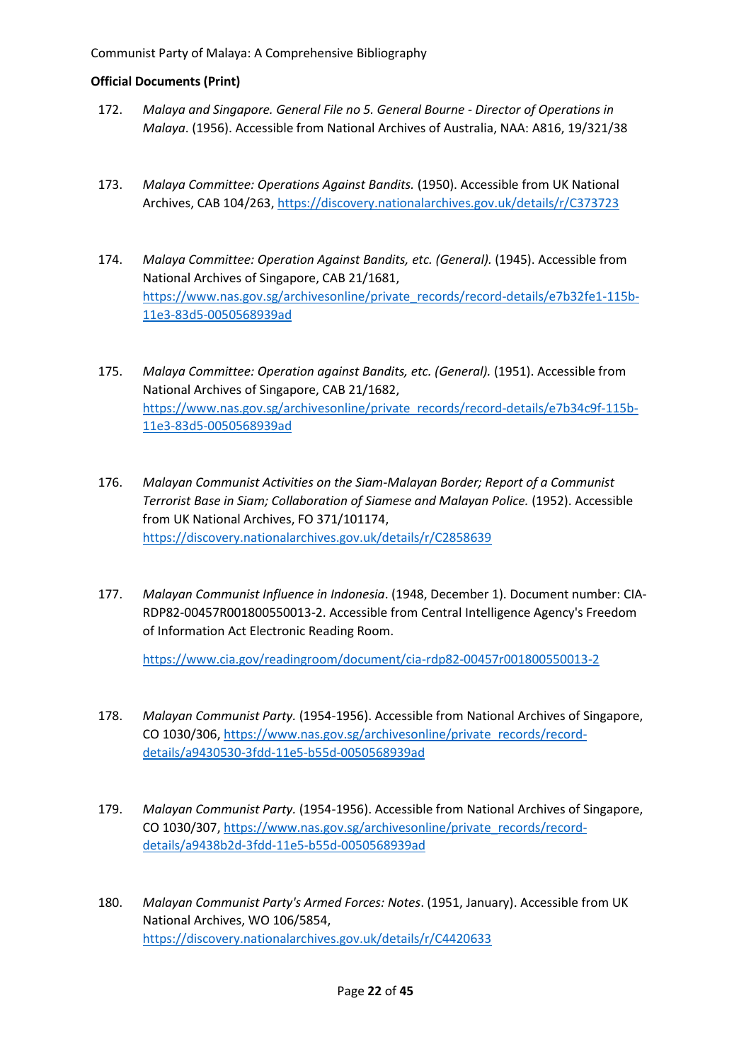- 172. *Malaya and Singapore. General File no 5. General Bourne - Director of Operations in Malaya*. (1956). Accessible from National Archives of Australia, NAA: A816, 19/321/38
- 173. *Malaya Committee: Operations Against Bandits.* (1950). Accessible from UK National Archives, CAB 104/263,<https://discovery.nationalarchives.gov.uk/details/r/C373723>
- 174. *Malaya Committee: Operation Against Bandits, etc. (General).* (1945). Accessible from National Archives of Singapore, CAB 21/1681, [https://www.nas.gov.sg/archivesonline/private\\_records/record-details/e7b32fe1-115b-](https://www.nas.gov.sg/archivesonline/private_records/record-details/e7b32fe1-115b-11e3-83d5-0050568939ad)[11e3-83d5-0050568939ad](https://www.nas.gov.sg/archivesonline/private_records/record-details/e7b32fe1-115b-11e3-83d5-0050568939ad)
- 175. *Malaya Committee: Operation against Bandits, etc. (General).* (1951). Accessible from National Archives of Singapore, CAB 21/1682, [https://www.nas.gov.sg/archivesonline/private\\_records/record-details/e7b34c9f-115b-](https://www.nas.gov.sg/archivesonline/private_records/record-details/e7b34c9f-115b-11e3-83d5-0050568939ad)[11e3-83d5-0050568939ad](https://www.nas.gov.sg/archivesonline/private_records/record-details/e7b34c9f-115b-11e3-83d5-0050568939ad)
- 176. *Malayan Communist Activities on the Siam-Malayan Border; Report of a Communist Terrorist Base in Siam; Collaboration of Siamese and Malayan Police.* (1952). Accessible from UK National Archives, FO 371/101174, <https://discovery.nationalarchives.gov.uk/details/r/C2858639>
- 177. *Malayan Communist Influence in Indonesia*. (1948, December 1). Document number: CIA-RDP82-00457R001800550013-2. Accessible from Central Intelligence Agency's Freedom of Information Act Electronic Reading Room.

<https://www.cia.gov/readingroom/document/cia-rdp82-00457r001800550013-2>

- 178. *Malayan Communist Party.* (1954-1956). Accessible from National Archives of Singapore, CO 1030/306, [https://www.nas.gov.sg/archivesonline/private\\_records/record](https://www.nas.gov.sg/archivesonline/private_records/record-details/a9430530-3fdd-11e5-b55d-0050568939ad)[details/a9430530-3fdd-11e5-b55d-0050568939ad](https://www.nas.gov.sg/archivesonline/private_records/record-details/a9430530-3fdd-11e5-b55d-0050568939ad)
- 179. *Malayan Communist Party.* (1954-1956). Accessible from National Archives of Singapore, CO 1030/307, [https://www.nas.gov.sg/archivesonline/private\\_records/record](https://www.nas.gov.sg/archivesonline/private_records/record-details/a9438b2d-3fdd-11e5-b55d-0050568939ad)[details/a9438b2d-3fdd-11e5-b55d-0050568939ad](https://www.nas.gov.sg/archivesonline/private_records/record-details/a9438b2d-3fdd-11e5-b55d-0050568939ad)
- 180. *Malayan Communist Party's Armed Forces: Notes*. (1951, January). Accessible from UK National Archives, WO 106/5854, <https://discovery.nationalarchives.gov.uk/details/r/C4420633>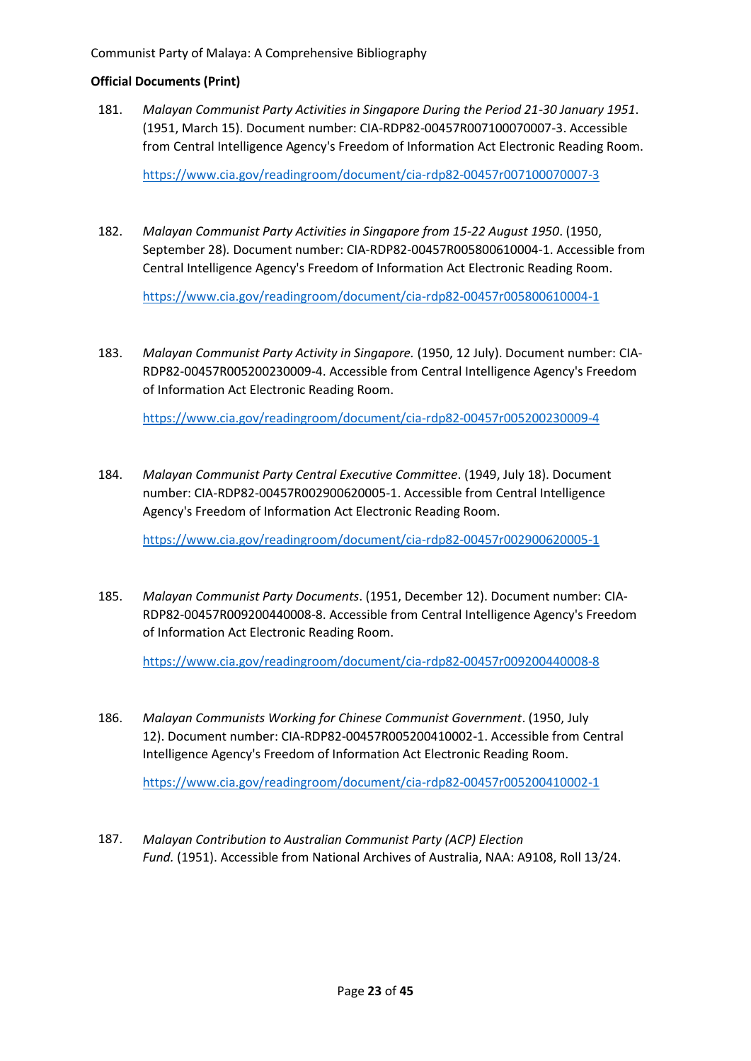#### **Official Documents (Print)**

181. *Malayan Communist Party Activities in Singapore During the Period 21-30 January 1951*. (1951, March 15). Document number: CIA-RDP82-00457R007100070007-3. Accessible from Central Intelligence Agency's Freedom of Information Act Electronic Reading Room.

<https://www.cia.gov/readingroom/document/cia-rdp82-00457r007100070007-3>

182. *Malayan Communist Party Activities in Singapore from 15-22 August 1950*. (1950, September 28)*.* Document number: CIA-RDP82-00457R005800610004-1. Accessible from Central Intelligence Agency's Freedom of Information Act Electronic Reading Room.

<https://www.cia.gov/readingroom/document/cia-rdp82-00457r005800610004-1>

183. *Malayan Communist Party Activity in Singapore.* (1950, 12 July). Document number: CIA-RDP82-00457R005200230009-4. Accessible from Central Intelligence Agency's Freedom of Information Act Electronic Reading Room.

<https://www.cia.gov/readingroom/document/cia-rdp82-00457r005200230009-4>

184. *Malayan Communist Party Central Executive Committee*. (1949, July 18). Document number: CIA-RDP82-00457R002900620005-1. Accessible from Central Intelligence Agency's Freedom of Information Act Electronic Reading Room.

<https://www.cia.gov/readingroom/document/cia-rdp82-00457r002900620005-1>

185. *Malayan Communist Party Documents*. (1951, December 12). Document number: CIA-RDP82-00457R009200440008-8. Accessible from Central Intelligence Agency's Freedom of Information Act Electronic Reading Room.

<https://www.cia.gov/readingroom/document/cia-rdp82-00457r009200440008-8>

186. *Malayan Communists Working for Chinese Communist Government*. (1950, July 12). Document number: CIA-RDP82-00457R005200410002-1. Accessible from Central Intelligence Agency's Freedom of Information Act Electronic Reading Room.

<https://www.cia.gov/readingroom/document/cia-rdp82-00457r005200410002-1>

187. *Malayan Contribution to Australian Communist Party (ACP) Election Fund.* (1951). Accessible from National Archives of Australia, NAA: A9108, Roll 13/24.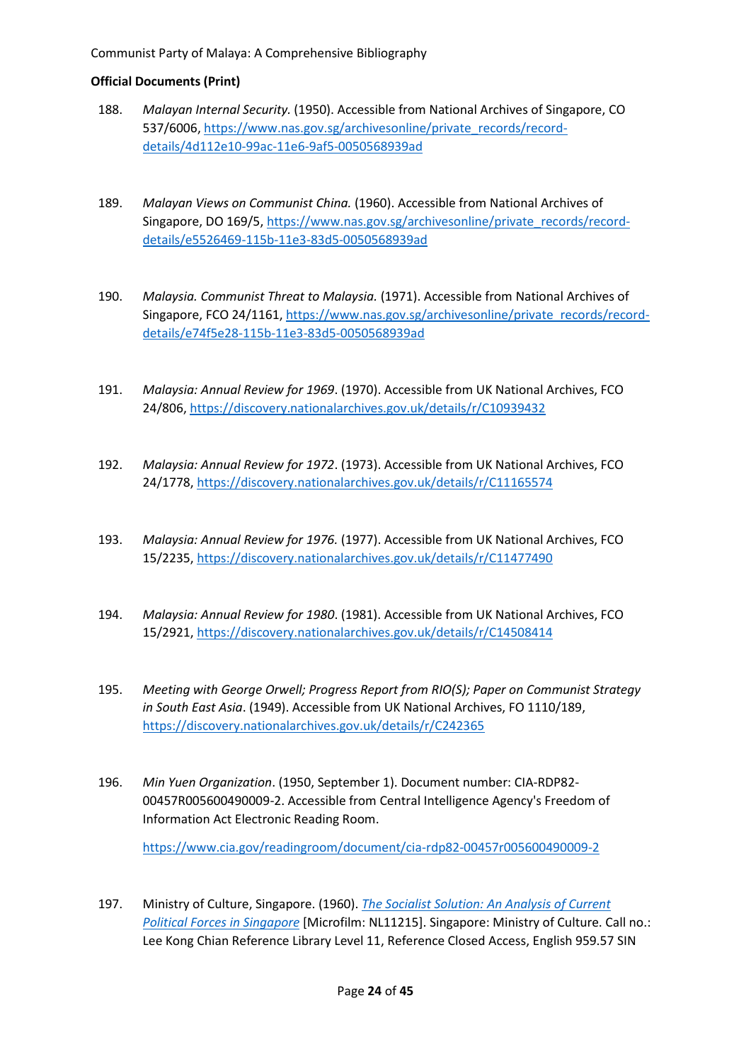- 188. *Malayan Internal Security.* (1950). Accessible from National Archives of Singapore, CO 537/6006, [https://www.nas.gov.sg/archivesonline/private\\_records/record](https://www.nas.gov.sg/archivesonline/private_records/record-details/4d112e10-99ac-11e6-9af5-0050568939ad)[details/4d112e10-99ac-11e6-9af5-0050568939ad](https://www.nas.gov.sg/archivesonline/private_records/record-details/4d112e10-99ac-11e6-9af5-0050568939ad)
- 189. *Malayan Views on Communist China.* (1960). Accessible from National Archives of Singapore, DO 169/5, [https://www.nas.gov.sg/archivesonline/private\\_records/record](https://www.nas.gov.sg/archivesonline/private_records/record-details/e5526469-115b-11e3-83d5-0050568939ad)[details/e5526469-115b-11e3-83d5-0050568939ad](https://www.nas.gov.sg/archivesonline/private_records/record-details/e5526469-115b-11e3-83d5-0050568939ad)
- 190. *Malaysia. Communist Threat to Malaysia.* (1971). Accessible from National Archives of Singapore, FCO 24/1161, [https://www.nas.gov.sg/archivesonline/private\\_records/record](https://www.nas.gov.sg/archivesonline/private_records/record-details/e74f5e28-115b-11e3-83d5-0050568939ad)[details/e74f5e28-115b-11e3-83d5-0050568939ad](https://www.nas.gov.sg/archivesonline/private_records/record-details/e74f5e28-115b-11e3-83d5-0050568939ad)
- 191. *Malaysia: Annual Review for 1969*. (1970). Accessible from UK National Archives, FCO 24/806[, https://discovery.nationalarchives.gov.uk/details/r/C10939432](https://discovery.nationalarchives.gov.uk/details/r/C10939432)
- 192. *Malaysia: Annual Review for 1972*. (1973). Accessible from UK National Archives, FCO 24/1778,<https://discovery.nationalarchives.gov.uk/details/r/C11165574>
- 193. *Malaysia: Annual Review for 1976.* (1977). Accessible from UK National Archives, FCO 15/2235,<https://discovery.nationalarchives.gov.uk/details/r/C11477490>
- 194. *Malaysia: Annual Review for 1980*. (1981). Accessible from UK National Archives, FCO 15/2921,<https://discovery.nationalarchives.gov.uk/details/r/C14508414>
- 195. *Meeting with George Orwell; Progress Report from RIO(S); Paper on Communist Strategy in South East Asia*. (1949). Accessible from UK National Archives, FO 1110/189, <https://discovery.nationalarchives.gov.uk/details/r/C242365>
- 196. *Min Yuen Organization*. (1950, September 1). Document number: CIA-RDP82- 00457R005600490009-2. Accessible from Central Intelligence Agency's Freedom of Information Act Electronic Reading Room.

<https://www.cia.gov/readingroom/document/cia-rdp82-00457r005600490009-2>

197. Ministry of Culture, Singapore. (1960). *[The Socialist Solution: An Analysis of Current](https://eservice.nlb.gov.sg/item_holding.aspx?bid=4077979)  [Political Forces in Singapore](https://eservice.nlb.gov.sg/item_holding.aspx?bid=4077979)* [Microfilm: NL11215]. Singapore: Ministry of Culture. Call no.: Lee Kong Chian Reference Library Level 11, Reference Closed Access, English 959.57 SIN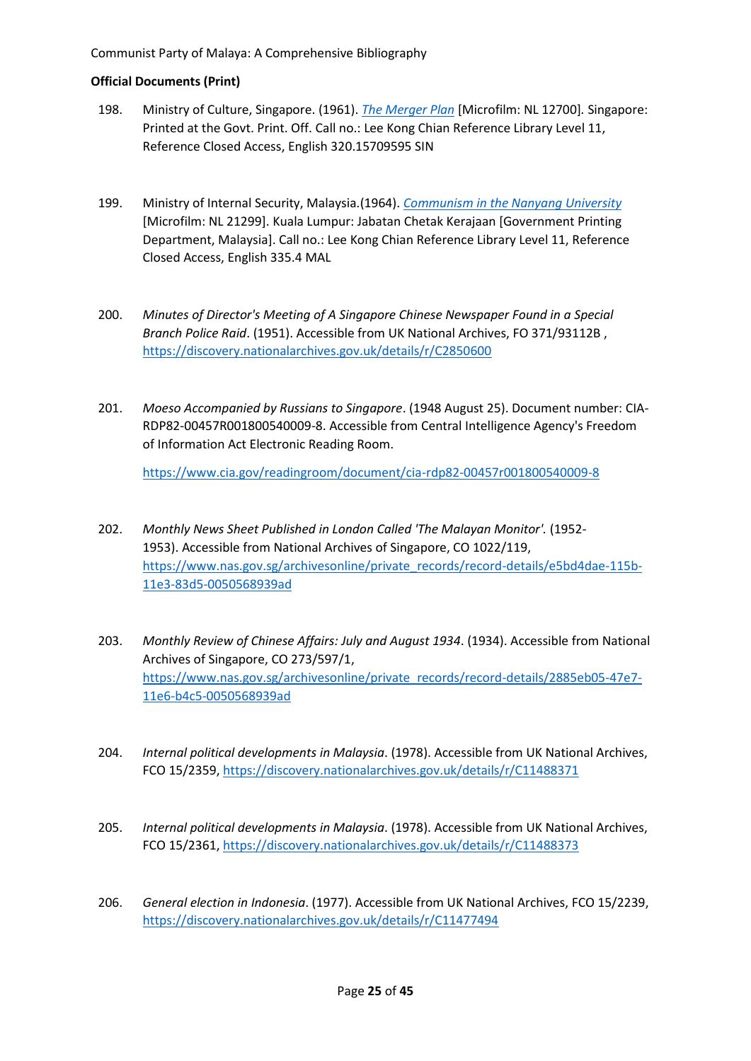- 198. Ministry of Culture, Singapore. (1961). *[The Merger Plan](https://eservice.nlb.gov.sg/item_holding.aspx?bid=4981175)* [Microfilm: NL 12700]*.* Singapore: Printed at the Govt. Print. Off. Call no.: Lee Kong Chian Reference Library Level 11, Reference Closed Access, English 320.15709595 SIN
- 199. Ministry of Internal Security, Malaysia*.*(1964). *[Communism in the Nanyang University](https://eservice.nlb.gov.sg/item_holding.aspx?bid=4116029)* [Microfilm: NL 21299]. Kuala Lumpur: Jabatan Chetak Kerajaan [Government Printing Department, Malaysia]. Call no.: Lee Kong Chian Reference Library Level 11, Reference Closed Access, English 335.4 MAL
- 200. *Minutes of Director's Meeting of A Singapore Chinese Newspaper Found in a Special Branch Police Raid*. (1951). Accessible from UK National Archives, FO 371/93112B , <https://discovery.nationalarchives.gov.uk/details/r/C2850600>
- 201. *Moeso Accompanied by Russians to Singapore*. (1948 August 25). Document number: CIA-RDP82-00457R001800540009-8. Accessible from Central Intelligence Agency's Freedom of Information Act Electronic Reading Room.

<https://www.cia.gov/readingroom/document/cia-rdp82-00457r001800540009-8>

- 202. *Monthly News Sheet Published in London Called 'The Malayan Monitor'.* (1952- 1953). Accessible from National Archives of Singapore, CO 1022/119, [https://www.nas.gov.sg/archivesonline/private\\_records/record-details/e5bd4dae-115b-](https://www.nas.gov.sg/archivesonline/private_records/record-details/e5bd4dae-115b-11e3-83d5-0050568939ad)[11e3-83d5-0050568939ad](https://www.nas.gov.sg/archivesonline/private_records/record-details/e5bd4dae-115b-11e3-83d5-0050568939ad)
- 203. *Monthly Review of Chinese Affairs: July and August 1934*. (1934). Accessible from National Archives of Singapore, CO 273/597/1, [https://www.nas.gov.sg/archivesonline/private\\_records/record-details/2885eb05-47e7-](https://www.nas.gov.sg/archivesonline/private_records/record-details/2885eb05-47e7-11e6-b4c5-0050568939ad) [11e6-b4c5-0050568939ad](https://www.nas.gov.sg/archivesonline/private_records/record-details/2885eb05-47e7-11e6-b4c5-0050568939ad)
- 204. *Internal political developments in Malaysia*. (1978). Accessible from UK National Archives, FCO 15/2359, <https://discovery.nationalarchives.gov.uk/details/r/C11488371>
- 205. *Internal political developments in Malaysia*. (1978). Accessible from UK National Archives, FCO 15/2361, <https://discovery.nationalarchives.gov.uk/details/r/C11488373>
- 206. *General election in Indonesia*. (1977). Accessible from UK National Archives, FCO 15/2239, <https://discovery.nationalarchives.gov.uk/details/r/C11477494>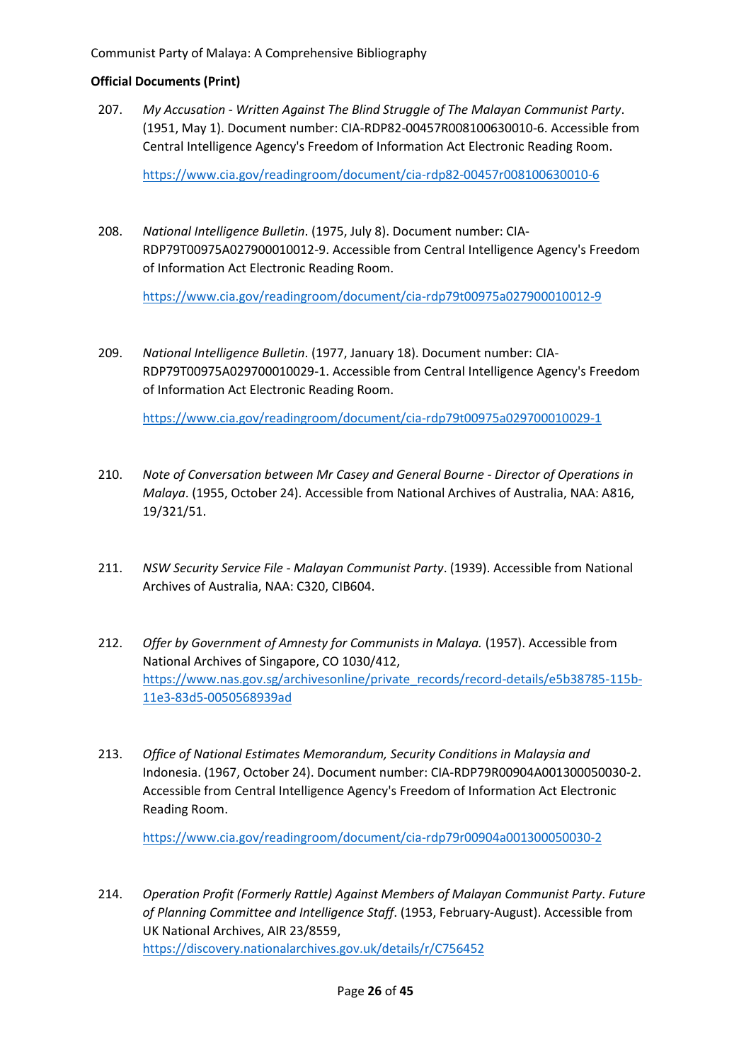207. *My Accusation - Written Against The Blind Struggle of The Malayan Communist Party*. (1951, May 1). Document number: CIA-RDP82-00457R008100630010-6. Accessible from Central Intelligence Agency's Freedom of Information Act Electronic Reading Room.

<https://www.cia.gov/readingroom/document/cia-rdp82-00457r008100630010-6>

208. *National Intelligence Bulletin*. (1975, July 8). Document number: CIA-RDP79T00975A027900010012-9. Accessible from Central Intelligence Agency's Freedom of Information Act Electronic Reading Room.

<https://www.cia.gov/readingroom/document/cia-rdp79t00975a027900010012-9>

209. *National Intelligence Bulletin*. (1977, January 18). Document number: CIA-RDP79T00975A029700010029-1. Accessible from Central Intelligence Agency's Freedom of Information Act Electronic Reading Room.

<https://www.cia.gov/readingroom/document/cia-rdp79t00975a029700010029-1>

- 210. *Note of Conversation between Mr Casey and General Bourne - Director of Operations in Malaya*. (1955, October 24). Accessible from National Archives of Australia, NAA: A816, 19/321/51.
- 211. *NSW Security Service File - Malayan Communist Party*. (1939). Accessible from National Archives of Australia, NAA: C320, CIB604.
- 212. *Offer by Government of Amnesty for Communists in Malaya.* (1957). Accessible from National Archives of Singapore, CO 1030/412, [https://www.nas.gov.sg/archivesonline/private\\_records/record-details/e5b38785-115b-](https://www.nas.gov.sg/archivesonline/private_records/record-details/e5b38785-115b-11e3-83d5-0050568939ad)[11e3-83d5-0050568939ad](https://www.nas.gov.sg/archivesonline/private_records/record-details/e5b38785-115b-11e3-83d5-0050568939ad)
- 213. *Office of National Estimates Memorandum, Security Conditions in Malaysia and*  Indonesia. (1967, October 24). Document number: CIA-RDP79R00904A001300050030-2. Accessible from Central Intelligence Agency's Freedom of Information Act Electronic Reading Room.

<https://www.cia.gov/readingroom/document/cia-rdp79r00904a001300050030-2>

214. *Operation Profit (Formerly Rattle) Against Members of Malayan Communist Party*. *Future of Planning Committee and Intelligence Staff*. (1953, February-August). Accessible from UK National Archives, AIR 23/8559, <https://discovery.nationalarchives.gov.uk/details/r/C756452>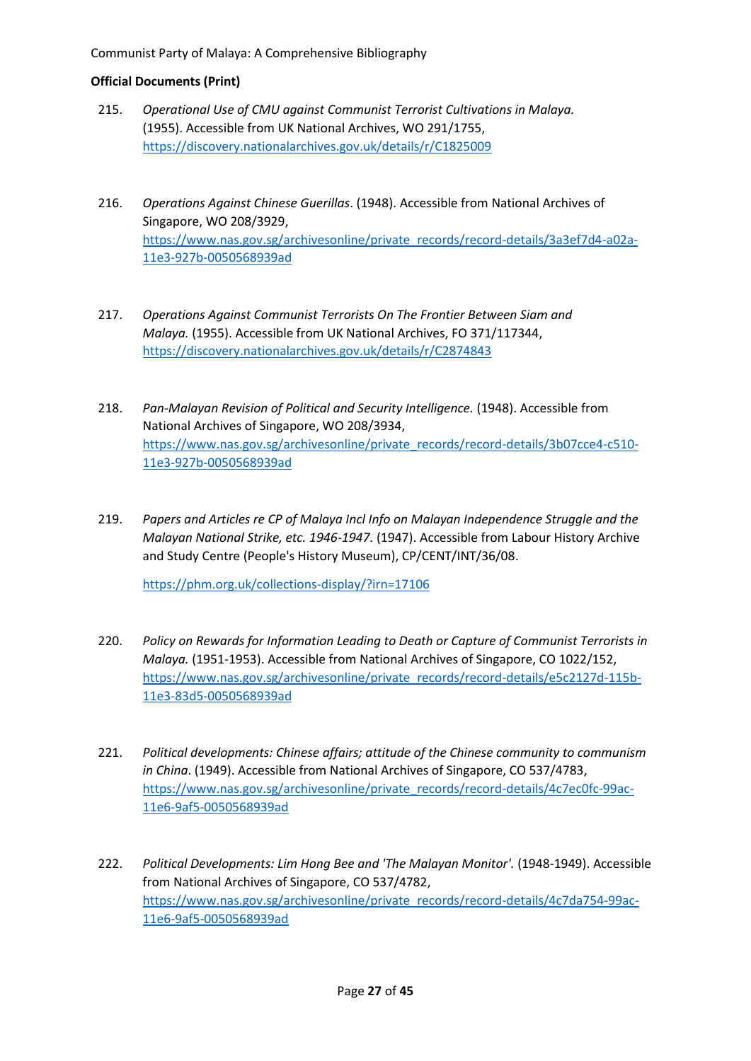- 215. *Operational Use of CMU against Communist Terrorist Cultivations in Malaya.* (1955). Accessible from UK National Archives, WO 291/1755, <https://discovery.nationalarchives.gov.uk/details/r/C1825009>
- 216. *Operations Against Chinese Guerillas*. (1948). Accessible from National Archives of Singapore, WO 208/3929, [https://www.nas.gov.sg/archivesonline/private\\_records/record-details/3a3ef7d4-a02a-](https://www.nas.gov.sg/archivesonline/private_records/record-details/3a3ef7d4-a02a-11e3-927b-0050568939ad)[11e3-927b-0050568939ad](https://www.nas.gov.sg/archivesonline/private_records/record-details/3a3ef7d4-a02a-11e3-927b-0050568939ad)
- 217. *Operations Against Communist Terrorists On The Frontier Between Siam and Malaya.* (1955). Accessible from UK National Archives, FO 371/117344, <https://discovery.nationalarchives.gov.uk/details/r/C2874843>
- 218. *Pan-Malayan Revision of Political and Security Intelligence.* (1948). Accessible from National Archives of Singapore, WO 208/3934, [https://www.nas.gov.sg/archivesonline/private\\_records/record-details/3b07cce4-c510-](https://www.nas.gov.sg/archivesonline/private_records/record-details/3b07cce4-c510-11e3-927b-0050568939ad) [11e3-927b-0050568939ad](https://www.nas.gov.sg/archivesonline/private_records/record-details/3b07cce4-c510-11e3-927b-0050568939ad)
- 219. *Papers and Articles re CP of Malaya Incl Info on Malayan Independence Struggle and the Malayan National Strike, etc. 1946-1947.* (1947). Accessible from Labour History Archive and Study Centre (People's History Museum), CP/CENT/INT/36/08.

<https://phm.org.uk/collections-display/?irn=17106>

- 220. *Policy on Rewards for Information Leading to Death or Capture of Communist Terrorists in Malaya.* (1951-1953). Accessible from National Archives of Singapore, CO 1022/152, [https://www.nas.gov.sg/archivesonline/private\\_records/record-details/e5c2127d-115b-](https://www.nas.gov.sg/archivesonline/private_records/record-details/e5c2127d-115b-11e3-83d5-0050568939ad)[11e3-83d5-0050568939ad](https://www.nas.gov.sg/archivesonline/private_records/record-details/e5c2127d-115b-11e3-83d5-0050568939ad)
- 221. *Political developments: Chinese affairs; attitude of the Chinese community to communism in China*. (1949). Accessible from National Archives of Singapore, CO 537/4783, [https://www.nas.gov.sg/archivesonline/private\\_records/record-details/4c7ec0fc-99ac-](https://www.nas.gov.sg/archivesonline/private_records/record-details/4c7ec0fc-99ac-11e6-9af5-0050568939ad)[11e6-9af5-0050568939ad](https://www.nas.gov.sg/archivesonline/private_records/record-details/4c7ec0fc-99ac-11e6-9af5-0050568939ad)
- 222. *Political Developments: Lim Hong Bee and 'The Malayan Monitor'.* (1948-1949). Accessible from National Archives of Singapore, CO 537/4782, [https://www.nas.gov.sg/archivesonline/private\\_records/record-details/4c7da754-99ac-](https://www.nas.gov.sg/archivesonline/private_records/record-details/4c7da754-99ac-11e6-9af5-0050568939ad)[11e6-9af5-0050568939ad](https://www.nas.gov.sg/archivesonline/private_records/record-details/4c7da754-99ac-11e6-9af5-0050568939ad)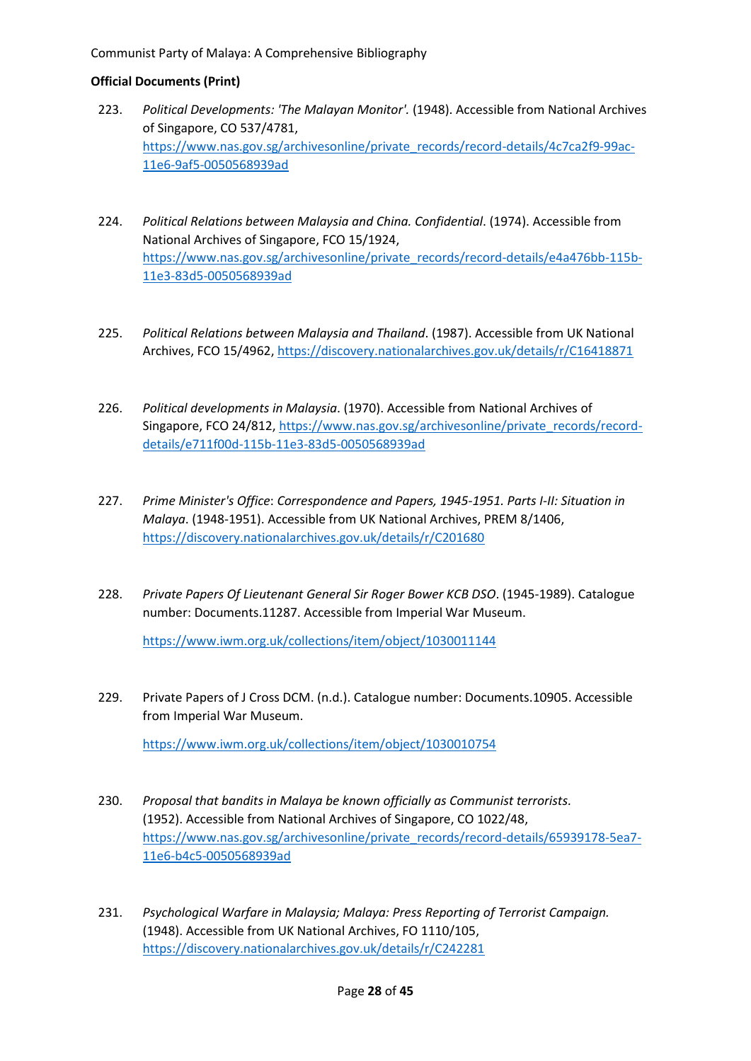- 223. *Political Developments: 'The Malayan Monitor'.* (1948). Accessible from National Archives of Singapore, CO 537/4781, [https://www.nas.gov.sg/archivesonline/private\\_records/record-details/4c7ca2f9-99ac-](https://www.nas.gov.sg/archivesonline/private_records/record-details/4c7ca2f9-99ac-11e6-9af5-0050568939ad)[11e6-9af5-0050568939ad](https://www.nas.gov.sg/archivesonline/private_records/record-details/4c7ca2f9-99ac-11e6-9af5-0050568939ad)
- 224. *Political Relations between Malaysia and China. Confidential*. (1974). Accessible from National Archives of Singapore, FCO 15/1924, [https://www.nas.gov.sg/archivesonline/private\\_records/record-details/e4a476bb-115b-](https://www.nas.gov.sg/archivesonline/private_records/record-details/e4a476bb-115b-11e3-83d5-0050568939ad)[11e3-83d5-0050568939ad](https://www.nas.gov.sg/archivesonline/private_records/record-details/e4a476bb-115b-11e3-83d5-0050568939ad)
- 225. *Political Relations between Malaysia and Thailand*. (1987). Accessible from UK National Archives, FCO 15/4962, <https://discovery.nationalarchives.gov.uk/details/r/C16418871>
- 226. *Political developments in Malaysia*. (1970). Accessible from National Archives of Singapore, FCO 24/812, [https://www.nas.gov.sg/archivesonline/private\\_records/record](https://www.nas.gov.sg/archivesonline/private_records/record-details/e711f00d-115b-11e3-83d5-0050568939ad)[details/e711f00d-115b-11e3-83d5-0050568939ad](https://www.nas.gov.sg/archivesonline/private_records/record-details/e711f00d-115b-11e3-83d5-0050568939ad)
- 227. *Prime Minister's Office*: *Correspondence and Papers, 1945-1951. Parts I-II: Situation in Malaya*. (1948-1951). Accessible from UK National Archives, PREM 8/1406, <https://discovery.nationalarchives.gov.uk/details/r/C201680>
- 228. *Private Papers Of Lieutenant General Sir Roger Bower KCB DSO*. (1945-1989). Catalogue number: Documents.11287. Accessible from Imperial War Museum.

<https://www.iwm.org.uk/collections/item/object/1030011144>

229. Private Papers of J Cross DCM. (n.d.). Catalogue number: Documents.10905. Accessible from Imperial War Museum.

<https://www.iwm.org.uk/collections/item/object/1030010754>

- 230. *Proposal that bandits in Malaya be known officially as Communist terrorists.* (1952). Accessible from National Archives of Singapore, CO 1022/48, [https://www.nas.gov.sg/archivesonline/private\\_records/record-details/65939178-5ea7-](https://www.nas.gov.sg/archivesonline/private_records/record-details/65939178-5ea7-11e6-b4c5-0050568939ad) [11e6-b4c5-0050568939ad](https://www.nas.gov.sg/archivesonline/private_records/record-details/65939178-5ea7-11e6-b4c5-0050568939ad)
- 231. *Psychological Warfare in Malaysia; Malaya: Press Reporting of Terrorist Campaign.*  (1948). Accessible from UK National Archives, FO 1110/105, <https://discovery.nationalarchives.gov.uk/details/r/C242281>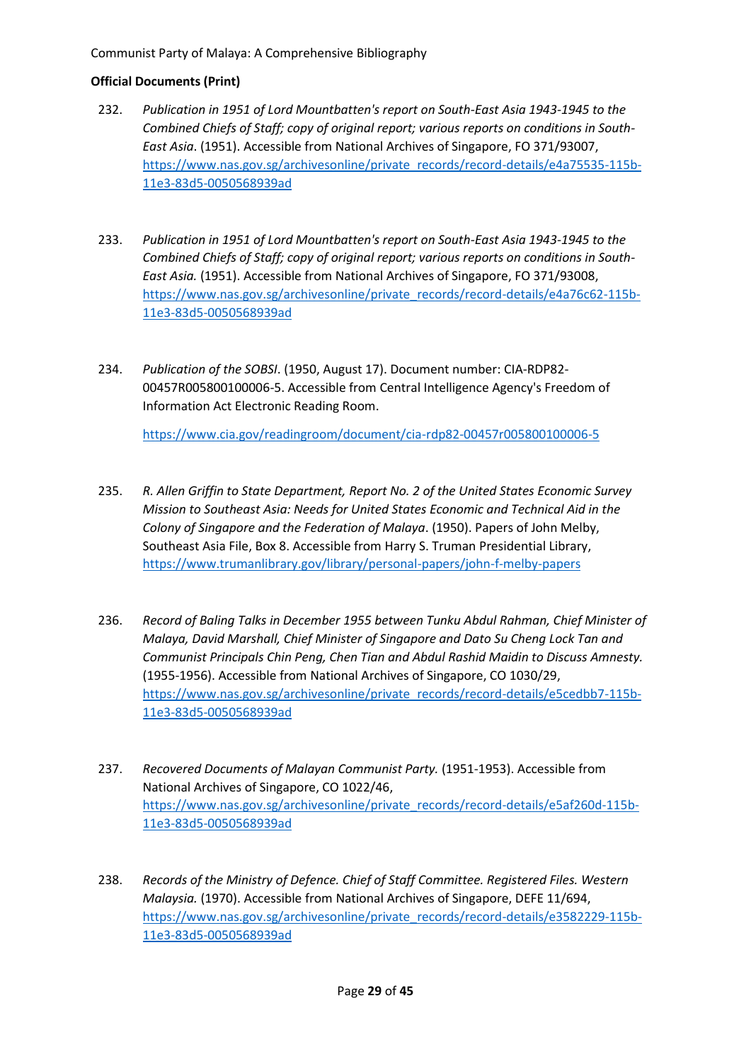## **Official Documents (Print)**

- 232. *Publication in 1951 of Lord Mountbatten's report on South-East Asia 1943-1945 to the Combined Chiefs of Staff; copy of original report; various reports on conditions in South-East Asia*. (1951). Accessible from National Archives of Singapore, FO 371/93007, [https://www.nas.gov.sg/archivesonline/private\\_records/record-details/e4a75535-115b-](https://www.nas.gov.sg/archivesonline/private_records/record-details/e4a75535-115b-11e3-83d5-0050568939ad)[11e3-83d5-0050568939ad](https://www.nas.gov.sg/archivesonline/private_records/record-details/e4a75535-115b-11e3-83d5-0050568939ad)
- 233. *Publication in 1951 of Lord Mountbatten's report on South-East Asia 1943-1945 to the Combined Chiefs of Staff; copy of original report; various reports on conditions in South-East Asia.* (1951). Accessible from National Archives of Singapore, FO 371/93008, [https://www.nas.gov.sg/archivesonline/private\\_records/record-details/e4a76c62-115b-](https://www.nas.gov.sg/archivesonline/private_records/record-details/e4a76c62-115b-11e3-83d5-0050568939ad)[11e3-83d5-0050568939ad](https://www.nas.gov.sg/archivesonline/private_records/record-details/e4a76c62-115b-11e3-83d5-0050568939ad)
- 234. *Publication of the SOBSI*. (1950, August 17). Document number: CIA-RDP82- 00457R005800100006-5. Accessible from Central Intelligence Agency's Freedom of Information Act Electronic Reading Room.

<https://www.cia.gov/readingroom/document/cia-rdp82-00457r005800100006-5>

- 235. *R. Allen Griffin to State Department, Report No. 2 of the United States Economic Survey Mission to Southeast Asia: Needs for United States Economic and Technical Aid in the Colony of Singapore and the Federation of Malaya*. (1950). Papers of John Melby, Southeast Asia File, Box 8. Accessible from Harry S. Truman Presidential Library, <https://www.trumanlibrary.gov/library/personal-papers/john-f-melby-papers>
- 236. *Record of Baling Talks in December 1955 between Tunku Abdul Rahman, Chief Minister of Malaya, David Marshall, Chief Minister of Singapore and Dato Su Cheng Lock Tan and Communist Principals Chin Peng, Chen Tian and Abdul Rashid Maidin to Discuss Amnesty.* (1955-1956). Accessible from National Archives of Singapore, CO 1030/29, [https://www.nas.gov.sg/archivesonline/private\\_records/record-details/e5cedbb7-115b-](https://www.nas.gov.sg/archivesonline/private_records/record-details/e5cedbb7-115b-11e3-83d5-0050568939ad)[11e3-83d5-0050568939ad](https://www.nas.gov.sg/archivesonline/private_records/record-details/e5cedbb7-115b-11e3-83d5-0050568939ad)
- 237. *Recovered Documents of Malayan Communist Party.* (1951-1953). Accessible from National Archives of Singapore, CO 1022/46, [https://www.nas.gov.sg/archivesonline/private\\_records/record-details/e5af260d-115b-](https://www.nas.gov.sg/archivesonline/private_records/record-details/e5af260d-115b-11e3-83d5-0050568939ad)[11e3-83d5-0050568939ad](https://www.nas.gov.sg/archivesonline/private_records/record-details/e5af260d-115b-11e3-83d5-0050568939ad)
- 238. *Records of the Ministry of Defence. Chief of Staff Committee. Registered Files. Western Malaysia.* (1970). Accessible from National Archives of Singapore, DEFE 11/694, [https://www.nas.gov.sg/archivesonline/private\\_records/record-details/e3582229-115b-](https://www.nas.gov.sg/archivesonline/private_records/record-details/e3582229-115b-11e3-83d5-0050568939ad)[11e3-83d5-0050568939ad](https://www.nas.gov.sg/archivesonline/private_records/record-details/e3582229-115b-11e3-83d5-0050568939ad)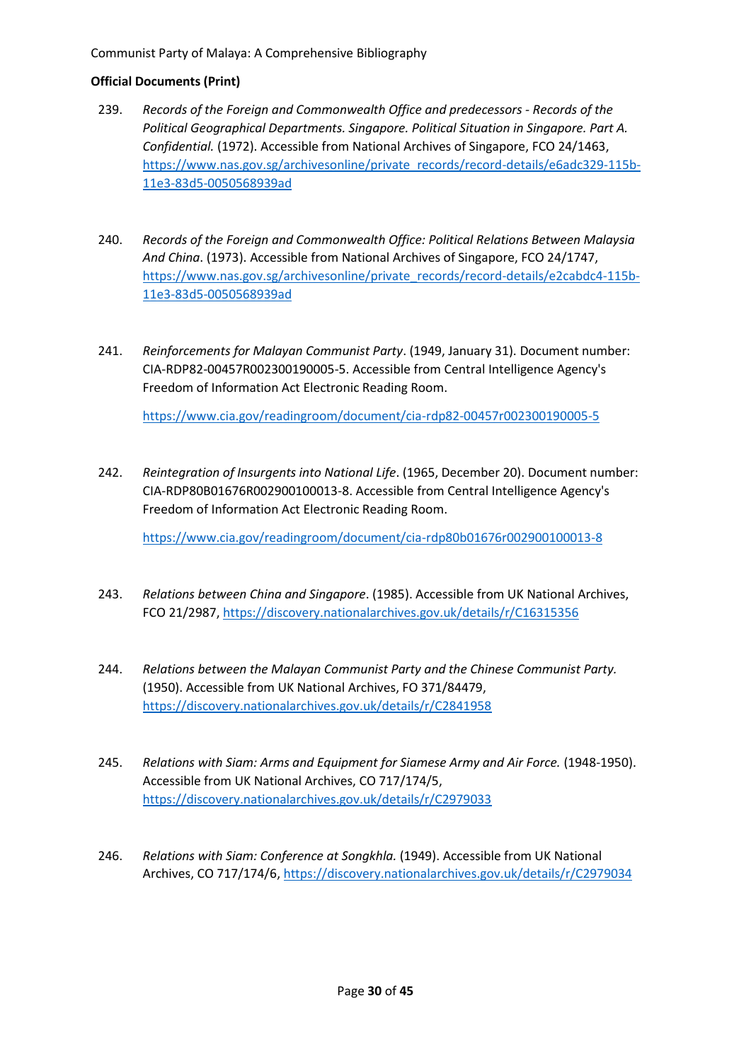## **Official Documents (Print)**

- 239. *Records of the Foreign and Commonwealth Office and predecessors - Records of the Political Geographical Departments. Singapore. Political Situation in Singapore. Part A. Confidential.* (1972). Accessible from National Archives of Singapore, FCO 24/1463, [https://www.nas.gov.sg/archivesonline/private\\_records/record-details/e6adc329-115b-](https://www.nas.gov.sg/archivesonline/private_records/record-details/e6adc329-115b-11e3-83d5-0050568939ad)[11e3-83d5-0050568939ad](https://www.nas.gov.sg/archivesonline/private_records/record-details/e6adc329-115b-11e3-83d5-0050568939ad)
- 240. *Records of the Foreign and Commonwealth Office: Political Relations Between Malaysia And China*. (1973). Accessible from National Archives of Singapore, FCO 24/1747, [https://www.nas.gov.sg/archivesonline/private\\_records/record-details/e2cabdc4-115b-](https://www.nas.gov.sg/archivesonline/private_records/record-details/e2cabdc4-115b-11e3-83d5-0050568939ad)[11e3-83d5-0050568939ad](https://www.nas.gov.sg/archivesonline/private_records/record-details/e2cabdc4-115b-11e3-83d5-0050568939ad)
- 241. *Reinforcements for Malayan Communist Party*. (1949, January 31). Document number: CIA-RDP82-00457R002300190005-5. Accessible from Central Intelligence Agency's Freedom of Information Act Electronic Reading Room.

<https://www.cia.gov/readingroom/document/cia-rdp82-00457r002300190005-5>

242. *Reintegration of Insurgents into National Life*. (1965, December 20). Document number: CIA-RDP80B01676R002900100013-8. Accessible from Central Intelligence Agency's Freedom of Information Act Electronic Reading Room.

<https://www.cia.gov/readingroom/document/cia-rdp80b01676r002900100013-8>

- 243. *Relations between China and Singapore*. (1985). Accessible from UK National Archives, FCO 21/2987,<https://discovery.nationalarchives.gov.uk/details/r/C16315356>
- 244. *Relations between the Malayan Communist Party and the Chinese Communist Party.* (1950). Accessible from UK National Archives, FO 371/84479, <https://discovery.nationalarchives.gov.uk/details/r/C2841958>
- 245. *Relations with Siam: Arms and Equipment for Siamese Army and Air Force.* (1948-1950). Accessible from UK National Archives, CO 717/174/5, <https://discovery.nationalarchives.gov.uk/details/r/C2979033>
- 246. *Relations with Siam: Conference at Songkhla.* (1949). Accessible from UK National Archives, CO 717/174/6[, https://discovery.nationalarchives.gov.uk/details/r/C2979034](https://discovery.nationalarchives.gov.uk/details/r/C2979034)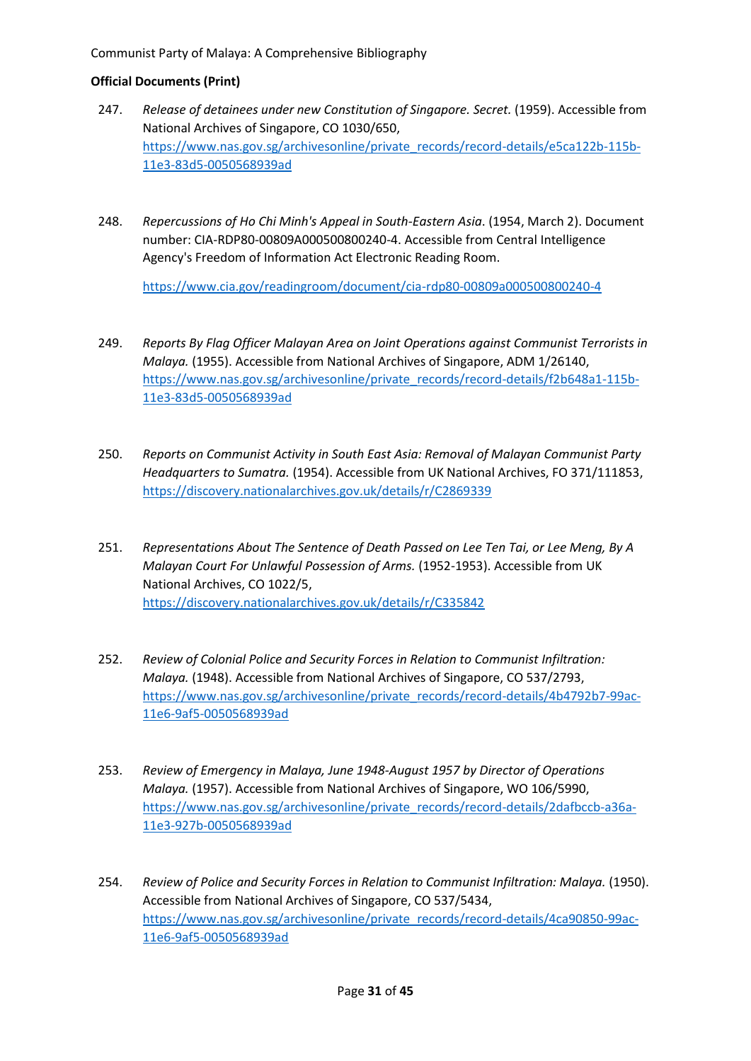## **Official Documents (Print)**

- 247. *Release of detainees under new Constitution of Singapore. Secret.* (1959). Accessible from National Archives of Singapore, CO 1030/650, [https://www.nas.gov.sg/archivesonline/private\\_records/record-details/e5ca122b-115b-](https://www.nas.gov.sg/archivesonline/private_records/record-details/e5ca122b-115b-11e3-83d5-0050568939ad)[11e3-83d5-0050568939ad](https://www.nas.gov.sg/archivesonline/private_records/record-details/e5ca122b-115b-11e3-83d5-0050568939ad)
- 248. *Repercussions of Ho Chi Minh's Appeal in South-Eastern Asia*. (1954, March 2). Document number: CIA-RDP80-00809A000500800240-4. Accessible from Central Intelligence Agency's Freedom of Information Act Electronic Reading Room.

<https://www.cia.gov/readingroom/document/cia-rdp80-00809a000500800240-4>

- 249. *Reports By Flag Officer Malayan Area on Joint Operations against Communist Terrorists in Malaya.* (1955). Accessible from National Archives of Singapore, ADM 1/26140, [https://www.nas.gov.sg/archivesonline/private\\_records/record-details/f2b648a1-115b-](https://www.nas.gov.sg/archivesonline/private_records/record-details/f2b648a1-115b-11e3-83d5-0050568939ad)[11e3-83d5-0050568939ad](https://www.nas.gov.sg/archivesonline/private_records/record-details/f2b648a1-115b-11e3-83d5-0050568939ad)
- 250. *Reports on Communist Activity in South East Asia: Removal of Malayan Communist Party Headquarters to Sumatra.* (1954). Accessible from UK National Archives, FO 371/111853, <https://discovery.nationalarchives.gov.uk/details/r/C2869339>
- 251. *Representations About The Sentence of Death Passed on Lee Ten Tai, or Lee Meng, By A Malayan Court For Unlawful Possession of Arms.* (1952-1953). Accessible from UK National Archives, CO 1022/5, <https://discovery.nationalarchives.gov.uk/details/r/C335842>
- 252. *Review of Colonial Police and Security Forces in Relation to Communist Infiltration: Malaya.* (1948). Accessible from National Archives of Singapore, CO 537/2793, [https://www.nas.gov.sg/archivesonline/private\\_records/record-details/4b4792b7-99ac-](https://www.nas.gov.sg/archivesonline/private_records/record-details/4b4792b7-99ac-11e6-9af5-0050568939ad)[11e6-9af5-0050568939ad](https://www.nas.gov.sg/archivesonline/private_records/record-details/4b4792b7-99ac-11e6-9af5-0050568939ad)
- 253. *Review of Emergency in Malaya, June 1948-August 1957 by Director of Operations Malaya.* (1957). Accessible from National Archives of Singapore, WO 106/5990, [https://www.nas.gov.sg/archivesonline/private\\_records/record-details/2dafbccb-a36a-](https://www.nas.gov.sg/archivesonline/private_records/record-details/2dafbccb-a36a-11e3-927b-0050568939ad)[11e3-927b-0050568939ad](https://www.nas.gov.sg/archivesonline/private_records/record-details/2dafbccb-a36a-11e3-927b-0050568939ad)
- 254. *Review of Police and Security Forces in Relation to Communist Infiltration: Malaya.* (1950). Accessible from National Archives of Singapore, CO 537/5434, [https://www.nas.gov.sg/archivesonline/private\\_records/record-details/4ca90850-99ac-](https://www.nas.gov.sg/archivesonline/private_records/record-details/4ca90850-99ac-11e6-9af5-0050568939ad)[11e6-9af5-0050568939ad](https://www.nas.gov.sg/archivesonline/private_records/record-details/4ca90850-99ac-11e6-9af5-0050568939ad)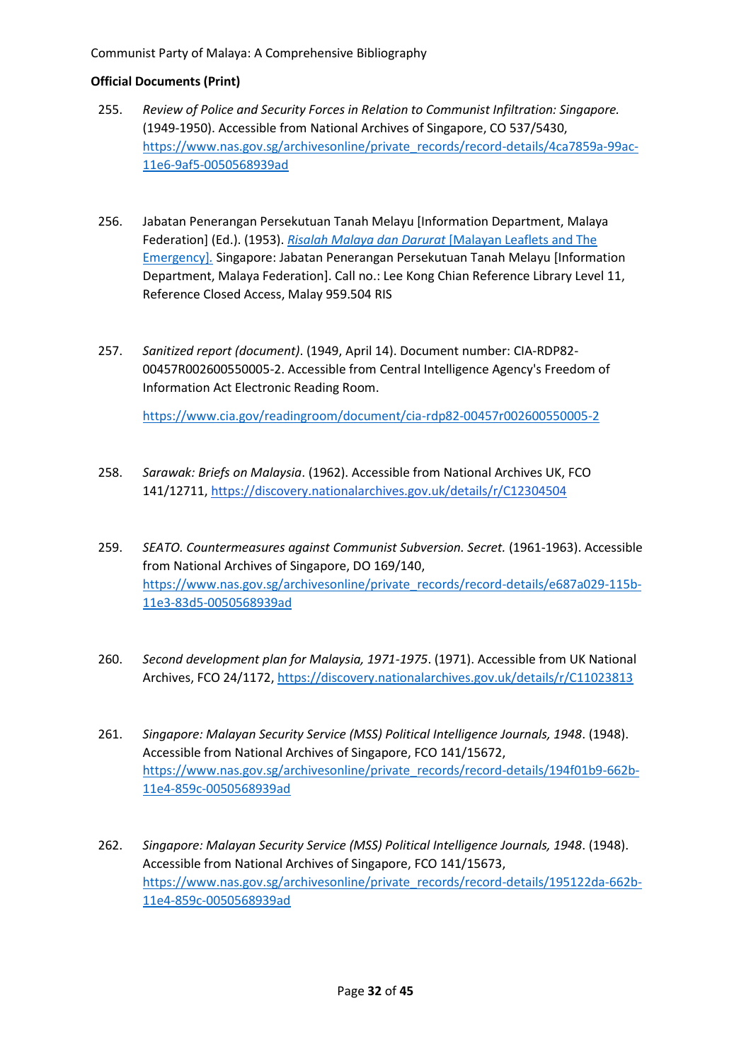## **Official Documents (Print)**

- 255. *Review of Police and Security Forces in Relation to Communist Infiltration: Singapore.*  (1949-1950). Accessible from National Archives of Singapore, CO 537/5430, [https://www.nas.gov.sg/archivesonline/private\\_records/record-details/4ca7859a-99ac-](https://www.nas.gov.sg/archivesonline/private_records/record-details/4ca7859a-99ac-11e6-9af5-0050568939ad)[11e6-9af5-0050568939ad](https://www.nas.gov.sg/archivesonline/private_records/record-details/4ca7859a-99ac-11e6-9af5-0050568939ad)
- 256. Jabatan Penerangan Persekutuan Tanah Melayu [Information Department, Malaya Federation] (Ed.). (1953). *[Risalah Malaya dan Darurat](https://catalogue.nlb.gov.sg/cgi-bin/spydus.exe/FULL/WPAC/BIBENQ/210523224/143037,1)* [Malayan Leaflets and The [Emergency\]](https://catalogue.nlb.gov.sg/cgi-bin/spydus.exe/FULL/WPAC/BIBENQ/210523224/143037,1)*.* Singapore: Jabatan Penerangan Persekutuan Tanah Melayu [Information Department, Malaya Federation]. Call no.: Lee Kong Chian Reference Library Level 11, Reference Closed Access, Malay 959.504 RIS
- 257. *Sanitized report (document)*. (1949, April 14). Document number: CIA-RDP82- 00457R002600550005-2. Accessible from Central Intelligence Agency's Freedom of Information Act Electronic Reading Room.

<https://www.cia.gov/readingroom/document/cia-rdp82-00457r002600550005-2>

- 258. *Sarawak: Briefs on Malaysia*. (1962). Accessible from National Archives UK, FCO 141/12711, [https://discovery.nationalarchives.gov.uk/details/r/C12304504](https://discovery.nationalarchives.gov.uk/details/r/C12304504/)
- 259. *SEATO. Countermeasures against Communist Subversion. Secret.* (1961-1963). Accessible from National Archives of Singapore, DO 169/140, [https://www.nas.gov.sg/archivesonline/private\\_records/record-details/e687a029-115b-](https://www.nas.gov.sg/archivesonline/private_records/record-details/e687a029-115b-11e3-83d5-0050568939ad)[11e3-83d5-0050568939ad](https://www.nas.gov.sg/archivesonline/private_records/record-details/e687a029-115b-11e3-83d5-0050568939ad)
- 260. *Second development plan for Malaysia, 1971-1975*. (1971). Accessible from UK National Archives, FCO 24/1172,<https://discovery.nationalarchives.gov.uk/details/r/C11023813>
- 261. *Singapore: Malayan Security Service (MSS) Political Intelligence Journals, 1948*. (1948). Accessible from National Archives of Singapore, FCO 141/15672, [https://www.nas.gov.sg/archivesonline/private\\_records/record-details/194f01b9-662b-](https://www.nas.gov.sg/archivesonline/private_records/record-details/194f01b9-662b-11e4-859c-0050568939ad)[11e4-859c-0050568939ad](https://www.nas.gov.sg/archivesonline/private_records/record-details/194f01b9-662b-11e4-859c-0050568939ad)
- 262. *Singapore: Malayan Security Service (MSS) Political Intelligence Journals, 1948*. (1948). Accessible from National Archives of Singapore, FCO 141/15673, [https://www.nas.gov.sg/archivesonline/private\\_records/record-details/195122da-662b-](https://www.nas.gov.sg/archivesonline/private_records/record-details/195122da-662b-11e4-859c-0050568939ad)[11e4-859c-0050568939ad](https://www.nas.gov.sg/archivesonline/private_records/record-details/195122da-662b-11e4-859c-0050568939ad)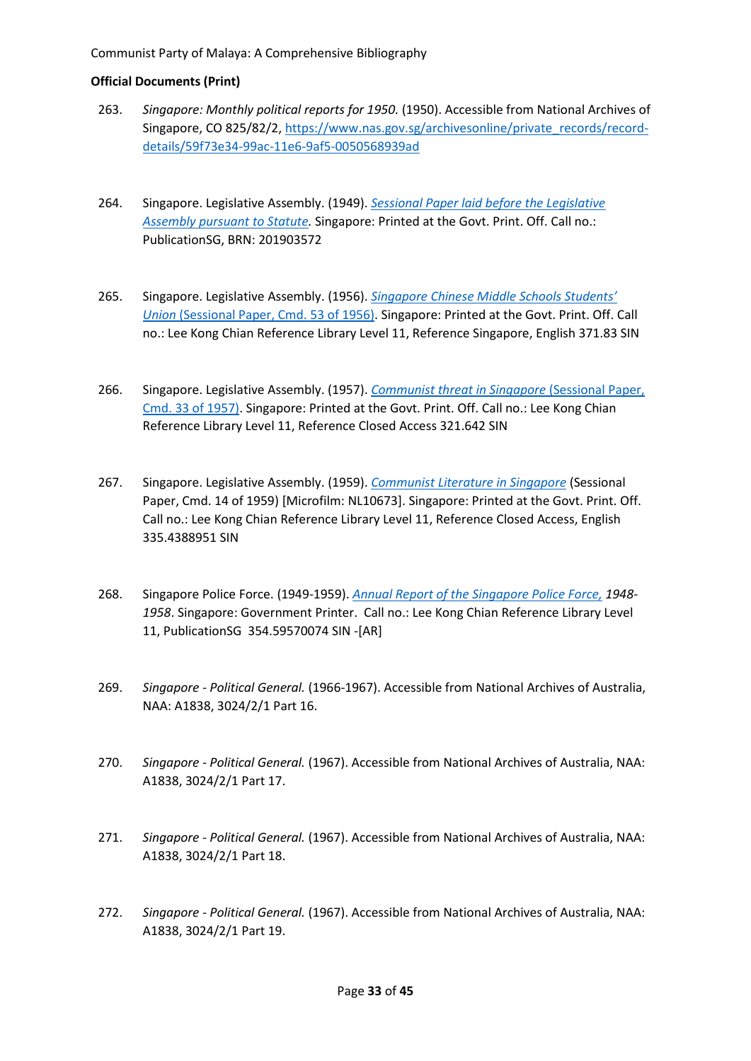- 263. *Singapore: Monthly political reports for 1950.* (1950). Accessible from National Archives of Singapore, CO 825/82/2, [https://www.nas.gov.sg/archivesonline/private\\_records/record](https://www.nas.gov.sg/archivesonline/private_records/record-details/59f73e34-99ac-11e6-9af5-0050568939ad)[details/59f73e34-99ac-11e6-9af5-0050568939ad](https://www.nas.gov.sg/archivesonline/private_records/record-details/59f73e34-99ac-11e6-9af5-0050568939ad)
- 264. Singapore. Legislative Assembly. (1949). *[Sessional Paper laid before the Legislative](https://eservice.nlb.gov.sg/item_holding.aspx?bid=201903572)  [Assembly pursuant to Statute.](https://eservice.nlb.gov.sg/item_holding.aspx?bid=201903572)* Singapore: Printed at the Govt. Print. Off. Call no.: PublicationSG, BRN: 201903572
- 265. Singapore. Legislative Assembly. (1956). *[Singapore Chinese Middle Schools Students'](https://eservice.nlb.gov.sg/item_holding.aspx?bid=4981001)  Union* [\(Sessional Paper, Cmd. 53 of 1956\).](https://eservice.nlb.gov.sg/item_holding.aspx?bid=4981001) Singapore: Printed at the Govt. Print. Off. Call no.: Lee Kong Chian Reference Library Level 11, Reference Singapore, English 371.83 SIN
- 266. Singapore. Legislative Assembly. (1957). *[Communist threat in Singapore](https://eservice.nlb.gov.sg/item_holding.aspx?bid=4981140)* (Sessional Paper, [Cmd. 33 of 1957\).](https://eservice.nlb.gov.sg/item_holding.aspx?bid=4981140) Singapore: Printed at the Govt. Print. Off. Call no.: Lee Kong Chian Reference Library Level 11, Reference Closed Access 321.642 SIN
- 267. Singapore. Legislative Assembly. (1959). *[Communist Literature in Singapore](https://eservice.nlb.gov.sg/item_holding.aspx?bid=4981139)* (Sessional Paper, Cmd. 14 of 1959) [Microfilm: NL10673]. Singapore: Printed at the Govt. Print. Off. Call no.: Lee Kong Chian Reference Library Level 11, Reference Closed Access, English 335.4388951 SIN
- 268. Singapore Police Force. (1949-1959). *[Annual Report of the Singapore Police Force,](https://eservice.nlb.gov.sg/item_holding.aspx?bid=4826214) 1948- 1958*. Singapore: Government Printer. Call no.: Lee Kong Chian Reference Library Level 11, PublicationSG 354.59570074 SIN -[AR]
- 269. *Singapore - Political General.* (1966-1967). Accessible from National Archives of Australia, NAA: A1838, 3024/2/1 Part 16.
- 270. *Singapore - Political General.* (1967). Accessible from National Archives of Australia, NAA: A1838, 3024/2/1 Part 17.
- 271. *Singapore - Political General.* (1967). Accessible from National Archives of Australia, NAA: A1838, 3024/2/1 Part 18.
- 272. *Singapore - Political General.* (1967). Accessible from National Archives of Australia, NAA: A1838, 3024/2/1 Part 19.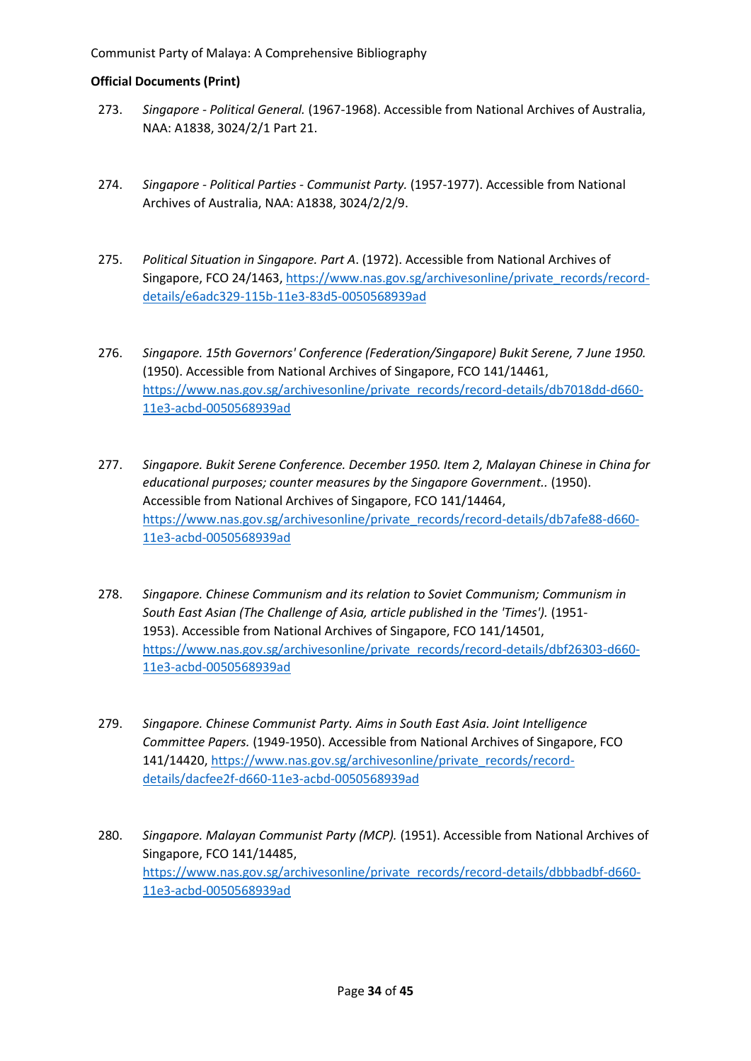- 273. *Singapore - Political General.* (1967-1968). Accessible from National Archives of Australia, NAA: A1838, 3024/2/1 Part 21.
- 274. *Singapore - Political Parties - Communist Party.* (1957-1977). Accessible from National Archives of Australia, NAA: A1838, 3024/2/2/9.
- 275. *Political Situation in Singapore. Part A*. (1972). Accessible from National Archives of Singapore, FCO 24/1463, [https://www.nas.gov.sg/archivesonline/private\\_records/record](https://www.nas.gov.sg/archivesonline/private_records/record-details/e6adc329-115b-11e3-83d5-0050568939ad)[details/e6adc329-115b-11e3-83d5-0050568939ad](https://www.nas.gov.sg/archivesonline/private_records/record-details/e6adc329-115b-11e3-83d5-0050568939ad)
- 276. *Singapore. 15th Governors' Conference (Federation/Singapore) Bukit Serene, 7 June 1950.* (1950). Accessible from National Archives of Singapore, FCO 141/14461, [https://www.nas.gov.sg/archivesonline/private\\_records/record-details/db7018dd-d660-](https://www.nas.gov.sg/archivesonline/private_records/record-details/db7018dd-d660-11e3-acbd-0050568939ad) [11e3-acbd-0050568939ad](https://www.nas.gov.sg/archivesonline/private_records/record-details/db7018dd-d660-11e3-acbd-0050568939ad)
- 277. *Singapore. Bukit Serene Conference. December 1950. Item 2, Malayan Chinese in China for educational purposes; counter measures by the Singapore Government..* (1950). Accessible from National Archives of Singapore, FCO 141/14464, [https://www.nas.gov.sg/archivesonline/private\\_records/record-details/db7afe88-d660-](https://www.nas.gov.sg/archivesonline/private_records/record-details/db7afe88-d660-11e3-acbd-0050568939ad) [11e3-acbd-0050568939ad](https://www.nas.gov.sg/archivesonline/private_records/record-details/db7afe88-d660-11e3-acbd-0050568939ad)
- 278. *Singapore. Chinese Communism and its relation to Soviet Communism; Communism in South East Asian (The Challenge of Asia, article published in the 'Times').* (1951- 1953). Accessible from National Archives of Singapore, FCO 141/14501, [https://www.nas.gov.sg/archivesonline/private\\_records/record-details/dbf26303-d660-](https://www.nas.gov.sg/archivesonline/private_records/record-details/dbf26303-d660-11e3-acbd-0050568939ad) [11e3-acbd-0050568939ad](https://www.nas.gov.sg/archivesonline/private_records/record-details/dbf26303-d660-11e3-acbd-0050568939ad)
- 279. *Singapore. Chinese Communist Party. Aims in South East Asia. Joint Intelligence Committee Papers.* (1949-1950). Accessible from National Archives of Singapore, FCO 141/14420, [https://www.nas.gov.sg/archivesonline/private\\_records/record](https://www.nas.gov.sg/archivesonline/private_records/record-details/dacfee2f-d660-11e3-acbd-0050568939ad)[details/dacfee2f-d660-11e3-acbd-0050568939ad](https://www.nas.gov.sg/archivesonline/private_records/record-details/dacfee2f-d660-11e3-acbd-0050568939ad)
- 280. *Singapore. Malayan Communist Party (MCP).* (1951). Accessible from National Archives of Singapore, FCO 141/14485, [https://www.nas.gov.sg/archivesonline/private\\_records/record-details/dbbbadbf-d660-](https://www.nas.gov.sg/archivesonline/private_records/record-details/dbbbadbf-d660-11e3-acbd-0050568939ad) [11e3-acbd-0050568939ad](https://www.nas.gov.sg/archivesonline/private_records/record-details/dbbbadbf-d660-11e3-acbd-0050568939ad)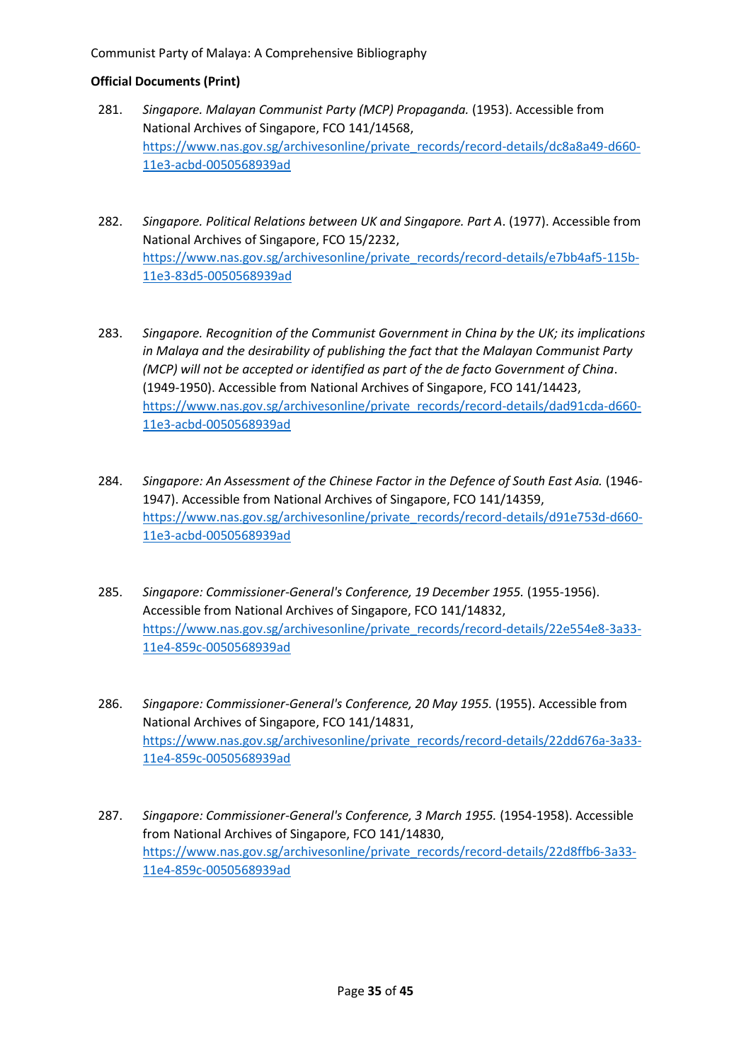- 281. *Singapore. Malayan Communist Party (MCP) Propaganda.* (1953). Accessible from National Archives of Singapore, FCO 141/14568, [https://www.nas.gov.sg/archivesonline/private\\_records/record-details/dc8a8a49-d660-](https://www.nas.gov.sg/archivesonline/private_records/record-details/dc8a8a49-d660-11e3-acbd-0050568939ad) [11e3-acbd-0050568939ad](https://www.nas.gov.sg/archivesonline/private_records/record-details/dc8a8a49-d660-11e3-acbd-0050568939ad)
- 282. *Singapore. Political Relations between UK and Singapore. Part A*. (1977). Accessible from National Archives of Singapore, FCO 15/2232, [https://www.nas.gov.sg/archivesonline/private\\_records/record-details/e7bb4af5-115b-](https://www.nas.gov.sg/archivesonline/private_records/record-details/e7bb4af5-115b-11e3-83d5-0050568939ad)[11e3-83d5-0050568939ad](https://www.nas.gov.sg/archivesonline/private_records/record-details/e7bb4af5-115b-11e3-83d5-0050568939ad)
- 283. *Singapore. Recognition of the Communist Government in China by the UK; its implications in Malaya and the desirability of publishing the fact that the Malayan Communist Party (MCP) will not be accepted or identified as part of the de facto Government of China*. (1949-1950). Accessible from National Archives of Singapore, FCO 141/14423, [https://www.nas.gov.sg/archivesonline/private\\_records/record-details/dad91cda-d660-](https://www.nas.gov.sg/archivesonline/private_records/record-details/dad91cda-d660-11e3-acbd-0050568939ad) [11e3-acbd-0050568939ad](https://www.nas.gov.sg/archivesonline/private_records/record-details/dad91cda-d660-11e3-acbd-0050568939ad)
- 284. *Singapore: An Assessment of the Chinese Factor in the Defence of South East Asia.* (1946- 1947). Accessible from National Archives of Singapore, FCO 141/14359, [https://www.nas.gov.sg/archivesonline/private\\_records/record-details/d91e753d-d660-](https://www.nas.gov.sg/archivesonline/private_records/record-details/d91e753d-d660-11e3-acbd-0050568939ad) [11e3-acbd-0050568939ad](https://www.nas.gov.sg/archivesonline/private_records/record-details/d91e753d-d660-11e3-acbd-0050568939ad)
- 285. *Singapore: Commissioner-General's Conference, 19 December 1955.* (1955-1956). Accessible from National Archives of Singapore, FCO 141/14832, [https://www.nas.gov.sg/archivesonline/private\\_records/record-details/22e554e8-3a33-](https://www.nas.gov.sg/archivesonline/private_records/record-details/22e554e8-3a33-11e4-859c-0050568939ad) [11e4-859c-0050568939ad](https://www.nas.gov.sg/archivesonline/private_records/record-details/22e554e8-3a33-11e4-859c-0050568939ad)
- 286. *Singapore: Commissioner-General's Conference, 20 May 1955.* (1955). Accessible from National Archives of Singapore, FCO 141/14831, [https://www.nas.gov.sg/archivesonline/private\\_records/record-details/22dd676a-3a33-](https://www.nas.gov.sg/archivesonline/private_records/record-details/22dd676a-3a33-11e4-859c-0050568939ad) [11e4-859c-0050568939ad](https://www.nas.gov.sg/archivesonline/private_records/record-details/22dd676a-3a33-11e4-859c-0050568939ad)
- 287. *Singapore: Commissioner-General's Conference, 3 March 1955.* (1954-1958). Accessible from National Archives of Singapore, FCO 141/14830, [https://www.nas.gov.sg/archivesonline/private\\_records/record-details/22d8ffb6-3a33-](https://www.nas.gov.sg/archivesonline/private_records/record-details/22d8ffb6-3a33-11e4-859c-0050568939ad) [11e4-859c-0050568939ad](https://www.nas.gov.sg/archivesonline/private_records/record-details/22d8ffb6-3a33-11e4-859c-0050568939ad)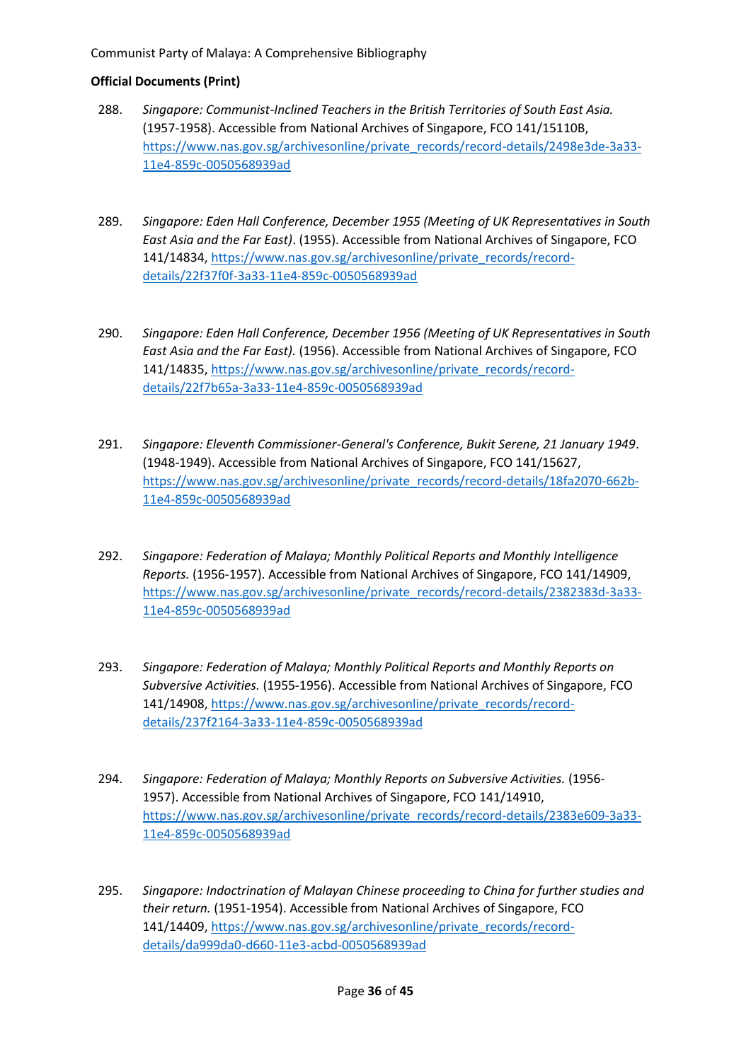- 288. *Singapore: Communist-Inclined Teachers in the British Territories of South East Asia.* (1957-1958). Accessible from National Archives of Singapore, FCO 141/15110B, [https://www.nas.gov.sg/archivesonline/private\\_records/record-details/2498e3de-3a33-](https://www.nas.gov.sg/archivesonline/private_records/record-details/2498e3de-3a33-11e4-859c-0050568939ad) [11e4-859c-0050568939ad](https://www.nas.gov.sg/archivesonline/private_records/record-details/2498e3de-3a33-11e4-859c-0050568939ad)
- 289. *Singapore: Eden Hall Conference, December 1955 (Meeting of UK Representatives in South East Asia and the Far East)*. (1955). Accessible from National Archives of Singapore, FCO 141/14834, [https://www.nas.gov.sg/archivesonline/private\\_records/record](https://www.nas.gov.sg/archivesonline/private_records/record-details/22f37f0f-3a33-11e4-859c-0050568939ad)[details/22f37f0f-3a33-11e4-859c-0050568939ad](https://www.nas.gov.sg/archivesonline/private_records/record-details/22f37f0f-3a33-11e4-859c-0050568939ad)
- 290. *Singapore: Eden Hall Conference, December 1956 (Meeting of UK Representatives in South East Asia and the Far East).* (1956). Accessible from National Archives of Singapore, FCO 141/14835, [https://www.nas.gov.sg/archivesonline/private\\_records/record](https://www.nas.gov.sg/archivesonline/private_records/record-details/22f7b65a-3a33-11e4-859c-0050568939ad)[details/22f7b65a-3a33-11e4-859c-0050568939ad](https://www.nas.gov.sg/archivesonline/private_records/record-details/22f7b65a-3a33-11e4-859c-0050568939ad)
- 291. *Singapore: Eleventh Commissioner-General's Conference, Bukit Serene, 21 January 1949*. (1948-1949). Accessible from National Archives of Singapore, FCO 141/15627, [https://www.nas.gov.sg/archivesonline/private\\_records/record-details/18fa2070-662b-](https://www.nas.gov.sg/archivesonline/private_records/record-details/18fa2070-662b-11e4-859c-0050568939ad)[11e4-859c-0050568939ad](https://www.nas.gov.sg/archivesonline/private_records/record-details/18fa2070-662b-11e4-859c-0050568939ad)
- 292. *Singapore: Federation of Malaya; Monthly Political Reports and Monthly Intelligence Reports.* (1956-1957). Accessible from National Archives of Singapore, FCO 141/14909, [https://www.nas.gov.sg/archivesonline/private\\_records/record-details/2382383d-3a33-](https://www.nas.gov.sg/archivesonline/private_records/record-details/2382383d-3a33-11e4-859c-0050568939ad) [11e4-859c-0050568939ad](https://www.nas.gov.sg/archivesonline/private_records/record-details/2382383d-3a33-11e4-859c-0050568939ad)
- 293. *Singapore: Federation of Malaya; Monthly Political Reports and Monthly Reports on Subversive Activities.* (1955-1956). Accessible from National Archives of Singapore, FCO 141/14908, [https://www.nas.gov.sg/archivesonline/private\\_records/record](https://www.nas.gov.sg/archivesonline/private_records/record-details/237f2164-3a33-11e4-859c-0050568939ad)[details/237f2164-3a33-11e4-859c-0050568939ad](https://www.nas.gov.sg/archivesonline/private_records/record-details/237f2164-3a33-11e4-859c-0050568939ad)
- 294. *Singapore: Federation of Malaya; Monthly Reports on Subversive Activities.* (1956- 1957). Accessible from National Archives of Singapore, FCO 141/14910, [https://www.nas.gov.sg/archivesonline/private\\_records/record-details/2383e609-3a33-](https://www.nas.gov.sg/archivesonline/private_records/record-details/2383e609-3a33-11e4-859c-0050568939ad) [11e4-859c-0050568939ad](https://www.nas.gov.sg/archivesonline/private_records/record-details/2383e609-3a33-11e4-859c-0050568939ad)
- 295. *Singapore: Indoctrination of Malayan Chinese proceeding to China for further studies and their return.* (1951-1954). Accessible from National Archives of Singapore, FCO 141/14409, [https://www.nas.gov.sg/archivesonline/private\\_records/record](https://www.nas.gov.sg/archivesonline/private_records/record-details/da999da0-d660-11e3-acbd-0050568939ad)[details/da999da0-d660-11e3-acbd-0050568939ad](https://www.nas.gov.sg/archivesonline/private_records/record-details/da999da0-d660-11e3-acbd-0050568939ad)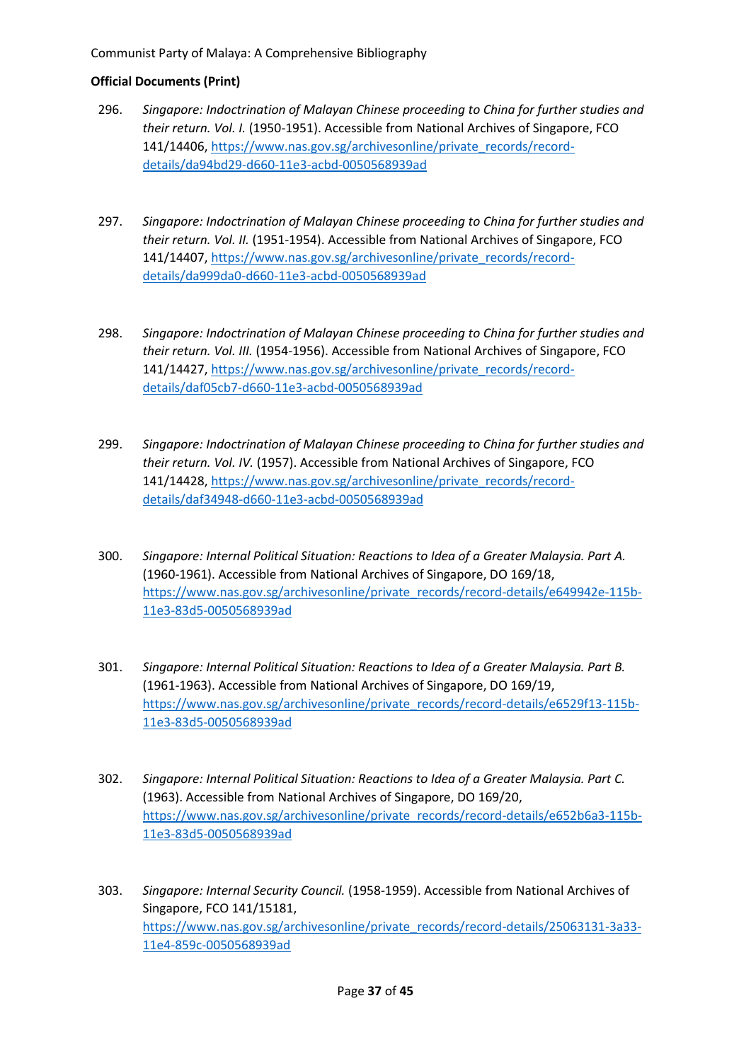- 296. *Singapore: Indoctrination of Malayan Chinese proceeding to China for further studies and their return. Vol. I.* (1950-1951). Accessible from National Archives of Singapore, FCO 141/14406, [https://www.nas.gov.sg/archivesonline/private\\_records/record](https://www.nas.gov.sg/archivesonline/private_records/record-details/da94bd29-d660-11e3-acbd-0050568939ad)[details/da94bd29-d660-11e3-acbd-0050568939ad](https://www.nas.gov.sg/archivesonline/private_records/record-details/da94bd29-d660-11e3-acbd-0050568939ad)
- 297. *Singapore: Indoctrination of Malayan Chinese proceeding to China for further studies and their return. Vol. II.* (1951-1954). Accessible from National Archives of Singapore, FCO 141/14407, [https://www.nas.gov.sg/archivesonline/private\\_records/record](https://www.nas.gov.sg/archivesonline/private_records/record-details/da999da0-d660-11e3-acbd-0050568939ad)[details/da999da0-d660-11e3-acbd-0050568939ad](https://www.nas.gov.sg/archivesonline/private_records/record-details/da999da0-d660-11e3-acbd-0050568939ad)
- 298. *Singapore: Indoctrination of Malayan Chinese proceeding to China for further studies and their return. Vol. III.* (1954-1956). Accessible from National Archives of Singapore, FCO 141/14427, [https://www.nas.gov.sg/archivesonline/private\\_records/record](https://www.nas.gov.sg/archivesonline/private_records/record-details/daf05cb7-d660-11e3-acbd-0050568939ad)[details/daf05cb7-d660-11e3-acbd-0050568939ad](https://www.nas.gov.sg/archivesonline/private_records/record-details/daf05cb7-d660-11e3-acbd-0050568939ad)
- 299. *Singapore: Indoctrination of Malayan Chinese proceeding to China for further studies and their return. Vol. IV.* (1957). Accessible from National Archives of Singapore, FCO 141/14428, [https://www.nas.gov.sg/archivesonline/private\\_records/record](https://www.nas.gov.sg/archivesonline/private_records/record-details/daf34948-d660-11e3-acbd-0050568939ad)[details/daf34948-d660-11e3-acbd-0050568939ad](https://www.nas.gov.sg/archivesonline/private_records/record-details/daf34948-d660-11e3-acbd-0050568939ad)
- 300. *Singapore: Internal Political Situation: Reactions to Idea of a Greater Malaysia. Part A.*  (1960-1961). Accessible from National Archives of Singapore, DO 169/18, [https://www.nas.gov.sg/archivesonline/private\\_records/record-details/e649942e-115b-](https://www.nas.gov.sg/archivesonline/private_records/record-details/e649942e-115b-11e3-83d5-0050568939ad)[11e3-83d5-0050568939ad](https://www.nas.gov.sg/archivesonline/private_records/record-details/e649942e-115b-11e3-83d5-0050568939ad)
- 301. *Singapore: Internal Political Situation: Reactions to Idea of a Greater Malaysia. Part B.*  (1961-1963). Accessible from National Archives of Singapore, DO 169/19, [https://www.nas.gov.sg/archivesonline/private\\_records/record-details/e6529f13-115b-](https://www.nas.gov.sg/archivesonline/private_records/record-details/e6529f13-115b-11e3-83d5-0050568939ad)[11e3-83d5-0050568939ad](https://www.nas.gov.sg/archivesonline/private_records/record-details/e6529f13-115b-11e3-83d5-0050568939ad)
- 302. *Singapore: Internal Political Situation: Reactions to Idea of a Greater Malaysia. Part C.* (1963). Accessible from National Archives of Singapore, DO 169/20, [https://www.nas.gov.sg/archivesonline/private\\_records/record-details/e652b6a3-115b-](https://www.nas.gov.sg/archivesonline/private_records/record-details/e652b6a3-115b-11e3-83d5-0050568939ad)[11e3-83d5-0050568939ad](https://www.nas.gov.sg/archivesonline/private_records/record-details/e652b6a3-115b-11e3-83d5-0050568939ad)
- 303. *Singapore: Internal Security Council.* (1958-1959). Accessible from National Archives of Singapore, FCO 141/15181, [https://www.nas.gov.sg/archivesonline/private\\_records/record-details/25063131-3a33-](https://www.nas.gov.sg/archivesonline/private_records/record-details/25063131-3a33-11e4-859c-0050568939ad) [11e4-859c-0050568939ad](https://www.nas.gov.sg/archivesonline/private_records/record-details/25063131-3a33-11e4-859c-0050568939ad)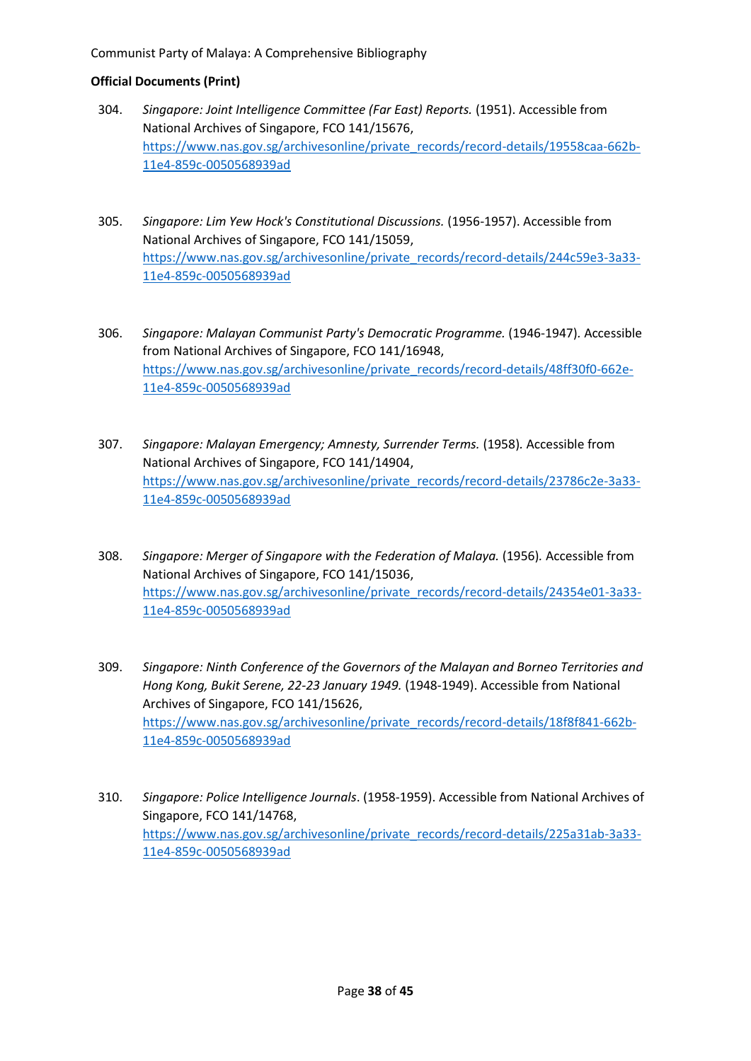- 304. *Singapore: Joint Intelligence Committee (Far East) Reports.* (1951). Accessible from National Archives of Singapore, FCO 141/15676, [https://www.nas.gov.sg/archivesonline/private\\_records/record-details/19558caa-662b-](https://www.nas.gov.sg/archivesonline/private_records/record-details/19558caa-662b-11e4-859c-0050568939ad)[11e4-859c-0050568939ad](https://www.nas.gov.sg/archivesonline/private_records/record-details/19558caa-662b-11e4-859c-0050568939ad)
- 305. *Singapore: Lim Yew Hock's Constitutional Discussions.* (1956-1957). Accessible from National Archives of Singapore, FCO 141/15059, [https://www.nas.gov.sg/archivesonline/private\\_records/record-details/244c59e3-3a33-](https://www.nas.gov.sg/archivesonline/private_records/record-details/244c59e3-3a33-11e4-859c-0050568939ad) [11e4-859c-0050568939ad](https://www.nas.gov.sg/archivesonline/private_records/record-details/244c59e3-3a33-11e4-859c-0050568939ad)
- 306. *Singapore: Malayan Communist Party's Democratic Programme.* (1946-1947)*.* Accessible from National Archives of Singapore, FCO 141/16948, [https://www.nas.gov.sg/archivesonline/private\\_records/record-details/48ff30f0-662e-](https://www.nas.gov.sg/archivesonline/private_records/record-details/48ff30f0-662e-11e4-859c-0050568939ad)[11e4-859c-0050568939ad](https://www.nas.gov.sg/archivesonline/private_records/record-details/48ff30f0-662e-11e4-859c-0050568939ad)
- 307. *Singapore: Malayan Emergency; Amnesty, Surrender Terms.* (1958)*.* Accessible from National Archives of Singapore, FCO 141/14904, [https://www.nas.gov.sg/archivesonline/private\\_records/record-details/23786c2e-3a33-](https://www.nas.gov.sg/archivesonline/private_records/record-details/23786c2e-3a33-11e4-859c-0050568939ad) [11e4-859c-0050568939ad](https://www.nas.gov.sg/archivesonline/private_records/record-details/23786c2e-3a33-11e4-859c-0050568939ad)
- 308. *Singapore: Merger of Singapore with the Federation of Malaya.* (1956)*.* Accessible from National Archives of Singapore, FCO 141/15036, [https://www.nas.gov.sg/archivesonline/private\\_records/record-details/24354e01-3a33-](https://www.nas.gov.sg/archivesonline/private_records/record-details/24354e01-3a33-11e4-859c-0050568939ad) [11e4-859c-0050568939ad](https://www.nas.gov.sg/archivesonline/private_records/record-details/24354e01-3a33-11e4-859c-0050568939ad)
- 309. *Singapore: Ninth Conference of the Governors of the Malayan and Borneo Territories and Hong Kong, Bukit Serene, 22-23 January 1949.* (1948-1949). Accessible from National Archives of Singapore, FCO 141/15626, [https://www.nas.gov.sg/archivesonline/private\\_records/record-details/18f8f841-662b-](https://www.nas.gov.sg/archivesonline/private_records/record-details/18f8f841-662b-11e4-859c-0050568939ad)[11e4-859c-0050568939ad](https://www.nas.gov.sg/archivesonline/private_records/record-details/18f8f841-662b-11e4-859c-0050568939ad)
- 310. *Singapore: Police Intelligence Journals*. (1958-1959). Accessible from National Archives of Singapore, FCO 141/14768, [https://www.nas.gov.sg/archivesonline/private\\_records/record-details/225a31ab-3a33-](https://www.nas.gov.sg/archivesonline/private_records/record-details/225a31ab-3a33-11e4-859c-0050568939ad) [11e4-859c-0050568939ad](https://www.nas.gov.sg/archivesonline/private_records/record-details/225a31ab-3a33-11e4-859c-0050568939ad)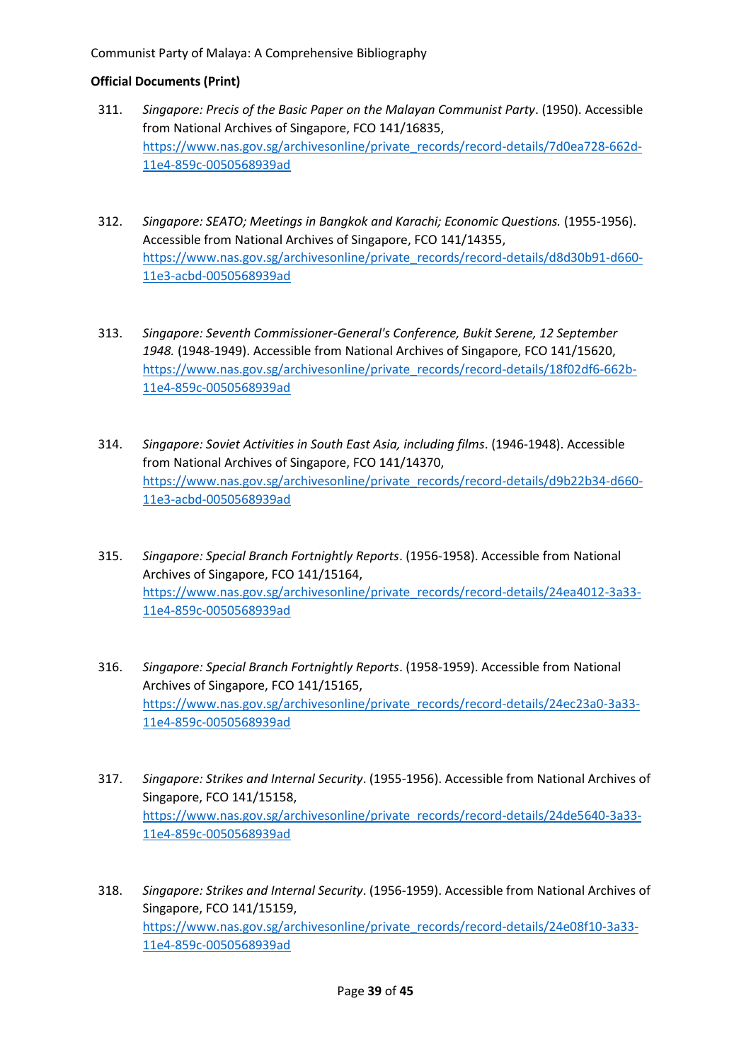- 311. *Singapore: Precis of the Basic Paper on the Malayan Communist Party*. (1950). Accessible from National Archives of Singapore, FCO 141/16835, [https://www.nas.gov.sg/archivesonline/private\\_records/record-details/7d0ea728-662d-](https://www.nas.gov.sg/archivesonline/private_records/record-details/7d0ea728-662d-11e4-859c-0050568939ad)[11e4-859c-0050568939ad](https://www.nas.gov.sg/archivesonline/private_records/record-details/7d0ea728-662d-11e4-859c-0050568939ad)
- 312. *Singapore: SEATO; Meetings in Bangkok and Karachi; Economic Questions.* (1955-1956). Accessible from National Archives of Singapore, FCO 141/14355, [https://www.nas.gov.sg/archivesonline/private\\_records/record-details/d8d30b91-d660-](https://www.nas.gov.sg/archivesonline/private_records/record-details/d8d30b91-d660-11e3-acbd-0050568939ad) [11e3-acbd-0050568939ad](https://www.nas.gov.sg/archivesonline/private_records/record-details/d8d30b91-d660-11e3-acbd-0050568939ad)
- 313. *Singapore: Seventh Commissioner-General's Conference, Bukit Serene, 12 September 1948.* (1948-1949). Accessible from National Archives of Singapore, FCO 141/15620, [https://www.nas.gov.sg/archivesonline/private\\_records/record-details/18f02df6-662b-](https://www.nas.gov.sg/archivesonline/private_records/record-details/18f02df6-662b-11e4-859c-0050568939ad)[11e4-859c-0050568939ad](https://www.nas.gov.sg/archivesonline/private_records/record-details/18f02df6-662b-11e4-859c-0050568939ad)
- 314. *Singapore: Soviet Activities in South East Asia, including films*. (1946-1948). Accessible from National Archives of Singapore, FCO 141/14370, [https://www.nas.gov.sg/archivesonline/private\\_records/record-details/d9b22b34-d660-](https://www.nas.gov.sg/archivesonline/private_records/record-details/d9b22b34-d660-11e3-acbd-0050568939ad) [11e3-acbd-0050568939ad](https://www.nas.gov.sg/archivesonline/private_records/record-details/d9b22b34-d660-11e3-acbd-0050568939ad)
- 315. *Singapore: Special Branch Fortnightly Reports*. (1956-1958). Accessible from National Archives of Singapore, FCO 141/15164, [https://www.nas.gov.sg/archivesonline/private\\_records/record-details/24ea4012-3a33-](https://www.nas.gov.sg/archivesonline/private_records/record-details/24ea4012-3a33-11e4-859c-0050568939ad) [11e4-859c-0050568939ad](https://www.nas.gov.sg/archivesonline/private_records/record-details/24ea4012-3a33-11e4-859c-0050568939ad)
- 316. *Singapore: Special Branch Fortnightly Reports*. (1958-1959). Accessible from National Archives of Singapore, FCO 141/15165, [https://www.nas.gov.sg/archivesonline/private\\_records/record-details/24ec23a0-3a33-](https://www.nas.gov.sg/archivesonline/private_records/record-details/24ec23a0-3a33-11e4-859c-0050568939ad) [11e4-859c-0050568939ad](https://www.nas.gov.sg/archivesonline/private_records/record-details/24ec23a0-3a33-11e4-859c-0050568939ad)
- 317. *Singapore: Strikes and Internal Security*. (1955-1956). Accessible from National Archives of Singapore, FCO 141/15158, [https://www.nas.gov.sg/archivesonline/private\\_records/record-details/24de5640-3a33-](https://www.nas.gov.sg/archivesonline/private_records/record-details/24de5640-3a33-11e4-859c-0050568939ad) [11e4-859c-0050568939ad](https://www.nas.gov.sg/archivesonline/private_records/record-details/24de5640-3a33-11e4-859c-0050568939ad)
- 318. *Singapore: Strikes and Internal Security*. (1956-1959). Accessible from National Archives of Singapore, FCO 141/15159, [https://www.nas.gov.sg/archivesonline/private\\_records/record-details/24e08f10-3a33-](https://www.nas.gov.sg/archivesonline/private_records/record-details/24e08f10-3a33-11e4-859c-0050568939ad) [11e4-859c-0050568939ad](https://www.nas.gov.sg/archivesonline/private_records/record-details/24e08f10-3a33-11e4-859c-0050568939ad)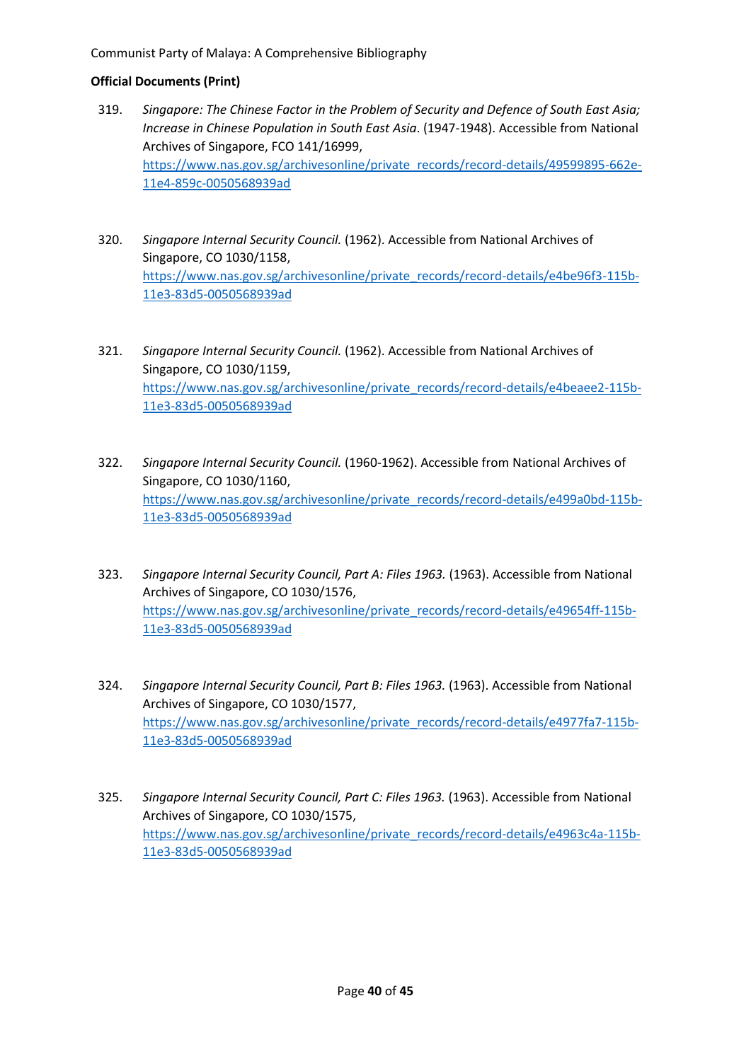- 319. *Singapore: The Chinese Factor in the Problem of Security and Defence of South East Asia; Increase in Chinese Population in South East Asia*. (1947-1948). Accessible from National Archives of Singapore, FCO 141/16999, [https://www.nas.gov.sg/archivesonline/private\\_records/record-details/49599895-662e-](https://www.nas.gov.sg/archivesonline/private_records/record-details/49599895-662e-11e4-859c-0050568939ad)[11e4-859c-0050568939ad](https://www.nas.gov.sg/archivesonline/private_records/record-details/49599895-662e-11e4-859c-0050568939ad)
- 320. *Singapore Internal Security Council.* (1962). Accessible from National Archives of Singapore, CO 1030/1158, [https://www.nas.gov.sg/archivesonline/private\\_records/record-details/e4be96f3-115b-](https://www.nas.gov.sg/archivesonline/private_records/record-details/e4be96f3-115b-11e3-83d5-0050568939ad)[11e3-83d5-0050568939ad](https://www.nas.gov.sg/archivesonline/private_records/record-details/e4be96f3-115b-11e3-83d5-0050568939ad)
- 321. *Singapore Internal Security Council.* (1962). Accessible from National Archives of Singapore, CO 1030/1159, [https://www.nas.gov.sg/archivesonline/private\\_records/record-details/e4beaee2-115b-](https://www.nas.gov.sg/archivesonline/private_records/record-details/e4beaee2-115b-11e3-83d5-0050568939ad)[11e3-83d5-0050568939ad](https://www.nas.gov.sg/archivesonline/private_records/record-details/e4beaee2-115b-11e3-83d5-0050568939ad)
- 322. *Singapore Internal Security Council.* (1960-1962). Accessible from National Archives of Singapore, CO 1030/1160, [https://www.nas.gov.sg/archivesonline/private\\_records/record-details/e499a0bd-115b-](https://www.nas.gov.sg/archivesonline/private_records/record-details/e499a0bd-115b-11e3-83d5-0050568939ad)[11e3-83d5-0050568939ad](https://www.nas.gov.sg/archivesonline/private_records/record-details/e499a0bd-115b-11e3-83d5-0050568939ad)
- 323. *Singapore Internal Security Council, Part A: Files 1963.* (1963). Accessible from National Archives of Singapore, CO 1030/1576, [https://www.nas.gov.sg/archivesonline/private\\_records/record-details/e49654ff-115b-](https://www.nas.gov.sg/archivesonline/private_records/record-details/e49654ff-115b-11e3-83d5-0050568939ad)[11e3-83d5-0050568939ad](https://www.nas.gov.sg/archivesonline/private_records/record-details/e49654ff-115b-11e3-83d5-0050568939ad)
- 324. *Singapore Internal Security Council, Part B: Files 1963.* (1963). Accessible from National Archives of Singapore, CO 1030/1577, [https://www.nas.gov.sg/archivesonline/private\\_records/record-details/e4977fa7-115b-](https://www.nas.gov.sg/archivesonline/private_records/record-details/e4977fa7-115b-11e3-83d5-0050568939ad)[11e3-83d5-0050568939ad](https://www.nas.gov.sg/archivesonline/private_records/record-details/e4977fa7-115b-11e3-83d5-0050568939ad)
- 325. *Singapore Internal Security Council, Part C: Files 1963.* (1963). Accessible from National Archives of Singapore, CO 1030/1575, [https://www.nas.gov.sg/archivesonline/private\\_records/record-details/e4963c4a-115b-](https://www.nas.gov.sg/archivesonline/private_records/record-details/e4963c4a-115b-11e3-83d5-0050568939ad)[11e3-83d5-0050568939ad](https://www.nas.gov.sg/archivesonline/private_records/record-details/e4963c4a-115b-11e3-83d5-0050568939ad)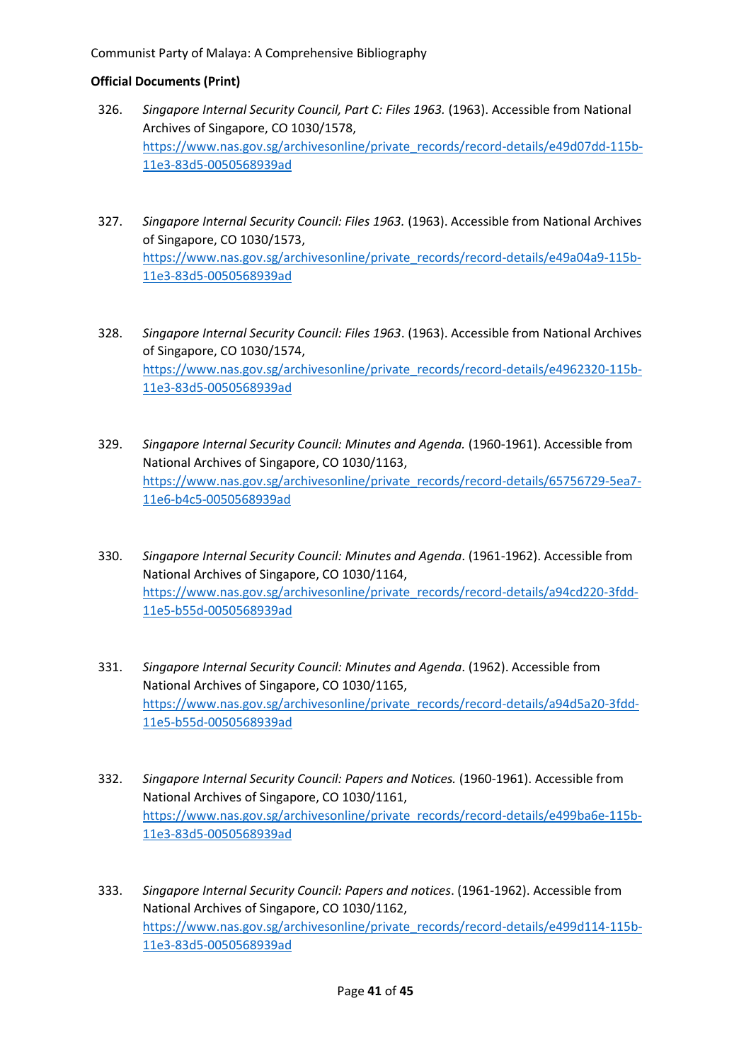- 326. *Singapore Internal Security Council, Part C: Files 1963.* (1963). Accessible from National Archives of Singapore, CO 1030/1578, [https://www.nas.gov.sg/archivesonline/private\\_records/record-details/e49d07dd-115b-](https://www.nas.gov.sg/archivesonline/private_records/record-details/e49d07dd-115b-11e3-83d5-0050568939ad)[11e3-83d5-0050568939ad](https://www.nas.gov.sg/archivesonline/private_records/record-details/e49d07dd-115b-11e3-83d5-0050568939ad)
- 327. *Singapore Internal Security Council: Files 1963.* (1963). Accessible from National Archives of Singapore, CO 1030/1573, [https://www.nas.gov.sg/archivesonline/private\\_records/record-details/e49a04a9-115b-](https://www.nas.gov.sg/archivesonline/private_records/record-details/e49a04a9-115b-11e3-83d5-0050568939ad)[11e3-83d5-0050568939ad](https://www.nas.gov.sg/archivesonline/private_records/record-details/e49a04a9-115b-11e3-83d5-0050568939ad)
- 328. *Singapore Internal Security Council: Files 1963*. (1963). Accessible from National Archives of Singapore, CO 1030/1574, [https://www.nas.gov.sg/archivesonline/private\\_records/record-details/e4962320-115b-](https://www.nas.gov.sg/archivesonline/private_records/record-details/e4962320-115b-11e3-83d5-0050568939ad)[11e3-83d5-0050568939ad](https://www.nas.gov.sg/archivesonline/private_records/record-details/e4962320-115b-11e3-83d5-0050568939ad)
- 329. *Singapore Internal Security Council: Minutes and Agenda.* (1960-1961). Accessible from National Archives of Singapore, CO 1030/1163, [https://www.nas.gov.sg/archivesonline/private\\_records/record-details/65756729-5ea7-](https://www.nas.gov.sg/archivesonline/private_records/record-details/65756729-5ea7-11e6-b4c5-0050568939ad) [11e6-b4c5-0050568939ad](https://www.nas.gov.sg/archivesonline/private_records/record-details/65756729-5ea7-11e6-b4c5-0050568939ad)
- 330. *Singapore Internal Security Council: Minutes and Agenda*. (1961-1962). Accessible from National Archives of Singapore, CO 1030/1164, [https://www.nas.gov.sg/archivesonline/private\\_records/record-details/a94cd220-3fdd-](https://www.nas.gov.sg/archivesonline/private_records/record-details/a94cd220-3fdd-11e5-b55d-0050568939ad)[11e5-b55d-0050568939ad](https://www.nas.gov.sg/archivesonline/private_records/record-details/a94cd220-3fdd-11e5-b55d-0050568939ad)
- 331. *Singapore Internal Security Council: Minutes and Agenda*. (1962). Accessible from National Archives of Singapore, CO 1030/1165, [https://www.nas.gov.sg/archivesonline/private\\_records/record-details/a94d5a20-3fdd-](https://www.nas.gov.sg/archivesonline/private_records/record-details/a94d5a20-3fdd-11e5-b55d-0050568939ad)[11e5-b55d-0050568939ad](https://www.nas.gov.sg/archivesonline/private_records/record-details/a94d5a20-3fdd-11e5-b55d-0050568939ad)
- 332. *Singapore Internal Security Council: Papers and Notices.* (1960-1961). Accessible from National Archives of Singapore, CO 1030/1161, [https://www.nas.gov.sg/archivesonline/private\\_records/record-details/e499ba6e-115b-](https://www.nas.gov.sg/archivesonline/private_records/record-details/e499ba6e-115b-11e3-83d5-0050568939ad)[11e3-83d5-0050568939ad](https://www.nas.gov.sg/archivesonline/private_records/record-details/e499ba6e-115b-11e3-83d5-0050568939ad)
- 333. *Singapore Internal Security Council: Papers and notices*. (1961-1962). Accessible from National Archives of Singapore, CO 1030/1162, [https://www.nas.gov.sg/archivesonline/private\\_records/record-details/e499d114-115b-](https://www.nas.gov.sg/archivesonline/private_records/record-details/e499d114-115b-11e3-83d5-0050568939ad)[11e3-83d5-0050568939ad](https://www.nas.gov.sg/archivesonline/private_records/record-details/e499d114-115b-11e3-83d5-0050568939ad)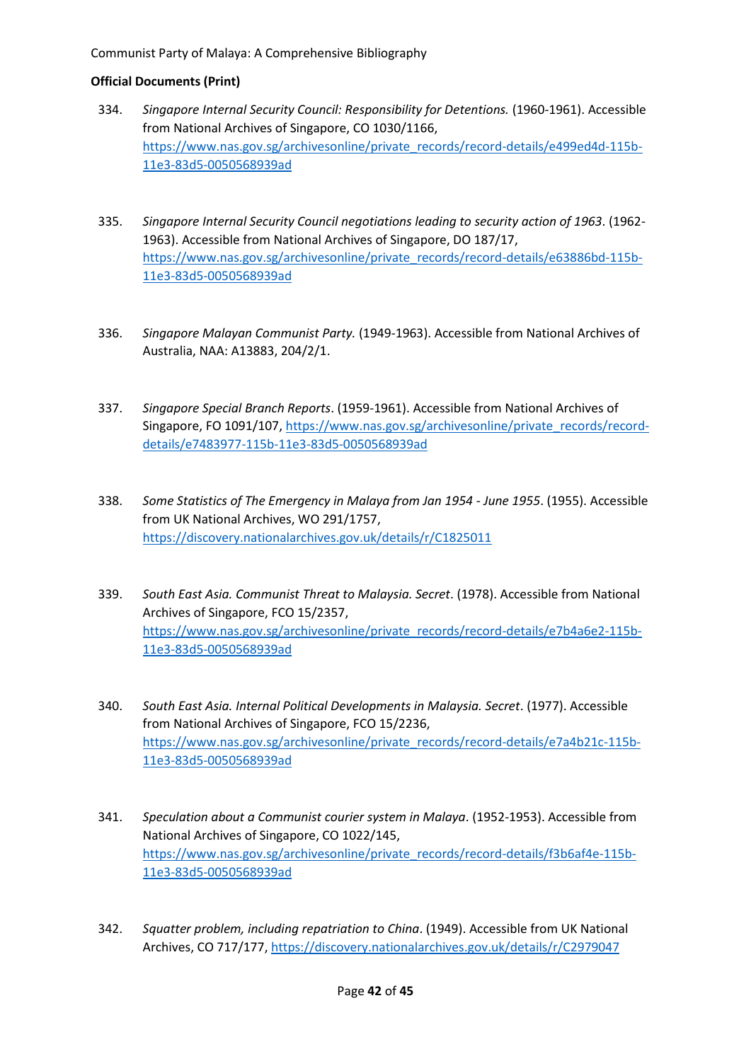- 334. *Singapore Internal Security Council: Responsibility for Detentions.* (1960-1961). Accessible from National Archives of Singapore, CO 1030/1166, [https://www.nas.gov.sg/archivesonline/private\\_records/record-details/e499ed4d-115b-](https://www.nas.gov.sg/archivesonline/private_records/record-details/e499ed4d-115b-11e3-83d5-0050568939ad)[11e3-83d5-0050568939ad](https://www.nas.gov.sg/archivesonline/private_records/record-details/e499ed4d-115b-11e3-83d5-0050568939ad)
- 335. *Singapore Internal Security Council negotiations leading to security action of 1963*. (1962- 1963). Accessible from National Archives of Singapore, DO 187/17, [https://www.nas.gov.sg/archivesonline/private\\_records/record-details/e63886bd-115b-](https://www.nas.gov.sg/archivesonline/private_records/record-details/e63886bd-115b-11e3-83d5-0050568939ad)[11e3-83d5-0050568939ad](https://www.nas.gov.sg/archivesonline/private_records/record-details/e63886bd-115b-11e3-83d5-0050568939ad)
- 336. *Singapore Malayan Communist Party.* (1949-1963). Accessible from National Archives of Australia, NAA: A13883, 204/2/1.
- 337. *Singapore Special Branch Reports*. (1959-1961). Accessible from National Archives of Singapore, FO 1091/107, [https://www.nas.gov.sg/archivesonline/private\\_records/record](https://www.nas.gov.sg/archivesonline/private_records/record-details/e7483977-115b-11e3-83d5-0050568939ad)[details/e7483977-115b-11e3-83d5-0050568939ad](https://www.nas.gov.sg/archivesonline/private_records/record-details/e7483977-115b-11e3-83d5-0050568939ad)
- 338. *Some Statistics of The Emergency in Malaya from Jan 1954 - June 1955*. (1955). Accessible from UK National Archives, WO 291/1757, <https://discovery.nationalarchives.gov.uk/details/r/C1825011>
- 339. *South East Asia. Communist Threat to Malaysia. Secret*. (1978). Accessible from National Archives of Singapore, FCO 15/2357, [https://www.nas.gov.sg/archivesonline/private\\_records/record-details/e7b4a6e2-115b-](https://www.nas.gov.sg/archivesonline/private_records/record-details/e7b4a6e2-115b-11e3-83d5-0050568939ad)[11e3-83d5-0050568939ad](https://www.nas.gov.sg/archivesonline/private_records/record-details/e7b4a6e2-115b-11e3-83d5-0050568939ad)
- 340. *South East Asia. Internal Political Developments in Malaysia. Secret*. (1977). Accessible from National Archives of Singapore, FCO 15/2236, [https://www.nas.gov.sg/archivesonline/private\\_records/record-details/e7a4b21c-115b-](https://www.nas.gov.sg/archivesonline/private_records/record-details/e7a4b21c-115b-11e3-83d5-0050568939ad)[11e3-83d5-0050568939ad](https://www.nas.gov.sg/archivesonline/private_records/record-details/e7a4b21c-115b-11e3-83d5-0050568939ad)
- 341. *Speculation about a Communist courier system in Malaya*. (1952-1953). Accessible from National Archives of Singapore, CO 1022/145, [https://www.nas.gov.sg/archivesonline/private\\_records/record-details/f3b6af4e-115b-](https://www.nas.gov.sg/archivesonline/private_records/record-details/f3b6af4e-115b-11e3-83d5-0050568939ad)[11e3-83d5-0050568939ad](https://www.nas.gov.sg/archivesonline/private_records/record-details/f3b6af4e-115b-11e3-83d5-0050568939ad)
- 342. *Squatter problem, including repatriation to China*. (1949). Accessible from UK National Archives, CO 717/177, <https://discovery.nationalarchives.gov.uk/details/r/C2979047>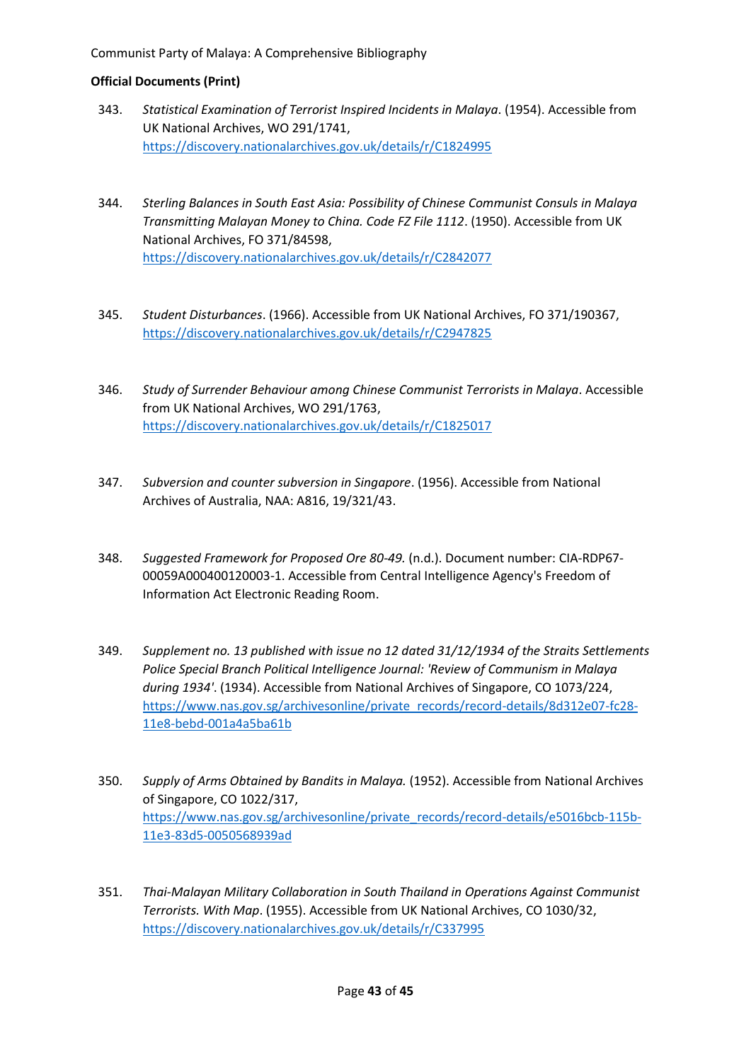- 343. *Statistical Examination of Terrorist Inspired Incidents in Malaya*. (1954). Accessible from UK National Archives, WO 291/1741, <https://discovery.nationalarchives.gov.uk/details/r/C1824995>
- 344. *Sterling Balances in South East Asia: Possibility of Chinese Communist Consuls in Malaya Transmitting Malayan Money to China. Code FZ File 1112*. (1950). Accessible from UK National Archives, FO 371/84598, <https://discovery.nationalarchives.gov.uk/details/r/C2842077>
- 345. *Student Disturbances*. (1966). Accessible from UK National Archives, FO 371/190367, <https://discovery.nationalarchives.gov.uk/details/r/C2947825>
- 346. *Study of Surrender Behaviour among Chinese Communist Terrorists in Malaya*. Accessible from UK National Archives, WO 291/1763, <https://discovery.nationalarchives.gov.uk/details/r/C1825017>
- 347. *Subversion and counter subversion in Singapore*. (1956). Accessible from National Archives of Australia, NAA: A816, 19/321/43.
- 348. *Suggested Framework for Proposed Ore 80-49.* (n.d.). Document number: CIA-RDP67- 00059A000400120003-1. Accessible from Central Intelligence Agency's Freedom of Information Act Electronic Reading Room.
- 349. *Supplement no. 13 published with issue no 12 dated 31/12/1934 of the Straits Settlements Police Special Branch Political Intelligence Journal: 'Review of Communism in Malaya during 1934'*. (1934). Accessible from National Archives of Singapore, CO 1073/224, [https://www.nas.gov.sg/archivesonline/private\\_records/record-details/8d312e07-fc28-](https://www.nas.gov.sg/archivesonline/private_records/record-details/8d312e07-fc28-11e8-bebd-001a4a5ba61b) [11e8-bebd-001a4a5ba61b](https://www.nas.gov.sg/archivesonline/private_records/record-details/8d312e07-fc28-11e8-bebd-001a4a5ba61b)
- 350. *Supply of Arms Obtained by Bandits in Malaya.* (1952). Accessible from National Archives of Singapore, CO 1022/317, [https://www.nas.gov.sg/archivesonline/private\\_records/record-details/e5016bcb-115b-](https://www.nas.gov.sg/archivesonline/private_records/record-details/e5016bcb-115b-11e3-83d5-0050568939ad)[11e3-83d5-0050568939ad](https://www.nas.gov.sg/archivesonline/private_records/record-details/e5016bcb-115b-11e3-83d5-0050568939ad)
- 351. *Thai-Malayan Military Collaboration in South Thailand in Operations Against Communist Terrorists. With Map*. (1955). Accessible from UK National Archives, CO 1030/32, <https://discovery.nationalarchives.gov.uk/details/r/C337995>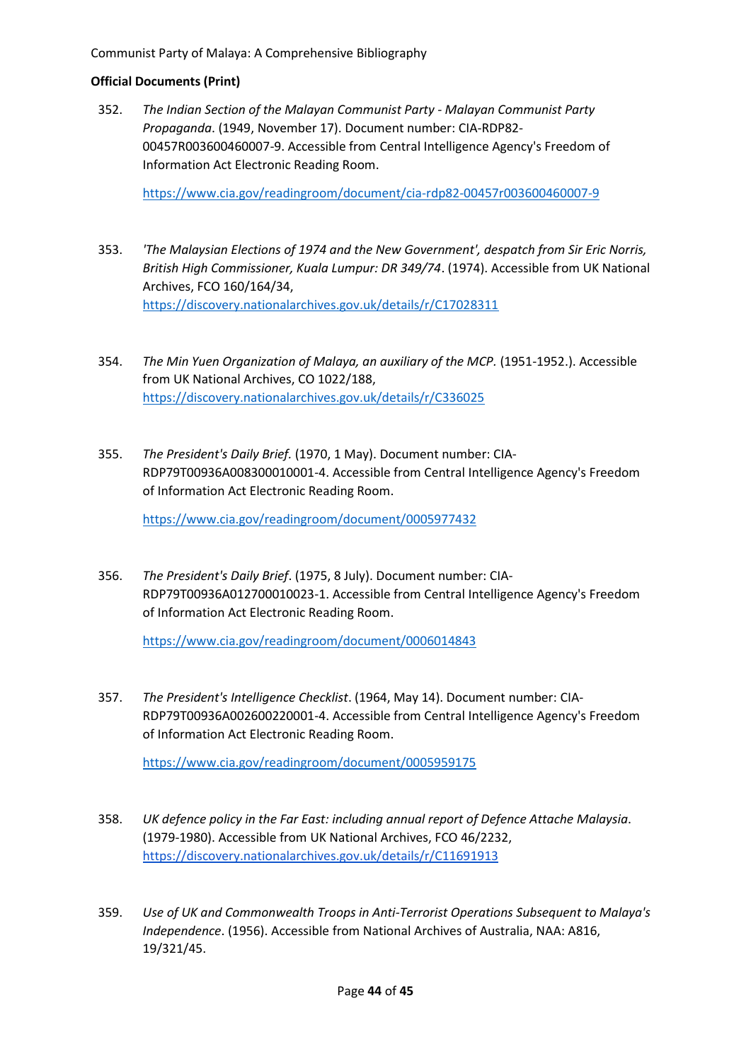## **Official Documents (Print)**

352. *The Indian Section of the Malayan Communist Party - Malayan Communist Party Propaganda*. (1949, November 17). Document number: CIA-RDP82- 00457R003600460007-9. Accessible from Central Intelligence Agency's Freedom of Information Act Electronic Reading Room.

<https://www.cia.gov/readingroom/document/cia-rdp82-00457r003600460007-9>

- 353. *'The Malaysian Elections of 1974 and the New Government', despatch from Sir Eric Norris, British High Commissioner, Kuala Lumpur: DR 349/74*. (1974). Accessible from UK National Archives, FCO 160/164/34, <https://discovery.nationalarchives.gov.uk/details/r/C17028311>
- 354. *The Min Yuen Organization of Malaya, an auxiliary of the MCP.* (1951-1952.). Accessible from UK National Archives, CO 1022/188, <https://discovery.nationalarchives.gov.uk/details/r/C336025>
- 355. *The President's Daily Brief.* (1970, 1 May). Document number: CIA-RDP79T00936A008300010001-4. Accessible from Central Intelligence Agency's Freedom of Information Act Electronic Reading Room.

<https://www.cia.gov/readingroom/document/0005977432>

356. *The President's Daily Brief*. (1975, 8 July). Document number: CIA-RDP79T00936A012700010023-1. Accessible from Central Intelligence Agency's Freedom of Information Act Electronic Reading Room.

<https://www.cia.gov/readingroom/document/0006014843>

357. *The President's Intelligence Checklist*. (1964, May 14). Document number: CIA-RDP79T00936A002600220001-4. Accessible from Central Intelligence Agency's Freedom of Information Act Electronic Reading Room.

<https://www.cia.gov/readingroom/document/0005959175>

- 358. *UK defence policy in the Far East: including annual report of Defence Attache Malaysia*. (1979-1980). Accessible from UK National Archives, FCO 46/2232, <https://discovery.nationalarchives.gov.uk/details/r/C11691913>
- 359. *Use of UK and Commonwealth Troops in Anti-Terrorist Operations Subsequent to Malaya's Independence*. (1956). Accessible from National Archives of Australia, NAA: A816, 19/321/45.